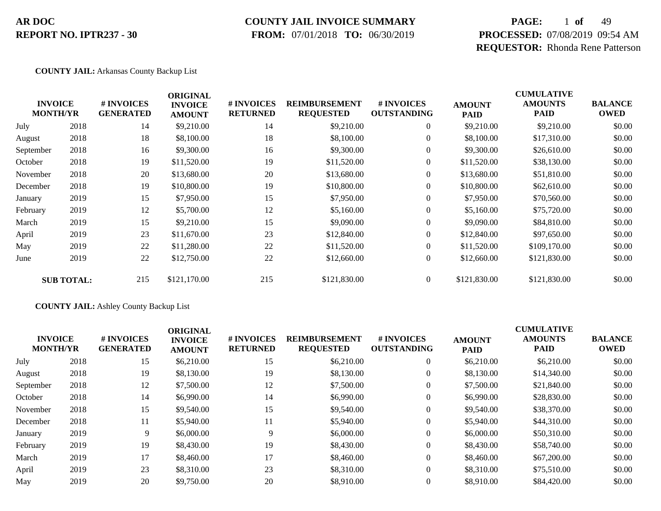### **COUNTY JAIL INVOICE SUMMARY**

 **FROM:** 07/01/2018 **TO:** 06/30/2019

# **PAGE:** 1 **of** 49 **PROCESSED:** 07/08/2019 09:54 AM **REQUESTOR:** Rhonda Rene Patterson

#### **COUNTY JAIL:** Arkansas County Backup List

| <b>INVOICE</b>  |                   | # INVOICES       | <b>ORIGINAL</b><br><b>INVOICE</b> | # INVOICES      | <b>REIMBURSEMENT</b> | <b>#INVOICES</b>   | <b>AMOUNT</b> | <b>CUMULATIVE</b><br><b>AMOUNTS</b> | <b>BALANCE</b> |
|-----------------|-------------------|------------------|-----------------------------------|-----------------|----------------------|--------------------|---------------|-------------------------------------|----------------|
| <b>MONTH/YR</b> |                   | <b>GENERATED</b> | <b>AMOUNT</b>                     | <b>RETURNED</b> | <b>REQUESTED</b>     | <b>OUTSTANDING</b> | <b>PAID</b>   | <b>PAID</b>                         | <b>OWED</b>    |
| July            | 2018              | 14               | \$9,210.00                        | 14              | \$9,210.00           | $\boldsymbol{0}$   | \$9,210.00    | \$9,210.00                          | \$0.00         |
| August          | 2018              | 18               | \$8,100.00                        | 18              | \$8,100.00           | $\overline{0}$     | \$8,100.00    | \$17,310.00                         | \$0.00         |
| September       | 2018              | 16               | \$9,300.00                        | 16              | \$9,300.00           | $\overline{0}$     | \$9,300.00    | \$26,610.00                         | \$0.00         |
| October         | 2018              | 19               | \$11,520.00                       | 19              | \$11,520.00          | $\overline{0}$     | \$11,520.00   | \$38,130.00                         | \$0.00         |
| November        | 2018              | 20               | \$13,680.00                       | 20              | \$13,680.00          | $\overline{0}$     | \$13,680.00   | \$51,810.00                         | \$0.00         |
| December        | 2018              | 19               | \$10,800.00                       | 19              | \$10,800.00          | $\overline{0}$     | \$10,800.00   | \$62,610.00                         | \$0.00         |
| January         | 2019              | 15               | \$7,950.00                        | 15              | \$7,950.00           | $\overline{0}$     | \$7,950.00    | \$70,560.00                         | \$0.00         |
| February        | 2019              | 12               | \$5,700.00                        | 12              | \$5,160.00           | $\overline{0}$     | \$5,160.00    | \$75,720.00                         | \$0.00         |
| March           | 2019              | 15               | \$9,210.00                        | 15              | \$9,090.00           | $\boldsymbol{0}$   | \$9,090.00    | \$84,810.00                         | \$0.00         |
| April           | 2019              | 23               | \$11,670.00                       | 23              | \$12,840.00          | $\overline{0}$     | \$12,840.00   | \$97,650.00                         | \$0.00         |
| May             | 2019              | 22               | \$11,280.00                       | 22              | \$11,520.00          | $\overline{0}$     | \$11,520.00   | \$109,170.00                        | \$0.00         |
| June            | 2019              | 22               | \$12,750.00                       | 22              | \$12,660.00          | $\boldsymbol{0}$   | \$12,660.00   | \$121,830.00                        | \$0.00         |
|                 | <b>SUB TOTAL:</b> | 215              | \$121,170.00                      | 215             | \$121,830.00         | $\overline{0}$     | \$121,830.00  | \$121,830.00                        | \$0.00         |

#### **COUNTY JAIL:** Ashley County Backup List

|           | <b>INVOICE</b><br><b>MONTH/YR</b> | <b>#INVOICES</b><br><b>GENERATED</b> | <b>ORIGINAL</b><br><b>INVOICE</b><br><b>AMOUNT</b> | <b># INVOICES</b><br><b>RETURNED</b> | <b>REIMBURSEMENT</b><br><b>REQUESTED</b> | # INVOICES<br><b>OUTSTANDING</b> | <b>AMOUNT</b><br><b>PAID</b> | <b>CUMULATIVE</b><br><b>AMOUNTS</b><br><b>PAID</b> | <b>BALANCE</b><br><b>OWED</b> |
|-----------|-----------------------------------|--------------------------------------|----------------------------------------------------|--------------------------------------|------------------------------------------|----------------------------------|------------------------------|----------------------------------------------------|-------------------------------|
| July      | 2018                              | 15                                   | \$6,210.00                                         | 15                                   | \$6,210.00                               | $\theta$                         | \$6,210.00                   | \$6,210.00                                         | \$0.00                        |
| August    | 2018                              | 19                                   | \$8,130.00                                         | 19                                   | \$8,130.00                               | $\theta$                         | \$8,130.00                   | \$14,340.00                                        | \$0.00                        |
| September | 2018                              | 12                                   | \$7,500.00                                         | 12                                   | \$7,500.00                               | $\theta$                         | \$7,500.00                   | \$21,840.00                                        | \$0.00                        |
| October   | 2018                              | 14                                   | \$6,990.00                                         | 14                                   | \$6,990.00                               | $\theta$                         | \$6,990.00                   | \$28,830.00                                        | \$0.00                        |
| November  | 2018                              | 15                                   | \$9,540.00                                         | 15                                   | \$9,540.00                               | $\theta$                         | \$9,540.00                   | \$38,370.00                                        | \$0.00                        |
| December  | 2018                              | 11                                   | \$5,940.00                                         | 11                                   | \$5,940.00                               | $\theta$                         | \$5,940.00                   | \$44,310.00                                        | \$0.00                        |
| January   | 2019                              | 9                                    | \$6,000.00                                         | 9                                    | \$6,000.00                               | $\theta$                         | \$6,000.00                   | \$50,310.00                                        | \$0.00                        |
| February  | 2019                              | 19                                   | \$8,430.00                                         | 19                                   | \$8,430.00                               | $\mathbf{0}$                     | \$8,430.00                   | \$58,740.00                                        | \$0.00                        |
| March     | 2019                              | 17                                   | \$8,460.00                                         | 17                                   | \$8,460.00                               | $\mathbf{0}$                     | \$8,460.00                   | \$67,200.00                                        | \$0.00                        |
| April     | 2019                              | 23                                   | \$8,310.00                                         | 23                                   | \$8,310.00                               | $\Omega$                         | \$8,310.00                   | \$75,510.00                                        | \$0.00                        |
| May       | 2019                              | 20                                   | \$9,750.00                                         | 20                                   | \$8,910.00                               | $\theta$                         | \$8,910.00                   | \$84,420.00                                        | \$0.00                        |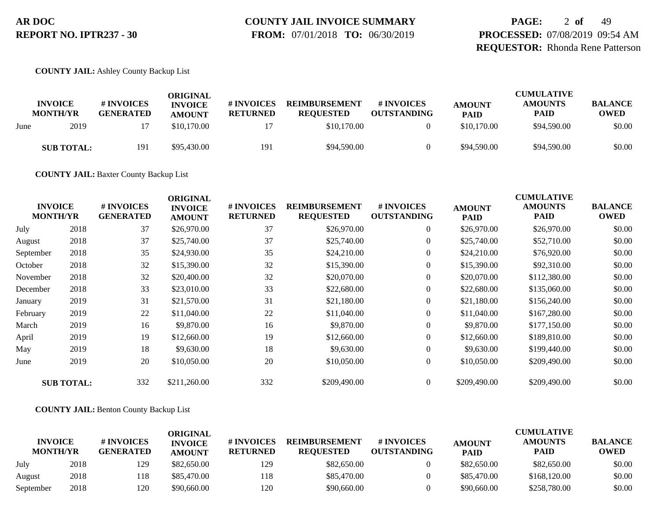# **COUNTY JAIL INVOICE SUMMARY**

 **FROM:** 07/01/2018 **TO:** 06/30/2019

**PAGE:** 2 **of** 49 **PROCESSED:** 07/08/2019 09:54 AM **REQUESTOR:** Rhonda Rene Patterson

**COUNTY JAIL:** Ashley County Backup List

|      | <b>INVOICE</b><br><b>MONTH/YR</b> | # INVOICES<br><b>GENERATED</b> | ORIGINAL<br><b>INVOICE</b><br><b>AMOUNT</b> | # INVOICES<br><b>RETURNED</b> | <b>REIMBURSEMENT</b><br><b>REOUESTED</b> | # INVOICES<br><b>OUTSTANDING</b> | <b>AMOUNT</b><br><b>PAID</b> | <b>CUMULATIVE</b><br><b>AMOUNTS</b><br><b>PAID</b> | <b>BALANCE</b><br><b>OWED</b> |
|------|-----------------------------------|--------------------------------|---------------------------------------------|-------------------------------|------------------------------------------|----------------------------------|------------------------------|----------------------------------------------------|-------------------------------|
| June | 2019                              |                                | \$10,170.00                                 |                               | \$10,170.00                              |                                  | \$10,170.00                  | \$94,590.00                                        | \$0.00                        |
|      | <b>SUB TOTAL:</b>                 | 191                            | \$95,430.00                                 | 191                           | \$94,590.00                              |                                  | \$94,590.00                  | \$94,590.00                                        | \$0.00                        |

**COUNTY JAIL:** Baxter County Backup List

| <b>INVOICE</b><br><b>MONTH/YR</b> |                   | # INVOICES<br><b>GENERATED</b> | <b>ORIGINAL</b><br><b>INVOICE</b><br><b>AMOUNT</b> | # INVOICES<br><b>RETURNED</b> | <b>REIMBURSEMENT</b><br><b>REQUESTED</b> | # INVOICES<br><b>OUTSTANDING</b> | <b>AMOUNT</b><br><b>PAID</b> | <b>CUMULATIVE</b><br><b>AMOUNTS</b><br><b>PAID</b> | <b>BALANCE</b><br><b>OWED</b> |
|-----------------------------------|-------------------|--------------------------------|----------------------------------------------------|-------------------------------|------------------------------------------|----------------------------------|------------------------------|----------------------------------------------------|-------------------------------|
| July                              | 2018              | 37                             | \$26,970.00                                        | 37                            | \$26,970.00                              | $\overline{0}$                   | \$26,970.00                  | \$26,970.00                                        | \$0.00                        |
| August                            | 2018              | 37                             | \$25,740.00                                        | 37                            | \$25,740.00                              | $\overline{0}$                   | \$25,740.00                  | \$52,710.00                                        | \$0.00                        |
| September                         | 2018              | 35                             | \$24,930.00                                        | 35                            | \$24,210.00                              | $\overline{0}$                   | \$24,210.00                  | \$76,920.00                                        | \$0.00                        |
| October                           | 2018              | 32                             | \$15,390.00                                        | 32                            | \$15,390.00                              | $\overline{0}$                   | \$15,390.00                  | \$92,310.00                                        | \$0.00                        |
| November                          | 2018              | 32                             | \$20,400.00                                        | 32                            | \$20,070.00                              | $\overline{0}$                   | \$20,070.00                  | \$112,380.00                                       | \$0.00                        |
| December                          | 2018              | 33                             | \$23,010.00                                        | 33                            | \$22,680.00                              | $\overline{0}$                   | \$22,680.00                  | \$135,060.00                                       | \$0.00                        |
| January                           | 2019              | 31                             | \$21,570.00                                        | 31                            | \$21,180.00                              | $\boldsymbol{0}$                 | \$21,180.00                  | \$156,240.00                                       | \$0.00                        |
| February                          | 2019              | 22                             | \$11,040.00                                        | 22                            | \$11,040.00                              | $\overline{0}$                   | \$11,040.00                  | \$167,280.00                                       | \$0.00                        |
| March                             | 2019              | 16                             | \$9,870.00                                         | 16                            | \$9,870.00                               | $\overline{0}$                   | \$9,870.00                   | \$177,150.00                                       | \$0.00                        |
| April                             | 2019              | 19                             | \$12,660.00                                        | 19                            | \$12,660.00                              | $\boldsymbol{0}$                 | \$12,660.00                  | \$189,810.00                                       | \$0.00                        |
| May                               | 2019              | 18                             | \$9,630.00                                         | 18                            | \$9,630.00                               | $\boldsymbol{0}$                 | \$9,630.00                   | \$199,440.00                                       | \$0.00                        |
| June                              | 2019              | 20                             | \$10,050.00                                        | 20                            | \$10,050.00                              | $\overline{0}$                   | \$10,050.00                  | \$209,490.00                                       | \$0.00                        |
|                                   | <b>SUB TOTAL:</b> | 332                            | \$211,260.00                                       | 332                           | \$209,490.00                             | $\overline{0}$                   | \$209,490.00                 | \$209,490.00                                       | \$0.00                        |

**COUNTY JAIL:** Benton County Backup List

|                                   |      |                                      | ORIGINAL                        |                                      |                                          |                                  |                              | <b>CUMULATIVE</b>             |                               |
|-----------------------------------|------|--------------------------------------|---------------------------------|--------------------------------------|------------------------------------------|----------------------------------|------------------------------|-------------------------------|-------------------------------|
| <b>INVOICE</b><br><b>MONTH/YR</b> |      | <b>#INVOICES</b><br><b>GENERATED</b> | <b>INVOICE</b><br><b>AMOUNT</b> | <b># INVOICES</b><br><b>RETURNED</b> | <b>REIMBURSEMENT</b><br><b>REOUESTED</b> | # INVOICES<br><b>OUTSTANDING</b> | <b>AMOUNT</b><br><b>PAID</b> | <b>AMOUNTS</b><br><b>PAID</b> | <b>BALANCE</b><br><b>OWED</b> |
| July                              | 2018 | 129                                  | \$82,650.00                     | 129                                  | \$82,650.00                              |                                  | \$82,650.00                  | \$82,650.00                   | \$0.00                        |
| August                            | 2018 | 118                                  | \$85,470.00                     | 118                                  | \$85,470.00                              |                                  | \$85,470.00                  | \$168,120.00                  | \$0.00                        |
| September                         | 2018 | 120                                  | \$90,660.00                     | 120                                  | \$90,660.00                              |                                  | \$90,660.00                  | \$258,780.00                  | \$0.00                        |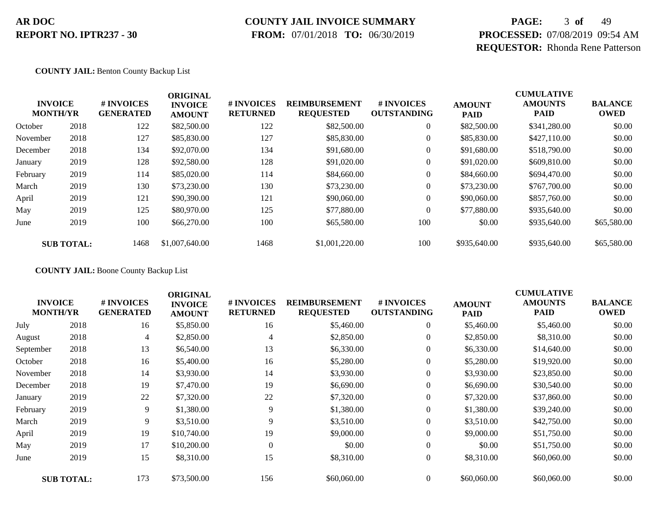# **COUNTY JAIL INVOICE SUMMARY**

 **FROM:** 07/01/2018 **TO:** 06/30/2019

# **PAGE:** 3 **of** 49 **PROCESSED:** 07/08/2019 09:54 AM **REQUESTOR:** Rhonda Rene Patterson

**COUNTY JAIL:** Benton County Backup List

|          | <b>INVOICE</b><br><b>MONTH/YR</b> | # INVOICES<br><b>GENERATED</b> | <b>ORIGINAL</b><br><b>INVOICE</b><br><b>AMOUNT</b> | # INVOICES<br><b>RETURNED</b> | <b>REIMBURSEMENT</b><br><b>REQUESTED</b> | <b>#INVOICES</b><br><b>OUTSTANDING</b> | <b>AMOUNT</b><br><b>PAID</b> | <b>CUMULATIVE</b><br><b>AMOUNTS</b><br><b>PAID</b> | <b>BALANCE</b><br><b>OWED</b> |
|----------|-----------------------------------|--------------------------------|----------------------------------------------------|-------------------------------|------------------------------------------|----------------------------------------|------------------------------|----------------------------------------------------|-------------------------------|
| October  | 2018                              | 122                            | \$82,500.00                                        | 122                           | \$82,500.00                              | $\overline{0}$                         | \$82,500.00                  | \$341,280.00                                       | \$0.00                        |
| November | 2018                              | 127                            | \$85,830.00                                        | 127                           | \$85,830.00                              | 0                                      | \$85,830.00                  | \$427,110.00                                       | \$0.00                        |
| December | 2018                              | 134                            | \$92,070.00                                        | 134                           | \$91,680.00                              | $\overline{0}$                         | \$91,680.00                  | \$518,790.00                                       | \$0.00                        |
| January  | 2019                              | 128                            | \$92,580.00                                        | 128                           | \$91,020.00                              | 0                                      | \$91,020.00                  | \$609,810.00                                       | \$0.00                        |
| February | 2019                              | 114                            | \$85,020.00                                        | 114                           | \$84,660.00                              | 0                                      | \$84,660.00                  | \$694,470.00                                       | \$0.00                        |
| March    | 2019                              | 130                            | \$73,230.00                                        | 130                           | \$73,230.00                              | 0                                      | \$73,230.00                  | \$767,700.00                                       | \$0.00                        |
| April    | 2019                              | 121                            | \$90,390.00                                        | 121                           | \$90,060.00                              | $\overline{0}$                         | \$90,060.00                  | \$857,760.00                                       | \$0.00                        |
| May      | 2019                              | 125                            | \$80,970.00                                        | 125                           | \$77,880.00                              | $\theta$                               | \$77,880.00                  | \$935,640.00                                       | \$0.00                        |
| June     | 2019                              | 100                            | \$66,270.00                                        | 100                           | \$65,580.00                              | 100                                    | \$0.00                       | \$935,640.00                                       | \$65,580.00                   |
|          | <b>SUB TOTAL:</b>                 | 1468                           | \$1,007,640.00                                     | 1468                          | \$1,001,220.00                           | 100                                    | \$935,640.00                 | \$935,640.00                                       | \$65,580.00                   |

**COUNTY JAIL:** Boone County Backup List

| <b>INVOICE</b><br><b>MONTH/YR</b> |                   | # INVOICES<br><b>GENERATED</b> | <b>ORIGINAL</b><br><b>INVOICE</b><br><b>AMOUNT</b> | # INVOICES<br><b>RETURNED</b> | <b>REIMBURSEMENT</b><br><b>REQUESTED</b> | # INVOICES<br><b>OUTSTANDING</b> | <b>AMOUNT</b><br>PAID | <b>CUMULATIVE</b><br><b>AMOUNTS</b><br><b>PAID</b> | <b>BALANCE</b><br><b>OWED</b> |
|-----------------------------------|-------------------|--------------------------------|----------------------------------------------------|-------------------------------|------------------------------------------|----------------------------------|-----------------------|----------------------------------------------------|-------------------------------|
| July                              | 2018              | 16                             | \$5,850.00                                         | 16                            | \$5,460.00                               | $\boldsymbol{0}$                 | \$5,460.00            | \$5,460.00                                         | \$0.00                        |
| August                            | 2018              | 4                              | \$2,850.00                                         | 4                             | \$2,850.00                               | $\overline{0}$                   | \$2,850.00            | \$8,310.00                                         | \$0.00                        |
| September                         | 2018              | 13                             | \$6,540.00                                         | 13                            | \$6,330.00                               | $\overline{0}$                   | \$6,330.00            | \$14,640.00                                        | \$0.00                        |
| October                           | 2018              | 16                             | \$5,400.00                                         | 16                            | \$5,280.00                               | $\overline{0}$                   | \$5,280.00            | \$19,920.00                                        | \$0.00                        |
| November                          | 2018              | 14                             | \$3,930.00                                         | 14                            | \$3,930.00                               | $\overline{0}$                   | \$3,930.00            | \$23,850.00                                        | \$0.00                        |
| December                          | 2018              | 19                             | \$7,470.00                                         | 19                            | \$6,690.00                               | $\overline{0}$                   | \$6,690.00            | \$30,540.00                                        | \$0.00                        |
| January                           | 2019              | 22                             | \$7,320.00                                         | 22                            | \$7,320.00                               | $\overline{0}$                   | \$7,320.00            | \$37,860.00                                        | \$0.00                        |
| February                          | 2019              | 9                              | \$1,380.00                                         | 9                             | \$1,380.00                               | $\overline{0}$                   | \$1,380.00            | \$39,240.00                                        | \$0.00                        |
| March                             | 2019              | 9                              | \$3,510.00                                         | 9                             | \$3,510.00                               | $\overline{0}$                   | \$3,510.00            | \$42,750.00                                        | \$0.00                        |
| April                             | 2019              | 19                             | \$10,740.00                                        | 19                            | \$9,000.00                               | $\overline{0}$                   | \$9,000.00            | \$51,750.00                                        | \$0.00                        |
| May                               | 2019              | 17                             | \$10,200.00                                        | $\Omega$                      | \$0.00                                   | $\overline{0}$                   | \$0.00                | \$51,750.00                                        | \$0.00                        |
| June                              | 2019              | 15                             | \$8,310.00                                         | 15                            | \$8,310.00                               | $\boldsymbol{0}$                 | \$8,310.00            | \$60,060.00                                        | \$0.00                        |
|                                   | <b>SUB TOTAL:</b> | 173                            | \$73,500.00                                        | 156                           | \$60,060.00                              | $\overline{0}$                   | \$60,060.00           | \$60,060.00                                        | \$0.00                        |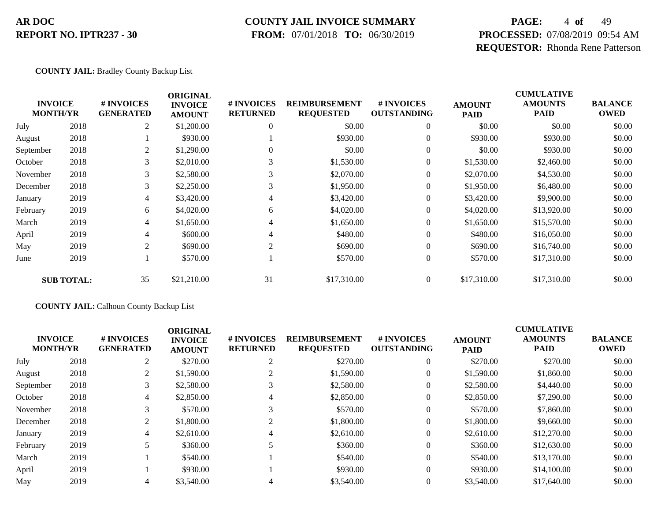### **COUNTY JAIL INVOICE SUMMARY**

 **FROM:** 07/01/2018 **TO:** 06/30/2019

# **PAGE:** 4 **of** 49 **PROCESSED:** 07/08/2019 09:54 AM **REQUESTOR:** Rhonda Rene Patterson

**COUNTY JAIL:** Bradley County Backup List

|                                   |                   |                                | <b>ORIGINAL</b>                 |                               |                                          |                                  |                              | <b>CUMULATIVE</b>             |                               |
|-----------------------------------|-------------------|--------------------------------|---------------------------------|-------------------------------|------------------------------------------|----------------------------------|------------------------------|-------------------------------|-------------------------------|
| <b>INVOICE</b><br><b>MONTH/YR</b> |                   | # INVOICES<br><b>GENERATED</b> | <b>INVOICE</b><br><b>AMOUNT</b> | # INVOICES<br><b>RETURNED</b> | <b>REIMBURSEMENT</b><br><b>REQUESTED</b> | # INVOICES<br><b>OUTSTANDING</b> | <b>AMOUNT</b><br><b>PAID</b> | <b>AMOUNTS</b><br><b>PAID</b> | <b>BALANCE</b><br><b>OWED</b> |
| July                              | 2018              | 2                              | \$1,200.00                      | 0                             | \$0.00                                   | $\mathbf{0}$                     | \$0.00                       | \$0.00                        | \$0.00                        |
| August                            | 2018              |                                | \$930.00                        |                               | \$930.00                                 | $\overline{0}$                   | \$930.00                     | \$930.00                      | \$0.00                        |
| September                         | 2018              | 2                              | \$1,290.00                      |                               | \$0.00                                   | $\mathbf{0}$                     | \$0.00                       | \$930.00                      | \$0.00                        |
| October                           | 2018              | 3                              | \$2,010.00                      | 3                             | \$1,530.00                               | $\mathbf{0}$                     | \$1,530.00                   | \$2,460.00                    | \$0.00                        |
| November                          | 2018              | 3                              | \$2,580.00                      | 3                             | \$2,070.00                               | $\boldsymbol{0}$                 | \$2,070.00                   | \$4,530.00                    | \$0.00                        |
| December                          | 2018              | 3                              | \$2,250.00                      | 3                             | \$1,950.00                               | $\mathbf{0}$                     | \$1,950.00                   | \$6,480.00                    | \$0.00                        |
| January                           | 2019              | 4                              | \$3,420.00                      | 4                             | \$3,420.00                               | $\overline{0}$                   | \$3,420.00                   | \$9,900.00                    | \$0.00                        |
| February                          | 2019              | 6                              | \$4,020.00                      | 6                             | \$4,020.00                               | $\mathbf{0}$                     | \$4,020.00                   | \$13,920.00                   | \$0.00                        |
| March                             | 2019              | 4                              | \$1,650.00                      | 4                             | \$1,650.00                               | $\overline{0}$                   | \$1,650.00                   | \$15,570.00                   | \$0.00                        |
| April                             | 2019              | 4                              | \$600.00                        | 4                             | \$480.00                                 | $\mathbf{0}$                     | \$480.00                     | \$16,050.00                   | \$0.00                        |
| May                               | 2019              | $\overline{c}$                 | \$690.00                        | $\overline{c}$                | \$690.00                                 | $\mathbf{0}$                     | \$690.00                     | \$16,740.00                   | \$0.00                        |
| June                              | 2019              |                                | \$570.00                        |                               | \$570.00                                 | $\boldsymbol{0}$                 | \$570.00                     | \$17,310.00                   | \$0.00                        |
|                                   | <b>SUB TOTAL:</b> | 35                             | \$21,210.00                     | 31                            | \$17,310.00                              | $\overline{0}$                   | \$17,310.00                  | \$17,310.00                   | \$0.00                        |

#### **COUNTY JAIL:** Calhoun County Backup List

|           | <b>INVOICE</b><br><b>MONTH/YR</b> | # INVOICES<br><b>GENERATED</b> | <b>ORIGINAL</b><br><b>INVOICE</b><br><b>AMOUNT</b> | <b># INVOICES</b><br><b>RETURNED</b> | <b>REIMBURSEMENT</b><br><b>REQUESTED</b> | # INVOICES<br><b>OUTSTANDING</b> | <b>AMOUNT</b><br><b>PAID</b> | <b>CUMULATIVE</b><br><b>AMOUNTS</b><br><b>PAID</b> | <b>BALANCE</b><br><b>OWED</b> |
|-----------|-----------------------------------|--------------------------------|----------------------------------------------------|--------------------------------------|------------------------------------------|----------------------------------|------------------------------|----------------------------------------------------|-------------------------------|
| July      | 2018                              | 2                              | \$270.00                                           | ∠                                    | \$270.00                                 |                                  | \$270.00                     | \$270.00                                           | \$0.00                        |
| August    | 2018                              | 2                              | \$1,590.00                                         |                                      | \$1,590.00                               |                                  | \$1,590.00                   | \$1,860.00                                         | \$0.00                        |
| September | 2018                              | 3                              | \$2,580.00                                         |                                      | \$2,580.00                               |                                  | \$2,580.00                   | \$4,440.00                                         | \$0.00                        |
| October   | 2018                              | 4                              | \$2,850.00                                         | 4                                    | \$2,850.00                               |                                  | \$2,850.00                   | \$7,290.00                                         | \$0.00                        |
| November  | 2018                              | 3                              | \$570.00                                           |                                      | \$570.00                                 |                                  | \$570.00                     | \$7,860.00                                         | \$0.00                        |
| December  | 2018                              | 2                              | \$1,800.00                                         |                                      | \$1,800.00                               |                                  | \$1,800.00                   | \$9,660.00                                         | \$0.00                        |
| January   | 2019                              | 4                              | \$2,610.00                                         |                                      | \$2,610.00                               |                                  | \$2,610.00                   | \$12,270.00                                        | \$0.00                        |
| February  | 2019                              |                                | \$360.00                                           |                                      | \$360.00                                 |                                  | \$360.00                     | \$12,630.00                                        | \$0.00                        |
| March     | 2019                              |                                | \$540.00                                           |                                      | \$540.00                                 | $\Omega$                         | \$540.00                     | \$13,170.00                                        | \$0.00                        |
| April     | 2019                              |                                | \$930.00                                           |                                      | \$930.00                                 |                                  | \$930.00                     | \$14,100.00                                        | \$0.00                        |
| May       | 2019                              | 4                              | \$3,540.00                                         |                                      | \$3,540.00                               |                                  | \$3,540.00                   | \$17,640.00                                        | \$0.00                        |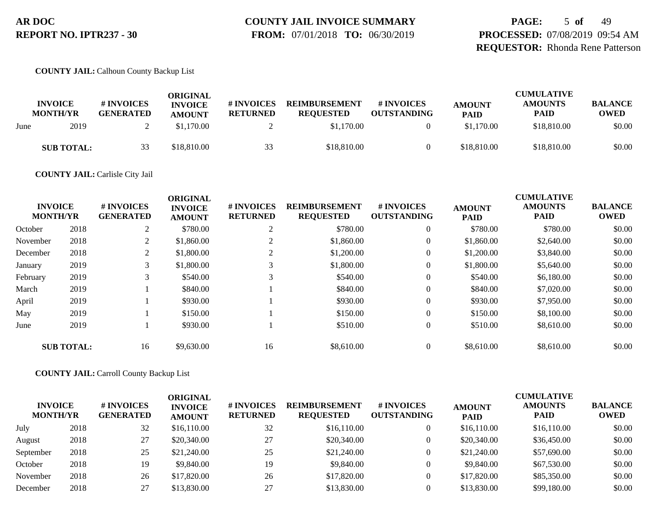# **COUNTY JAIL INVOICE SUMMARY**

 **FROM:** 07/01/2018 **TO:** 06/30/2019

**PAGE:** 5 **of** 49 **PROCESSED:** 07/08/2019 09:54 AM **REQUESTOR:** Rhonda Rene Patterson

#### **COUNTY JAIL:** Calhoun County Backup List

|      | <b>INVOICE</b><br><b>MONTH/YR</b> | # INVOICES<br><b>GENERATED</b> | ORIGINAL<br><b>INVOICE</b><br><b>AMOUNT</b> | # INVOICES<br><b>RETURNED</b> | <b>REIMBURSEMENT</b><br><b>REQUESTED</b> | # INVOICES<br><b>OUTSTANDING</b> | <b>AMOUNT</b><br><b>PAID</b> | <b>CUMULATIVE</b><br><b>AMOUNTS</b><br><b>PAID</b> | <b>BALANCE</b><br><b>OWED</b> |
|------|-----------------------------------|--------------------------------|---------------------------------------------|-------------------------------|------------------------------------------|----------------------------------|------------------------------|----------------------------------------------------|-------------------------------|
| June | 2019                              |                                | \$1.170.00                                  |                               | \$1,170.00                               |                                  | \$1,170.00                   | \$18,810.00                                        | \$0.00                        |
|      | <b>SUB TOTAL:</b>                 |                                | \$18,810.00                                 | 33                            | \$18,810.00                              |                                  | \$18,810.00                  | \$18,810.00                                        | \$0.00                        |

#### **COUNTY JAIL:** Carlisle City Jail

|          | <b>INVOICE</b><br><b>MONTH/YR</b> | # INVOICES<br><b>GENERATED</b> | <b>ORIGINAL</b><br><b>INVOICE</b><br><b>AMOUNT</b> | # INVOICES<br><b>RETURNED</b> | <b>REIMBURSEMENT</b><br><b>REQUESTED</b> | # INVOICES<br><b>OUTSTANDING</b> | <b>AMOUNT</b><br><b>PAID</b> | <b>CUMULATIVE</b><br><b>AMOUNTS</b><br><b>PAID</b> | <b>BALANCE</b><br><b>OWED</b> |
|----------|-----------------------------------|--------------------------------|----------------------------------------------------|-------------------------------|------------------------------------------|----------------------------------|------------------------------|----------------------------------------------------|-------------------------------|
| October  | 2018                              | 2                              | \$780.00                                           | ◠<br>∠                        | \$780.00                                 | $\overline{0}$                   | \$780.00                     | \$780.00                                           | \$0.00                        |
| November | 2018                              | $\mathcal{D}$                  | \$1,860.00                                         |                               | \$1,860.00                               | 0                                | \$1,860.00                   | \$2,640.00                                         | \$0.00                        |
| December | 2018                              | 2                              | \$1,800.00                                         |                               | \$1,200.00                               | 0                                | \$1,200.00                   | \$3,840.00                                         | \$0.00                        |
| January  | 2019                              | 3                              | \$1,800.00                                         |                               | \$1,800.00                               | 0                                | \$1,800.00                   | \$5,640.00                                         | \$0.00                        |
| February | 2019                              | 3                              | \$540.00                                           | 3                             | \$540.00                                 | 0                                | \$540.00                     | \$6,180.00                                         | \$0.00                        |
| March    | 2019                              |                                | \$840.00                                           |                               | \$840.00                                 | $\overline{0}$                   | \$840.00                     | \$7,020.00                                         | \$0.00                        |
| April    | 2019                              |                                | \$930.00                                           |                               | \$930.00                                 | $\overline{0}$                   | \$930.00                     | \$7,950.00                                         | \$0.00                        |
| May      | 2019                              |                                | \$150.00                                           |                               | \$150.00                                 | $\overline{0}$                   | \$150.00                     | \$8,100.00                                         | \$0.00                        |
| June     | 2019                              |                                | \$930.00                                           |                               | \$510.00                                 | $\overline{0}$                   | \$510.00                     | \$8,610.00                                         | \$0.00                        |
|          | <b>SUB TOTAL:</b>                 | 16                             | \$9,630.00                                         | 16                            | \$8,610.00                               | $\theta$                         | \$8,610.00                   | \$8,610.00                                         | \$0.00                        |

#### **COUNTY JAIL:** Carroll County Backup List

| <b>INVOICE</b><br><b>MONTH/YR</b> |      | # INVOICES<br><b>GENERATED</b> | ORIGINAL<br><b>INVOICE</b><br><b>AMOUNT</b> | <b># INVOICES</b><br><b>RETURNED</b> | <b>REIMBURSEMENT</b><br><b>REQUESTED</b> | <b>#INVOICES</b><br><b>OUTSTANDING</b> | <b>AMOUNT</b><br><b>PAID</b> | <b>CUMULATIVE</b><br><b>AMOUNTS</b><br><b>PAID</b> | <b>BALANCE</b><br><b>OWED</b> |
|-----------------------------------|------|--------------------------------|---------------------------------------------|--------------------------------------|------------------------------------------|----------------------------------------|------------------------------|----------------------------------------------------|-------------------------------|
| July                              | 2018 | 32                             | \$16,110.00                                 | 32                                   | \$16,110.00                              |                                        | \$16,110.00                  | \$16,110.00                                        | \$0.00                        |
| August                            | 2018 | 27                             | \$20,340.00                                 | 27                                   | \$20,340.00                              |                                        | \$20,340.00                  | \$36,450.00                                        | \$0.00                        |
| September                         | 2018 | 25                             | \$21,240.00                                 | 25                                   | \$21,240.00                              |                                        | \$21,240.00                  | \$57,690.00                                        | \$0.00                        |
| October                           | 2018 | 19                             | \$9,840.00                                  | 19                                   | \$9,840.00                               |                                        | \$9,840.00                   | \$67,530.00                                        | \$0.00                        |
| November                          | 2018 | 26                             | \$17,820.00                                 | 26                                   | \$17,820.00                              |                                        | \$17,820.00                  | \$85,350.00                                        | \$0.00                        |
| December                          | 2018 | 27                             | \$13,830.00                                 | 27                                   | \$13,830.00                              |                                        | \$13,830.00                  | \$99,180.00                                        | \$0.00                        |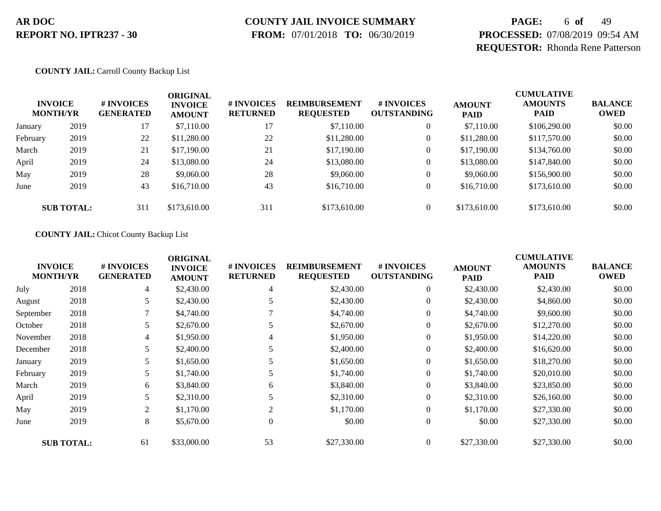# **COUNTY JAIL INVOICE SUMMARY**

 **FROM:** 07/01/2018 **TO:** 06/30/2019

# **PAGE:** 6 **of** 49 **PROCESSED:** 07/08/2019 09:54 AM **REQUESTOR:** Rhonda Rene Patterson

#### **COUNTY JAIL:** Carroll County Backup List

|          | <b>INVOICE</b><br><b>MONTH/YR</b> | # INVOICES<br><b>GENERATED</b> | ORIGINAL<br><b>INVOICE</b><br><b>AMOUNT</b> | <b># INVOICES</b><br><b>RETURNED</b> | <b>REIMBURSEMENT</b><br><b>REQUESTED</b> | # INVOICES<br><b>OUTSTANDING</b> | <b>AMOUNT</b><br><b>PAID</b> | <b>CUMULATIVE</b><br><b>AMOUNTS</b><br><b>PAID</b> | <b>BALANCE</b><br><b>OWED</b> |
|----------|-----------------------------------|--------------------------------|---------------------------------------------|--------------------------------------|------------------------------------------|----------------------------------|------------------------------|----------------------------------------------------|-------------------------------|
| January  | 2019                              | 17                             | \$7,110.00                                  | 17                                   | \$7,110.00                               | $\overline{0}$                   | \$7,110.00                   | \$106,290.00                                       | \$0.00                        |
| February | 2019                              | 22                             | \$11,280.00                                 | 22                                   | \$11,280.00                              | $\theta$                         | \$11,280.00                  | \$117,570.00                                       | \$0.00                        |
| March    | 2019                              | 21                             | \$17,190.00                                 | 21                                   | \$17,190.00                              | $\overline{0}$                   | \$17,190.00                  | \$134,760.00                                       | \$0.00                        |
| April    | 2019                              | 24                             | \$13,080.00                                 | 24                                   | \$13,080.00                              | $\overline{0}$                   | \$13,080.00                  | \$147,840.00                                       | \$0.00                        |
| May      | 2019                              | 28                             | \$9,060.00                                  | 28                                   | \$9,060.00                               | $\overline{0}$                   | \$9,060.00                   | \$156,900.00                                       | \$0.00                        |
| June     | 2019                              | 43                             | \$16,710.00                                 | 43                                   | \$16,710.00                              | $\mathbf{0}$                     | \$16,710.00                  | \$173,610.00                                       | \$0.00                        |
|          | <b>SUB TOTAL:</b>                 | 311                            | \$173,610.00                                | 311                                  | \$173,610.00                             | $\overline{0}$                   | \$173,610.00                 | \$173,610.00                                       | \$0.00                        |

#### **COUNTY JAIL:** Chicot County Backup List

|           | <b>INVOICE</b><br><b>MONTH/YR</b> | # INVOICES<br><b>GENERATED</b> | <b>ORIGINAL</b><br><b>INVOICE</b><br><b>AMOUNT</b> | # INVOICES<br><b>RETURNED</b> | <b>REIMBURSEMENT</b><br><b>REQUESTED</b> | # INVOICES<br><b>OUTSTANDING</b> | <b>AMOUNT</b><br><b>PAID</b> | <b>CUMULATIVE</b><br><b>AMOUNTS</b><br><b>PAID</b> | <b>BALANCE</b><br><b>OWED</b> |
|-----------|-----------------------------------|--------------------------------|----------------------------------------------------|-------------------------------|------------------------------------------|----------------------------------|------------------------------|----------------------------------------------------|-------------------------------|
| July      | 2018                              | 4                              | \$2,430.00                                         | 4                             | \$2,430.00                               | $\overline{0}$                   | \$2,430.00                   | \$2,430.00                                         | \$0.00                        |
| August    | 2018                              | 5                              | \$2,430.00                                         | 5                             | \$2,430.00                               | $\overline{0}$                   | \$2,430.00                   | \$4,860.00                                         | \$0.00                        |
| September | 2018                              |                                | \$4,740.00                                         |                               | \$4,740.00                               | $\overline{0}$                   | \$4,740.00                   | \$9,600.00                                         | \$0.00                        |
| October   | 2018                              | 5                              | \$2,670.00                                         |                               | \$2,670.00                               | $\overline{0}$                   | \$2,670.00                   | \$12,270.00                                        | \$0.00                        |
| November  | 2018                              | 4                              | \$1,950.00                                         | 4                             | \$1,950.00                               | $\overline{0}$                   | \$1,950.00                   | \$14,220.00                                        | \$0.00                        |
| December  | 2018                              | 5                              | \$2,400.00                                         |                               | \$2,400.00                               | $\overline{0}$                   | \$2,400.00                   | \$16,620.00                                        | \$0.00                        |
| January   | 2019                              | 5                              | \$1,650.00                                         |                               | \$1,650.00                               | $\overline{0}$                   | \$1,650.00                   | \$18,270.00                                        | \$0.00                        |
| February  | 2019                              | 5                              | \$1,740.00                                         |                               | \$1,740.00                               | $\overline{0}$                   | \$1,740.00                   | \$20,010.00                                        | \$0.00                        |
| March     | 2019                              | 6                              | \$3,840.00                                         | 6                             | \$3,840.00                               | $\overline{0}$                   | \$3,840.00                   | \$23,850.00                                        | \$0.00                        |
| April     | 2019                              | 5                              | \$2,310.00                                         |                               | \$2,310.00                               | $\overline{0}$                   | \$2,310.00                   | \$26,160.00                                        | \$0.00                        |
| May       | 2019                              | 2                              | \$1,170.00                                         | 2                             | \$1,170.00                               | $\overline{0}$                   | \$1,170.00                   | \$27,330.00                                        | \$0.00                        |
| June      | 2019                              | 8                              | \$5,670.00                                         | $\theta$                      | \$0.00                                   | $\overline{0}$                   | \$0.00                       | \$27,330.00                                        | \$0.00                        |
|           | <b>SUB TOTAL:</b>                 | 61                             | \$33,000.00                                        | 53                            | \$27,330.00                              | $\overline{0}$                   | \$27,330.00                  | \$27,330.00                                        | \$0.00                        |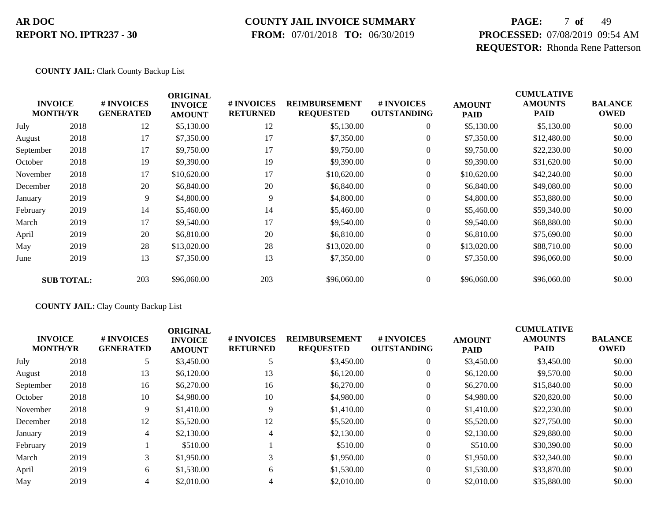### **COUNTY JAIL INVOICE SUMMARY**

 **FROM:** 07/01/2018 **TO:** 06/30/2019

# **PAGE:** 7 **of** 49 **PROCESSED:** 07/08/2019 09:54 AM **REQUESTOR:** Rhonda Rene Patterson

#### **COUNTY JAIL:** Clark County Backup List

| <b>INVOICE</b><br><b>MONTH/YR</b> |                   | # INVOICES<br><b>GENERATED</b> | <b>ORIGINAL</b><br><b>INVOICE</b> | # INVOICES<br><b>RETURNED</b> | <b>REIMBURSEMENT</b><br><b>REQUESTED</b> | # INVOICES<br><b>OUTSTANDING</b> | <b>AMOUNT</b> | <b>CUMULATIVE</b><br><b>AMOUNTS</b><br><b>PAID</b> | <b>BALANCE</b><br><b>OWED</b> |
|-----------------------------------|-------------------|--------------------------------|-----------------------------------|-------------------------------|------------------------------------------|----------------------------------|---------------|----------------------------------------------------|-------------------------------|
|                                   |                   |                                | <b>AMOUNT</b>                     |                               |                                          |                                  | <b>PAID</b>   |                                                    |                               |
| July                              | 2018              | 12                             | \$5,130.00                        | 12                            | \$5,130.00                               | $\boldsymbol{0}$                 | \$5,130.00    | \$5,130.00                                         | \$0.00                        |
| August                            | 2018              | 17                             | \$7,350.00                        | 17                            | \$7,350.00                               | $\overline{0}$                   | \$7,350.00    | \$12,480.00                                        | \$0.00                        |
| September                         | 2018              | 17                             | \$9,750.00                        | 17                            | \$9,750.00                               | $\overline{0}$                   | \$9,750.00    | \$22,230.00                                        | \$0.00                        |
| October                           | 2018              | 19                             | \$9,390.00                        | 19                            | \$9,390.00                               | $\theta$                         | \$9,390.00    | \$31,620.00                                        | \$0.00                        |
| November                          | 2018              | 17                             | \$10,620.00                       | 17                            | \$10,620.00                              | $\boldsymbol{0}$                 | \$10,620.00   | \$42,240.00                                        | \$0.00                        |
| December                          | 2018              | 20                             | \$6,840.00                        | 20                            | \$6,840.00                               | $\boldsymbol{0}$                 | \$6,840.00    | \$49,080.00                                        | \$0.00                        |
| January                           | 2019              | 9                              | \$4,800.00                        | 9                             | \$4,800.00                               | $\overline{0}$                   | \$4,800.00    | \$53,880.00                                        | \$0.00                        |
| February                          | 2019              | 14                             | \$5,460.00                        | 14                            | \$5,460.00                               | $\boldsymbol{0}$                 | \$5,460.00    | \$59,340.00                                        | \$0.00                        |
| March                             | 2019              | 17                             | \$9,540.00                        | 17                            | \$9,540.00                               | $\boldsymbol{0}$                 | \$9,540.00    | \$68,880.00                                        | \$0.00                        |
| April                             | 2019              | 20                             | \$6,810.00                        | 20                            | \$6,810.00                               | $\overline{0}$                   | \$6,810.00    | \$75,690.00                                        | \$0.00                        |
| May                               | 2019              | 28                             | \$13,020.00                       | 28                            | \$13,020.00                              | $\overline{0}$                   | \$13,020.00   | \$88,710.00                                        | \$0.00                        |
| June                              | 2019              | 13                             | \$7,350.00                        | 13                            | \$7,350.00                               | $\boldsymbol{0}$                 | \$7,350.00    | \$96,060.00                                        | \$0.00                        |
|                                   | <b>SUB TOTAL:</b> | 203                            | \$96,060.00                       | 203                           | \$96,060.00                              | $\boldsymbol{0}$                 | \$96,060.00   | \$96,060.00                                        | \$0.00                        |

#### **COUNTY JAIL:** Clay County Backup List

|           | <b>INVOICE</b><br><b>MONTH/YR</b> | <b>#INVOICES</b><br><b>GENERATED</b> | <b>ORIGINAL</b><br><b>INVOICE</b><br><b>AMOUNT</b> | <b># INVOICES</b><br><b>RETURNED</b> | <b>REIMBURSEMENT</b><br><b>REQUESTED</b> | # INVOICES<br><b>OUTSTANDING</b> | <b>AMOUNT</b><br><b>PAID</b> | <b>CUMULATIVE</b><br><b>AMOUNTS</b><br><b>PAID</b> | <b>BALANCE</b><br><b>OWED</b> |
|-----------|-----------------------------------|--------------------------------------|----------------------------------------------------|--------------------------------------|------------------------------------------|----------------------------------|------------------------------|----------------------------------------------------|-------------------------------|
| July      | 2018                              | 5                                    | \$3,450.00                                         |                                      | \$3,450.00                               | $\theta$                         | \$3,450.00                   | \$3,450.00                                         | \$0.00                        |
| August    | 2018                              | 13                                   | \$6,120.00                                         | 13                                   | \$6,120.00                               | $\theta$                         | \$6,120.00                   | \$9,570.00                                         | \$0.00                        |
| September | 2018                              | 16                                   | \$6,270.00                                         | 16                                   | \$6,270.00                               | $\theta$                         | \$6,270.00                   | \$15,840.00                                        | \$0.00                        |
| October   | 2018                              | 10                                   | \$4,980.00                                         | 10                                   | \$4,980.00                               | $\theta$                         | \$4,980.00                   | \$20,820.00                                        | \$0.00                        |
| November  | 2018                              | 9                                    | \$1,410.00                                         | 9                                    | \$1,410.00                               | $\theta$                         | \$1,410.00                   | \$22,230.00                                        | \$0.00                        |
| December  | 2018                              | 12                                   | \$5,520.00                                         | 12                                   | \$5,520.00                               | $\theta$                         | \$5,520.00                   | \$27,750.00                                        | \$0.00                        |
| January   | 2019                              | 4                                    | \$2,130.00                                         | 4                                    | \$2,130.00                               | $\theta$                         | \$2,130.00                   | \$29,880.00                                        | \$0.00                        |
| February  | 2019                              |                                      | \$510.00                                           |                                      | \$510.00                                 | $\theta$                         | \$510.00                     | \$30,390.00                                        | \$0.00                        |
| March     | 2019                              | 3                                    | \$1,950.00                                         |                                      | \$1,950.00                               | $\mathbf{0}$                     | \$1,950.00                   | \$32,340.00                                        | \$0.00                        |
| April     | 2019                              | 6                                    | \$1,530.00                                         | 6                                    | \$1,530.00                               | $\Omega$                         | \$1,530.00                   | \$33,870.00                                        | \$0.00                        |
| May       | 2019                              | 4                                    | \$2,010.00                                         |                                      | \$2,010.00                               | $\theta$                         | \$2,010.00                   | \$35,880.00                                        | \$0.00                        |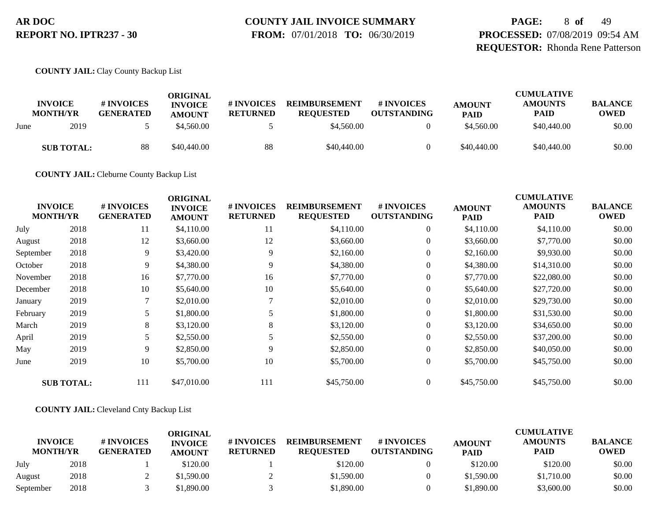# **COUNTY JAIL INVOICE SUMMARY**

 **FROM:** 07/01/2018 **TO:** 06/30/2019

**PAGE:** 8 **of** 49 **PROCESSED:** 07/08/2019 09:54 AM **REQUESTOR:** Rhonda Rene Patterson

**COUNTY JAIL:** Clay County Backup List

|      | <b>INVOICE</b><br><b>MONTH/YR</b> | # INVOICES<br><b>GENERATED</b> | ORIGINAL<br><b>INVOICE</b><br><b>AMOUNT</b> | <b>#INVOICES</b><br><b>RETURNED</b> | <b>REIMBURSEMENT</b><br><b>REOUESTED</b> | # INVOICES<br><b>OUTSTANDING</b> | <b>AMOUNT</b><br><b>PAID</b> | <b>CUMULATIVE</b><br><b>AMOUNTS</b><br><b>PAID</b> | <b>BALANCE</b><br>OWED |
|------|-----------------------------------|--------------------------------|---------------------------------------------|-------------------------------------|------------------------------------------|----------------------------------|------------------------------|----------------------------------------------------|------------------------|
| June | 2019                              |                                | \$4,560.00                                  |                                     | \$4,560.00                               |                                  | \$4,560.00                   | \$40,440.00                                        | \$0.00                 |
|      | <b>SUB TOTAL:</b>                 | 88                             | \$40,440.00                                 | 88                                  | \$40,440.00                              |                                  | \$40,440.00                  | \$40,440.00                                        | \$0.00                 |

**COUNTY JAIL:** Cleburne County Backup List

| <b>INVOICE</b><br><b>MONTH/YR</b> |                   | # INVOICES<br><b>GENERATED</b> | <b>ORIGINAL</b><br><b>INVOICE</b><br><b>AMOUNT</b> | # INVOICES<br><b>RETURNED</b> | <b>REIMBURSEMENT</b><br><b>REQUESTED</b> | # INVOICES<br><b>OUTSTANDING</b> | <b>AMOUNT</b><br><b>PAID</b> | <b>CUMULATIVE</b><br><b>AMOUNTS</b><br><b>PAID</b> | <b>BALANCE</b><br><b>OWED</b> |
|-----------------------------------|-------------------|--------------------------------|----------------------------------------------------|-------------------------------|------------------------------------------|----------------------------------|------------------------------|----------------------------------------------------|-------------------------------|
| July                              | 2018              | 11                             | \$4,110.00                                         | 11                            | \$4,110.00                               | $\boldsymbol{0}$                 | \$4,110.00                   | \$4,110.00                                         | \$0.00                        |
| August                            | 2018              | 12                             | \$3,660.00                                         | 12                            | \$3,660.00                               | $\boldsymbol{0}$                 | \$3,660.00                   | \$7,770.00                                         | \$0.00                        |
| September                         | 2018              | 9                              | \$3,420.00                                         | 9                             | \$2,160.00                               | $\overline{0}$                   | \$2,160.00                   | \$9,930.00                                         | \$0.00                        |
| October                           | 2018              | 9                              | \$4,380.00                                         | 9                             | \$4,380.00                               | $\boldsymbol{0}$                 | \$4,380.00                   | \$14,310.00                                        | \$0.00                        |
| November                          | 2018              | 16                             | \$7,770.00                                         | 16                            | \$7,770.00                               | $\mathbf{0}$                     | \$7,770.00                   | \$22,080.00                                        | \$0.00                        |
| December                          | 2018              | 10                             | \$5,640.00                                         | 10                            | \$5,640.00                               | $\overline{0}$                   | \$5,640.00                   | \$27,720.00                                        | \$0.00                        |
| January                           | 2019              | 7                              | \$2,010.00                                         |                               | \$2,010.00                               | $\boldsymbol{0}$                 | \$2,010.00                   | \$29,730.00                                        | \$0.00                        |
| February                          | 2019              |                                | \$1,800.00                                         | 5                             | \$1,800.00                               | $\boldsymbol{0}$                 | \$1,800.00                   | \$31,530.00                                        | \$0.00                        |
| March                             | 2019              | 8                              | \$3,120.00                                         | 8                             | \$3,120.00                               | $\overline{0}$                   | \$3,120.00                   | \$34,650.00                                        | \$0.00                        |
| April                             | 2019              | 5                              | \$2,550.00                                         |                               | \$2,550.00                               | $\boldsymbol{0}$                 | \$2,550.00                   | \$37,200.00                                        | \$0.00                        |
| May                               | 2019              | 9                              | \$2,850.00                                         | 9                             | \$2,850.00                               | $\overline{0}$                   | \$2,850.00                   | \$40,050.00                                        | \$0.00                        |
| June                              | 2019              | 10                             | \$5,700.00                                         | 10                            | \$5,700.00                               | $\boldsymbol{0}$                 | \$5,700.00                   | \$45,750.00                                        | \$0.00                        |
|                                   | <b>SUB TOTAL:</b> | 111                            | \$47,010.00                                        | 111                           | \$45,750.00                              | $\overline{0}$                   | \$45,750.00                  | \$45,750.00                                        | \$0.00                        |

#### **COUNTY JAIL:** Cleveland Cnty Backup List

|                                   |      |                                | ORIGINAL                        |                               |                                          |                                  |                              | <b>CUMULATIVE</b>      |                               |
|-----------------------------------|------|--------------------------------|---------------------------------|-------------------------------|------------------------------------------|----------------------------------|------------------------------|------------------------|-------------------------------|
| <b>INVOICE</b><br><b>MONTH/YR</b> |      | # INVOICES<br><b>GENERATED</b> | <b>INVOICE</b><br><b>AMOUNT</b> | # INVOICES<br><b>RETURNED</b> | <b>REIMBURSEMENT</b><br><b>REOUESTED</b> | # INVOICES<br><b>OUTSTANDING</b> | <b>AMOUNT</b><br><b>PAID</b> | <b>AMOUNTS</b><br>PAID | <b>BALANCE</b><br><b>OWED</b> |
| July                              | 2018 |                                | \$120.00                        |                               | \$120.00                                 |                                  | \$120.00                     | \$120.00               | \$0.00                        |
| August                            | 2018 |                                | \$1,590.00                      |                               | \$1,590.00                               |                                  | \$1,590.00                   | \$1,710.00             | \$0.00                        |
| September                         | 2018 |                                | \$1.890.00                      |                               | \$1,890.00                               |                                  | \$1,890.00                   | \$3,600.00             | \$0.00                        |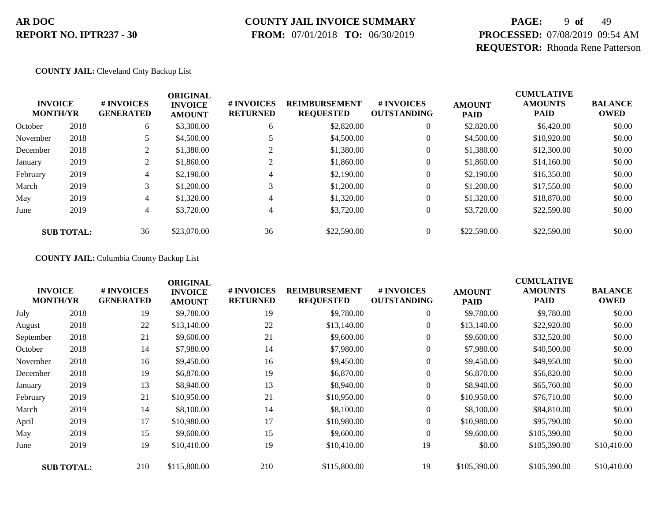### **COUNTY JAIL INVOICE SUMMARY**

 **FROM:** 07/01/2018 **TO:** 06/30/2019

# **PAGE:** 9 **of** 49 **PROCESSED:** 07/08/2019 09:54 AM **REQUESTOR:** Rhonda Rene Patterson

#### **COUNTY JAIL:** Cleveland Cnty Backup List

|          | <b>INVOICE</b><br><b>MONTH/YR</b> | # INVOICES<br><b>GENERATED</b> | <b>ORIGINAL</b><br><b>INVOICE</b><br><b>AMOUNT</b> | # INVOICES<br><b>RETURNED</b> | <b>REIMBURSEMENT</b><br><b>REQUESTED</b> | <b>#INVOICES</b><br><b>OUTSTANDING</b> | <b>AMOUNT</b><br><b>PAID</b> | <b>CUMULATIVE</b><br><b>AMOUNTS</b><br><b>PAID</b> | <b>BALANCE</b><br><b>OWED</b> |
|----------|-----------------------------------|--------------------------------|----------------------------------------------------|-------------------------------|------------------------------------------|----------------------------------------|------------------------------|----------------------------------------------------|-------------------------------|
| October  | 2018                              | 6                              | \$3,300.00                                         | 6                             | \$2,820.00                               | $\mathbf{0}$                           | \$2,820.00                   | \$6,420.00                                         | \$0.00                        |
| November | 2018                              |                                | \$4,500.00                                         |                               | \$4,500.00                               | $\mathbf{0}$                           | \$4,500.00                   | \$10,920.00                                        | \$0.00                        |
| December | 2018                              | $\gamma$                       | \$1,380.00                                         | $\bigcap$                     | \$1,380.00                               | $\mathbf{0}$                           | \$1,380.00                   | \$12,300.00                                        | \$0.00                        |
| January  | 2019                              | 2                              | \$1,860.00                                         | $\gamma$                      | \$1,860.00                               | $\mathbf{0}$                           | \$1,860.00                   | \$14,160.00                                        | \$0.00                        |
| February | 2019                              | $\overline{4}$                 | \$2,190.00                                         | 4                             | \$2,190.00                               | $\boldsymbol{0}$                       | \$2,190.00                   | \$16,350.00                                        | \$0.00                        |
| March    | 2019                              | 3                              | \$1,200.00                                         | 3                             | \$1,200.00                               | $\mathbf{0}$                           | \$1,200.00                   | \$17,550.00                                        | \$0.00                        |
| May      | 2019                              | 4                              | \$1,320.00                                         | 4                             | \$1,320.00                               | $\mathbf{0}$                           | \$1,320.00                   | \$18,870.00                                        | \$0.00                        |
| June     | 2019                              | 4                              | \$3,720.00                                         | 4                             | \$3,720.00                               | $\overline{0}$                         | \$3,720.00                   | \$22,590.00                                        | \$0.00                        |
|          | <b>SUB TOTAL:</b>                 | 36                             | \$23,070.00                                        | 36                            | \$22,590.00                              |                                        | \$22,590.00                  | \$22,590.00                                        | \$0.00                        |

**COUNTY JAIL:** Columbia County Backup List

| <b>INVOICE</b><br><b>MONTH/YR</b> |                   | # INVOICES<br><b>GENERATED</b> | <b>ORIGINAL</b><br><b>INVOICE</b><br><b>AMOUNT</b> | # INVOICES<br><b>RETURNED</b> | <b>REIMBURSEMENT</b><br><b>REQUESTED</b> | # INVOICES<br><b>OUTSTANDING</b> | <b>AMOUNT</b><br><b>PAID</b> | <b>CUMULATIVE</b><br><b>AMOUNTS</b><br><b>PAID</b> | <b>BALANCE</b><br><b>OWED</b> |
|-----------------------------------|-------------------|--------------------------------|----------------------------------------------------|-------------------------------|------------------------------------------|----------------------------------|------------------------------|----------------------------------------------------|-------------------------------|
| July                              | 2018              | 19                             | \$9,780.00                                         | 19                            | \$9,780.00                               | $\overline{0}$                   | \$9,780.00                   | \$9,780.00                                         | \$0.00                        |
| August                            | 2018              | 22                             | \$13,140.00                                        | 22                            | \$13,140.00                              | $\overline{0}$                   | \$13,140.00                  | \$22,920.00                                        | \$0.00                        |
| September                         | 2018              | 21                             | \$9,600.00                                         | 21                            | \$9,600.00                               | $\overline{0}$                   | \$9,600.00                   | \$32,520.00                                        | \$0.00                        |
| October                           | 2018              | 14                             | \$7,980.00                                         | 14                            | \$7,980.00                               | 0                                | \$7,980.00                   | \$40,500.00                                        | \$0.00                        |
| November                          | 2018              | 16                             | \$9,450.00                                         | 16                            | \$9,450.00                               | $\overline{0}$                   | \$9,450.00                   | \$49,950.00                                        | \$0.00                        |
| December                          | 2018              | 19                             | \$6,870.00                                         | 19                            | \$6,870.00                               | $\overline{0}$                   | \$6,870.00                   | \$56,820.00                                        | \$0.00                        |
| January                           | 2019              | 13                             | \$8,940.00                                         | 13                            | \$8,940.00                               | $\boldsymbol{0}$                 | \$8,940.00                   | \$65,760.00                                        | \$0.00                        |
| February                          | 2019              | 21                             | \$10,950.00                                        | 21                            | \$10,950.00                              | $\overline{0}$                   | \$10,950.00                  | \$76,710.00                                        | \$0.00                        |
| March                             | 2019              | 14                             | \$8,100.00                                         | 14                            | \$8,100.00                               | $\overline{0}$                   | \$8,100.00                   | \$84,810.00                                        | \$0.00                        |
| April                             | 2019              | 17                             | \$10,980.00                                        | 17                            | \$10,980.00                              | $\overline{0}$                   | \$10,980.00                  | \$95,790.00                                        | \$0.00                        |
| May                               | 2019              | 15                             | \$9,600.00                                         | 15                            | \$9,600.00                               | $\overline{0}$                   | \$9,600.00                   | \$105,390.00                                       | \$0.00                        |
| June                              | 2019              | 19                             | \$10,410.00                                        | 19                            | \$10,410.00                              | 19                               | \$0.00                       | \$105,390.00                                       | \$10,410.00                   |
|                                   | <b>SUB TOTAL:</b> | 210                            | \$115,800.00                                       | 210                           | \$115,800.00                             | 19                               | \$105,390.00                 | \$105,390.00                                       | \$10,410.00                   |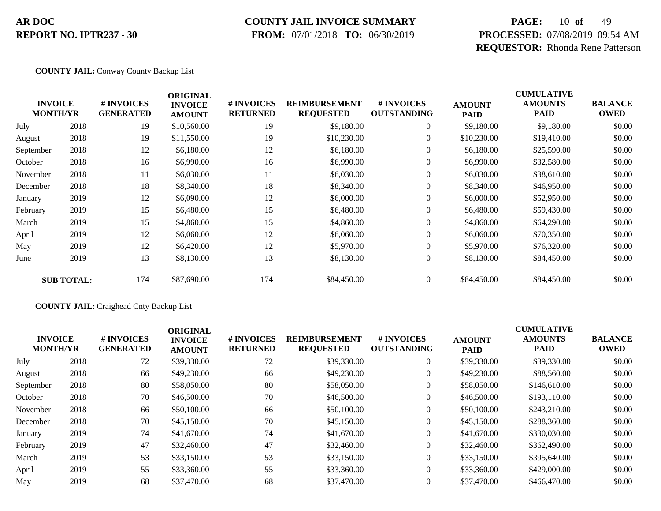# **COUNTY JAIL INVOICE SUMMARY**

 **FROM:** 07/01/2018 **TO:** 06/30/2019

# **PAGE:** 10 **of** 49 **PROCESSED:** 07/08/2019 09:54 AM **REQUESTOR:** Rhonda Rene Patterson

#### **COUNTY JAIL:** Conway County Backup List

|           | <b>INVOICE</b><br><b>MONTH/YR</b> | # INVOICES<br><b>GENERATED</b> | <b>ORIGINAL</b><br><b>INVOICE</b><br><b>AMOUNT</b> | # INVOICES<br><b>RETURNED</b> | <b>REIMBURSEMENT</b><br><b>REQUESTED</b> | # INVOICES<br><b>OUTSTANDING</b> | <b>AMOUNT</b><br><b>PAID</b> | <b>CUMULATIVE</b><br><b>AMOUNTS</b><br><b>PAID</b> | <b>BALANCE</b><br><b>OWED</b> |
|-----------|-----------------------------------|--------------------------------|----------------------------------------------------|-------------------------------|------------------------------------------|----------------------------------|------------------------------|----------------------------------------------------|-------------------------------|
| July      | 2018                              | 19                             | \$10,560.00                                        | 19                            | \$9,180.00                               | $\overline{0}$                   | \$9,180.00                   | \$9,180.00                                         | \$0.00                        |
| August    | 2018                              | 19                             | \$11,550.00                                        | 19                            | \$10,230.00                              | $\overline{0}$                   | \$10,230.00                  | \$19,410.00                                        | \$0.00                        |
| September | 2018                              | 12                             | \$6,180.00                                         | 12                            | \$6,180.00                               | $\boldsymbol{0}$                 | \$6,180.00                   | \$25,590.00                                        | \$0.00                        |
| October   | 2018                              | 16                             | \$6,990.00                                         | 16                            | \$6,990.00                               | $\boldsymbol{0}$                 | \$6,990.00                   | \$32,580.00                                        | \$0.00                        |
| November  | 2018                              | 11                             | \$6,030.00                                         | 11                            | \$6,030.00                               | $\boldsymbol{0}$                 | \$6,030.00                   | \$38,610.00                                        | \$0.00                        |
| December  | 2018                              | 18                             | \$8,340.00                                         | 18                            | \$8,340.00                               | $\overline{0}$                   | \$8,340.00                   | \$46,950.00                                        | \$0.00                        |
| January   | 2019                              | 12                             | \$6,090.00                                         | 12                            | \$6,000.00                               | $\overline{0}$                   | \$6,000.00                   | \$52,950.00                                        | \$0.00                        |
| February  | 2019                              | 15                             | \$6,480.00                                         | 15                            | \$6,480.00                               | $\boldsymbol{0}$                 | \$6,480.00                   | \$59,430.00                                        | \$0.00                        |
| March     | 2019                              | 15                             | \$4,860.00                                         | 15                            | \$4,860.00                               | $\overline{0}$                   | \$4,860.00                   | \$64,290.00                                        | \$0.00                        |
| April     | 2019                              | 12                             | \$6,060.00                                         | 12                            | \$6,060.00                               | $\overline{0}$                   | \$6,060.00                   | \$70,350.00                                        | \$0.00                        |
| May       | 2019                              | 12                             | \$6,420.00                                         | 12                            | \$5,970.00                               | $\overline{0}$                   | \$5,970.00                   | \$76,320.00                                        | \$0.00                        |
| June      | 2019                              | 13                             | \$8,130.00                                         | 13                            | \$8,130.00                               | $\boldsymbol{0}$                 | \$8,130.00                   | \$84,450.00                                        | \$0.00                        |
|           | <b>SUB TOTAL:</b>                 | 174                            | \$87,690.00                                        | 174                           | \$84,450.00                              | $\overline{0}$                   | \$84,450.00                  | \$84,450.00                                        | \$0.00                        |

#### **COUNTY JAIL:** Craighead Cnty Backup List

|                                   |      |                                      | <b>ORIGINAL</b>                 |                                      |                                          |                                  |                              | <b>CUMULATIVE</b>             |                               |
|-----------------------------------|------|--------------------------------------|---------------------------------|--------------------------------------|------------------------------------------|----------------------------------|------------------------------|-------------------------------|-------------------------------|
| <b>INVOICE</b><br><b>MONTH/YR</b> |      | <b>#INVOICES</b><br><b>GENERATED</b> | <b>INVOICE</b><br><b>AMOUNT</b> | <b># INVOICES</b><br><b>RETURNED</b> | <b>REIMBURSEMENT</b><br><b>REQUESTED</b> | # INVOICES<br><b>OUTSTANDING</b> | <b>AMOUNT</b><br><b>PAID</b> | <b>AMOUNTS</b><br><b>PAID</b> | <b>BALANCE</b><br><b>OWED</b> |
| July                              | 2018 | 72                                   | \$39,330.00                     | 72                                   | \$39,330.00                              | $\overline{0}$                   | \$39,330.00                  | \$39,330.00                   | \$0.00                        |
| August                            | 2018 | 66                                   | \$49,230.00                     | 66                                   | \$49,230.00                              | $\overline{0}$                   | \$49,230.00                  | \$88,560.00                   | \$0.00                        |
| September                         | 2018 | 80                                   | \$58,050.00                     | 80                                   | \$58,050.00                              | $\overline{0}$                   | \$58,050.00                  | \$146,610.00                  | \$0.00                        |
| October                           | 2018 | 70                                   | \$46,500.00                     | 70                                   | \$46,500.00                              | $\overline{0}$                   | \$46,500.00                  | \$193,110.00                  | \$0.00                        |
| November                          | 2018 | 66                                   | \$50,100.00                     | 66                                   | \$50,100.00                              | $\overline{0}$                   | \$50,100.00                  | \$243,210.00                  | \$0.00                        |
| December                          | 2018 | 70                                   | \$45,150.00                     | 70                                   | \$45,150.00                              | $\overline{0}$                   | \$45,150.00                  | \$288,360.00                  | \$0.00                        |
| January                           | 2019 | 74                                   | \$41,670.00                     | 74                                   | \$41,670.00                              | $\boldsymbol{0}$                 | \$41,670.00                  | \$330,030.00                  | \$0.00                        |
| February                          | 2019 | 47                                   | \$32,460.00                     | 47                                   | \$32,460.00                              | $\overline{0}$                   | \$32,460.00                  | \$362,490.00                  | \$0.00                        |
| March                             | 2019 | 53                                   | \$33,150.00                     | 53                                   | \$33,150.00                              | $\overline{0}$                   | \$33,150.00                  | \$395,640.00                  | \$0.00                        |
| April                             | 2019 | 55                                   | \$33,360.00                     | 55                                   | \$33,360.00                              | $\overline{0}$                   | \$33,360.00                  | \$429,000.00                  | \$0.00                        |
| May                               | 2019 | 68                                   | \$37,470.00                     | 68                                   | \$37,470.00                              | $\overline{0}$                   | \$37,470.00                  | \$466,470.00                  | \$0.00                        |
|                                   |      |                                      |                                 |                                      |                                          |                                  |                              |                               |                               |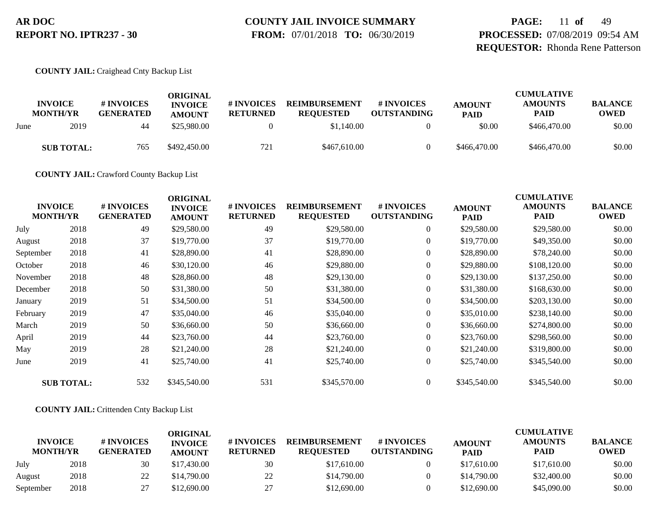# **COUNTY JAIL INVOICE SUMMARY**

 **FROM:** 07/01/2018 **TO:** 06/30/2019

**PAGE:** 11 **of** 49 **PROCESSED:** 07/08/2019 09:54 AM **REQUESTOR:** Rhonda Rene Patterson

#### **COUNTY JAIL:** Craighead Cnty Backup List

|      | <b>INVOICE</b><br><b>MONTH/YR</b> | # INVOICES<br><b>GENERATED</b> | ORIGINAL<br><b>INVOICE</b><br><b>AMOUNT</b> | # INVOICES<br><b>RETURNED</b> | <b>REIMBURSEMENT</b><br><b>REQUESTED</b> | # INVOICES<br><b>OUTSTANDING</b> | <b>AMOUNT</b><br><b>PAID</b> | <b>CUMULATIVE</b><br><b>AMOUNTS</b><br><b>PAID</b> | <b>BALANCE</b><br><b>OWED</b> |
|------|-----------------------------------|--------------------------------|---------------------------------------------|-------------------------------|------------------------------------------|----------------------------------|------------------------------|----------------------------------------------------|-------------------------------|
| June | 2019                              | 44                             | \$25,980.00                                 |                               | \$1,140.00                               |                                  | \$0.00                       | \$466,470.00                                       | \$0.00                        |
|      | <b>SUB TOTAL:</b>                 | 765                            | \$492,450.00                                | 721                           | \$467,610.00                             |                                  | \$466,470.00                 | \$466,470.00                                       | \$0.00                        |

**COUNTY JAIL:** Crawford County Backup List

| <b>INVOICE</b><br><b>MONTH/YR</b> |                   | # INVOICES<br><b>GENERATED</b> | <b>ORIGINAL</b><br><b>INVOICE</b><br><b>AMOUNT</b> | # INVOICES<br><b>RETURNED</b> | <b>REIMBURSEMENT</b><br><b>REQUESTED</b> | # INVOICES<br><b>OUTSTANDING</b> | <b>AMOUNT</b><br>PAID | <b>CUMULATIVE</b><br><b>AMOUNTS</b><br><b>PAID</b> | <b>BALANCE</b><br><b>OWED</b> |
|-----------------------------------|-------------------|--------------------------------|----------------------------------------------------|-------------------------------|------------------------------------------|----------------------------------|-----------------------|----------------------------------------------------|-------------------------------|
| July                              | 2018              | 49                             | \$29,580.00                                        | 49                            | \$29,580.00                              | $\boldsymbol{0}$                 | \$29,580.00           | \$29,580.00                                        | \$0.00                        |
| August                            | 2018              | 37                             | \$19,770.00                                        | 37                            | \$19,770.00                              | $\boldsymbol{0}$                 | \$19,770.00           | \$49,350.00                                        | \$0.00                        |
| September                         | 2018              | 41                             | \$28,890.00                                        | 41                            | \$28,890.00                              | $\boldsymbol{0}$                 | \$28,890.00           | \$78,240.00                                        | \$0.00                        |
| October                           | 2018              | 46                             | \$30,120.00                                        | 46                            | \$29,880.00                              | $\boldsymbol{0}$                 | \$29,880.00           | \$108,120.00                                       | \$0.00                        |
| November                          | 2018              | 48                             | \$28,860.00                                        | 48                            | \$29,130.00                              | $\overline{0}$                   | \$29,130.00           | \$137,250.00                                       | \$0.00                        |
| December                          | 2018              | 50                             | \$31,380.00                                        | 50                            | \$31,380.00                              | $\boldsymbol{0}$                 | \$31,380.00           | \$168,630.00                                       | \$0.00                        |
| January                           | 2019              | 51                             | \$34,500.00                                        | 51                            | \$34,500.00                              | $\overline{0}$                   | \$34,500.00           | \$203,130.00                                       | \$0.00                        |
| February                          | 2019              | 47                             | \$35,040.00                                        | 46                            | \$35,040.00                              | $\overline{0}$                   | \$35,010.00           | \$238,140.00                                       | \$0.00                        |
| March                             | 2019              | 50                             | \$36,660.00                                        | 50                            | \$36,660.00                              | $\overline{0}$                   | \$36,660.00           | \$274,800.00                                       | \$0.00                        |
| April                             | 2019              | 44                             | \$23,760.00                                        | 44                            | \$23,760.00                              | $\overline{0}$                   | \$23,760.00           | \$298,560.00                                       | \$0.00                        |
| May                               | 2019              | 28                             | \$21,240.00                                        | 28                            | \$21,240.00                              | $\overline{0}$                   | \$21,240.00           | \$319,800.00                                       | \$0.00                        |
| June                              | 2019              | 41                             | \$25,740.00                                        | 41                            | \$25,740.00                              | $\overline{0}$                   | \$25,740.00           | \$345,540.00                                       | \$0.00                        |
|                                   | <b>SUB TOTAL:</b> | 532                            | \$345,540.00                                       | 531                           | \$345,570.00                             | $\overline{0}$                   | \$345,540.00          | \$345,540.00                                       | \$0.00                        |

#### **COUNTY JAIL:** Crittenden Cnty Backup List

|                                   |      |                                | ORIGINAL                        |                               |                                          |                                  |                              | <b>CUMULATIVE</b>             |                               |
|-----------------------------------|------|--------------------------------|---------------------------------|-------------------------------|------------------------------------------|----------------------------------|------------------------------|-------------------------------|-------------------------------|
| <b>INVOICE</b><br><b>MONTH/YR</b> |      | # INVOICES<br><b>GENERATED</b> | <b>INVOICE</b><br><b>AMOUNT</b> | # INVOICES<br><b>RETURNED</b> | <b>REIMBURSEMENT</b><br><b>REOUESTED</b> | # INVOICES<br><b>OUTSTANDING</b> | <b>AMOUNT</b><br><b>PAID</b> | <b>AMOUNTS</b><br><b>PAID</b> | <b>BALANCE</b><br><b>OWED</b> |
| July                              | 2018 | 30                             | \$17,430.00                     | 30                            | \$17,610.00                              |                                  | \$17,610.00                  | \$17,610.00                   | \$0.00                        |
| August                            | 2018 | 22                             | \$14,790.00                     | 22                            | \$14,790.00                              |                                  | \$14,790.00                  | \$32,400.00                   | \$0.00                        |
| September                         | 2018 |                                | \$12,690.00                     | 27<br>، ت                     | \$12,690.00                              |                                  | \$12,690.00                  | \$45,090.00                   | \$0.00                        |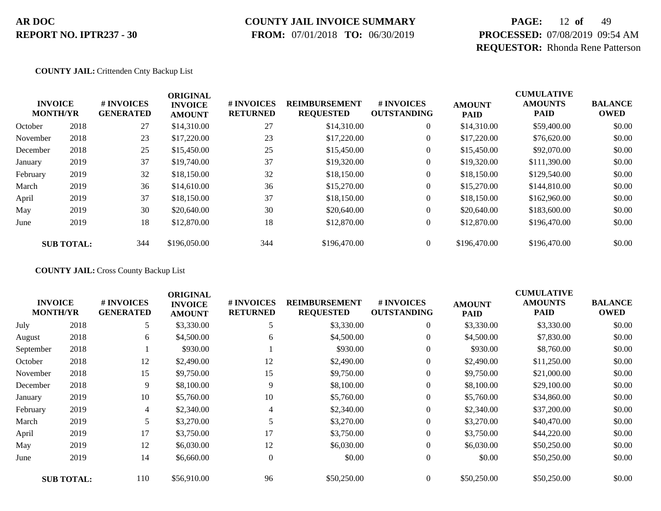# **COUNTY JAIL INVOICE SUMMARY**

 **FROM:** 07/01/2018 **TO:** 06/30/2019

# **PAGE:** 12 **of** 49 **PROCESSED:** 07/08/2019 09:54 AM **REQUESTOR:** Rhonda Rene Patterson

#### **COUNTY JAIL:** Crittenden Cnty Backup List

|          | <b>INVOICE</b><br><b>MONTH/YR</b> | # INVOICES<br><b>GENERATED</b> | <b>ORIGINAL</b><br><b>INVOICE</b><br><b>AMOUNT</b> | # INVOICES<br><b>RETURNED</b> | <b>REIMBURSEMENT</b><br><b>REQUESTED</b> | # INVOICES<br><b>OUTSTANDING</b> | <b>AMOUNT</b><br><b>PAID</b> | <b>CUMULATIVE</b><br><b>AMOUNTS</b><br><b>PAID</b> | <b>BALANCE</b><br><b>OWED</b> |
|----------|-----------------------------------|--------------------------------|----------------------------------------------------|-------------------------------|------------------------------------------|----------------------------------|------------------------------|----------------------------------------------------|-------------------------------|
| October  | 2018                              | 27                             | \$14,310.00                                        | 27                            | \$14,310.00                              | $\overline{0}$                   | \$14,310.00                  | \$59,400.00                                        | \$0.00                        |
| November | 2018                              | 23                             | \$17,220.00                                        | 23                            | \$17,220.00                              | $\overline{0}$                   | \$17,220.00                  | \$76,620.00                                        | \$0.00                        |
| December | 2018                              | 25                             | \$15,450.00                                        | 25                            | \$15,450.00                              | $\overline{0}$                   | \$15,450.00                  | \$92,070.00                                        | \$0.00                        |
| January  | 2019                              | 37                             | \$19,740.00                                        | 37                            | \$19,320.00                              | $\overline{0}$                   | \$19,320.00                  | \$111,390.00                                       | \$0.00                        |
| February | 2019                              | 32                             | \$18,150.00                                        | 32                            | \$18,150.00                              | $\boldsymbol{0}$                 | \$18,150.00                  | \$129,540.00                                       | \$0.00                        |
| March    | 2019                              | 36                             | \$14,610.00                                        | 36                            | \$15,270.00                              | $\overline{0}$                   | \$15,270.00                  | \$144,810.00                                       | \$0.00                        |
| April    | 2019                              | 37                             | \$18,150.00                                        | 37                            | \$18,150.00                              | $\overline{0}$                   | \$18,150.00                  | \$162,960.00                                       | \$0.00                        |
| May      | 2019                              | 30                             | \$20,640.00                                        | 30                            | \$20,640.00                              | $\overline{0}$                   | \$20,640.00                  | \$183,600.00                                       | \$0.00                        |
| June     | 2019                              | 18                             | \$12,870.00                                        | 18                            | \$12,870.00                              | $\boldsymbol{0}$                 | \$12,870.00                  | \$196,470.00                                       | \$0.00                        |
|          | <b>SUB TOTAL:</b>                 | 344                            | \$196,050.00                                       | 344                           | \$196,470.00                             | $\overline{0}$                   | \$196,470.00                 | \$196,470.00                                       | \$0.00                        |

**COUNTY JAIL:** Cross County Backup List

|                                   |                   |                                | <b>ORIGINAL</b>                 |                               |                                          |                                  |                              | <b>CUMULATIVE</b>             |                               |
|-----------------------------------|-------------------|--------------------------------|---------------------------------|-------------------------------|------------------------------------------|----------------------------------|------------------------------|-------------------------------|-------------------------------|
| <b>INVOICE</b><br><b>MONTH/YR</b> |                   | # INVOICES<br><b>GENERATED</b> | <b>INVOICE</b><br><b>AMOUNT</b> | # INVOICES<br><b>RETURNED</b> | <b>REIMBURSEMENT</b><br><b>REQUESTED</b> | # INVOICES<br><b>OUTSTANDING</b> | <b>AMOUNT</b><br><b>PAID</b> | <b>AMOUNTS</b><br><b>PAID</b> | <b>BALANCE</b><br><b>OWED</b> |
| July                              | 2018              | 5                              | \$3,330.00                      |                               | \$3,330.00                               | $\overline{0}$                   | \$3,330.00                   | \$3,330.00                    | \$0.00                        |
| August                            | 2018              | 6                              | \$4,500.00                      | 6                             | \$4,500.00                               | $\overline{0}$                   | \$4,500.00                   | \$7,830.00                    | \$0.00                        |
| September                         | 2018              |                                | \$930.00                        |                               | \$930.00                                 | $\overline{0}$                   | \$930.00                     | \$8,760.00                    | \$0.00                        |
| October                           | 2018              | 12                             | \$2,490.00                      | 12                            | \$2,490.00                               | 0                                | \$2,490.00                   | \$11,250.00                   | \$0.00                        |
| November                          | 2018              | 15                             | \$9,750.00                      | 15                            | \$9,750.00                               | $\overline{0}$                   | \$9,750.00                   | \$21,000.00                   | \$0.00                        |
| December                          | 2018              | 9                              | \$8,100.00                      | 9                             | \$8,100.00                               | $\overline{0}$                   | \$8,100.00                   | \$29,100.00                   | \$0.00                        |
| January                           | 2019              | 10                             | \$5,760.00                      | 10                            | \$5,760.00                               | $\overline{0}$                   | \$5,760.00                   | \$34,860.00                   | \$0.00                        |
| February                          | 2019              | 4                              | \$2,340.00                      | 4                             | \$2,340.00                               | $\overline{0}$                   | \$2,340.00                   | \$37,200.00                   | \$0.00                        |
| March                             | 2019              | 5                              | \$3,270.00                      | 5                             | \$3,270.00                               | 0                                | \$3,270.00                   | \$40,470.00                   | \$0.00                        |
| April                             | 2019              | 17                             | \$3,750.00                      | 17                            | \$3,750.00                               | $\overline{0}$                   | \$3,750.00                   | \$44,220.00                   | \$0.00                        |
| May                               | 2019              | 12                             | \$6,030.00                      | 12                            | \$6,030.00                               | $\overline{0}$                   | \$6,030.00                   | \$50,250.00                   | \$0.00                        |
| June                              | 2019              | 14                             | \$6,660.00                      | $\overline{0}$                | \$0.00                                   | $\overline{0}$                   | \$0.00                       | \$50,250.00                   | \$0.00                        |
|                                   | <b>SUB TOTAL:</b> | 110                            | \$56,910.00                     | 96                            | \$50,250.00                              | $\Omega$                         | \$50,250.00                  | \$50,250.00                   | \$0.00                        |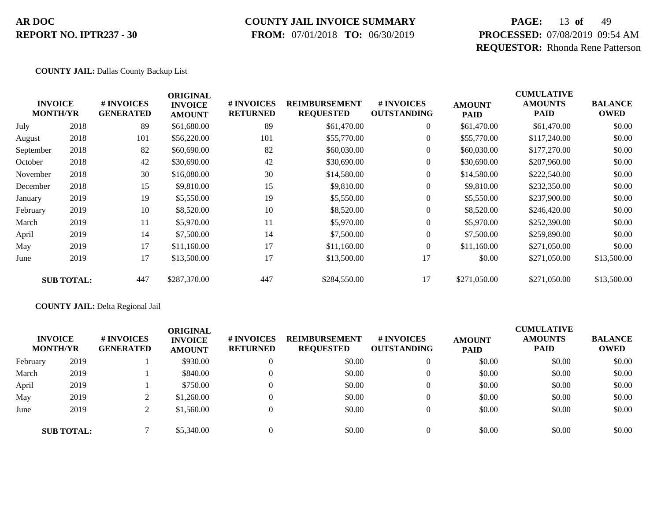### **COUNTY JAIL INVOICE SUMMARY**

 **FROM:** 07/01/2018 **TO:** 06/30/2019

# **PAGE:** 13 **of** 49 **PROCESSED:** 07/08/2019 09:54 AM **REQUESTOR:** Rhonda Rene Patterson

#### **COUNTY JAIL:** Dallas County Backup List

|           | <b>INVOICE</b><br><b>MONTH/YR</b> | # INVOICES<br><b>GENERATED</b> | <b>ORIGINAL</b><br><b>INVOICE</b><br><b>AMOUNT</b> | # INVOICES<br><b>RETURNED</b> | <b>REIMBURSEMENT</b><br><b>REQUESTED</b> | # INVOICES<br><b>OUTSTANDING</b> | <b>AMOUNT</b><br><b>PAID</b> | <b>CUMULATIVE</b><br><b>AMOUNTS</b><br>PAID | <b>BALANCE</b><br><b>OWED</b> |
|-----------|-----------------------------------|--------------------------------|----------------------------------------------------|-------------------------------|------------------------------------------|----------------------------------|------------------------------|---------------------------------------------|-------------------------------|
| July      | 2018                              | 89                             | \$61,680.00                                        | 89                            | \$61,470.00                              | $\overline{0}$                   | \$61,470.00                  | \$61,470.00                                 | \$0.00                        |
| August    | 2018                              | 101                            | \$56,220.00                                        | 101                           | \$55,770.00                              | $\overline{0}$                   | \$55,770.00                  | \$117,240.00                                | \$0.00                        |
| September | 2018                              | 82                             | \$60,690.00                                        | 82                            | \$60,030.00                              | $\overline{0}$                   | \$60,030.00                  | \$177,270.00                                | \$0.00                        |
| October   | 2018                              | 42                             | \$30,690.00                                        | 42                            | \$30,690.00                              | $\overline{0}$                   | \$30,690.00                  | \$207,960.00                                | \$0.00                        |
| November  | 2018                              | 30                             | \$16,080.00                                        | 30                            | \$14,580.00                              | $\overline{0}$                   | \$14,580.00                  | \$222,540.00                                | \$0.00                        |
| December  | 2018                              | 15                             | \$9,810.00                                         | 15                            | \$9,810.00                               | $\boldsymbol{0}$                 | \$9,810.00                   | \$232,350.00                                | \$0.00                        |
| January   | 2019                              | 19                             | \$5,550.00                                         | 19                            | \$5,550.00                               | $\overline{0}$                   | \$5,550.00                   | \$237,900.00                                | \$0.00                        |
| February  | 2019                              | 10                             | \$8,520.00                                         | 10                            | \$8,520.00                               | $\overline{0}$                   | \$8,520.00                   | \$246,420.00                                | \$0.00                        |
| March     | 2019                              | 11                             | \$5,970.00                                         | 11                            | \$5,970.00                               | $\overline{0}$                   | \$5,970.00                   | \$252,390.00                                | \$0.00                        |
| April     | 2019                              | 14                             | \$7,500.00                                         | 14                            | \$7,500.00                               | $\overline{0}$                   | \$7,500.00                   | \$259,890.00                                | \$0.00                        |
| May       | 2019                              | 17                             | \$11,160.00                                        | 17                            | \$11,160.00                              | $\overline{0}$                   | \$11,160.00                  | \$271,050.00                                | \$0.00                        |
| June      | 2019                              | 17                             | \$13,500.00                                        | 17                            | \$13,500.00                              | 17                               | \$0.00                       | \$271,050.00                                | \$13,500.00                   |
|           | <b>SUB TOTAL:</b>                 | 447                            | \$287,370.00                                       | 447                           | \$284,550.00                             | 17                               | \$271,050.00                 | \$271,050.00                                | \$13,500.00                   |

#### **COUNTY JAIL:** Delta Regional Jail

|          | <b>INVOICE</b><br><b>MONTH/YR</b> | # INVOICES<br><b>GENERATED</b> | ORIGINAL<br><b>INVOICE</b><br><b>AMOUNT</b> | # INVOICES<br><b>RETURNED</b> | <b>REIMBURSEMENT</b><br><b>REQUESTED</b> | # INVOICES<br><b>OUTSTANDING</b> | <b>AMOUNT</b><br><b>PAID</b> | <b>CUMULATIVE</b><br><b>AMOUNTS</b><br><b>PAID</b> | <b>BALANCE</b><br><b>OWED</b> |
|----------|-----------------------------------|--------------------------------|---------------------------------------------|-------------------------------|------------------------------------------|----------------------------------|------------------------------|----------------------------------------------------|-------------------------------|
| February | 2019                              |                                | \$930.00                                    | $\Omega$                      | \$0.00                                   | $\overline{0}$                   | \$0.00                       | \$0.00                                             | \$0.00                        |
| March    | 2019                              |                                | \$840.00                                    | $\Omega$                      | \$0.00                                   | $\Omega$                         | \$0.00                       | \$0.00                                             | \$0.00                        |
| April    | 2019                              |                                | \$750.00                                    | $\Omega$                      | \$0.00                                   | $\Omega$                         | \$0.00                       | \$0.00                                             | \$0.00                        |
| May      | 2019                              |                                | \$1,260.00                                  | $\Omega$                      | \$0.00                                   | $\Omega$                         | \$0.00                       | \$0.00                                             | \$0.00                        |
| June     | 2019                              |                                | \$1,560.00                                  | $\Omega$                      | \$0.00                                   | $\Omega$                         | \$0.00                       | \$0.00                                             | \$0.00                        |
|          | <b>SUB TOTAL:</b>                 |                                | \$5,340.00                                  | $\Omega$                      | \$0.00                                   | $\Omega$                         | \$0.00                       | \$0.00                                             | \$0.00                        |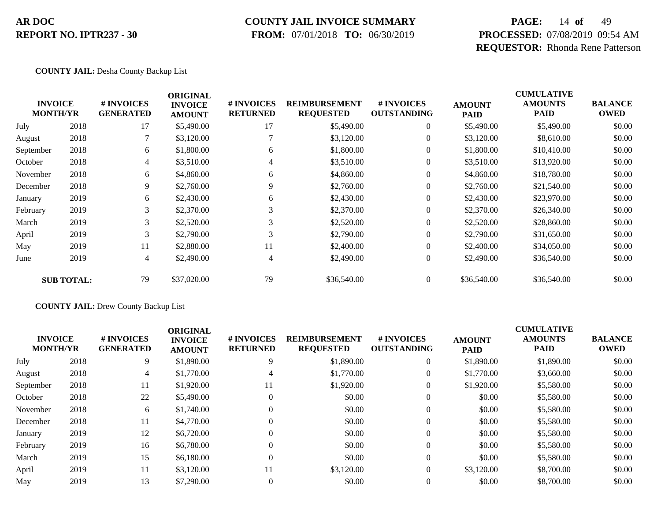### **COUNTY JAIL INVOICE SUMMARY**

 **FROM:** 07/01/2018 **TO:** 06/30/2019

# **PAGE:** 14 **of** 49 **PROCESSED:** 07/08/2019 09:54 AM **REQUESTOR:** Rhonda Rene Patterson

#### **COUNTY JAIL:** Desha County Backup List

|           | <b>INVOICE</b><br><b>MONTH/YR</b> | # INVOICES<br><b>GENERATED</b> | <b>ORIGINAL</b><br><b>INVOICE</b><br><b>AMOUNT</b> | # INVOICES<br><b>RETURNED</b> | <b>REIMBURSEMENT</b><br><b>REQUESTED</b> | # INVOICES<br><b>OUTSTANDING</b> | <b>AMOUNT</b><br><b>PAID</b> | <b>CUMULATIVE</b><br><b>AMOUNTS</b><br><b>PAID</b> | <b>BALANCE</b><br><b>OWED</b> |
|-----------|-----------------------------------|--------------------------------|----------------------------------------------------|-------------------------------|------------------------------------------|----------------------------------|------------------------------|----------------------------------------------------|-------------------------------|
| July      | 2018                              | 17                             | \$5,490.00                                         | 17                            | \$5,490.00                               | $\overline{0}$                   | \$5,490.00                   | \$5,490.00                                         | \$0.00                        |
| August    | 2018                              |                                | \$3,120.00                                         |                               | \$3,120.00                               | $\overline{0}$                   | \$3,120.00                   | \$8,610.00                                         | \$0.00                        |
| September | 2018                              | 6                              | \$1,800.00                                         | 6                             | \$1,800.00                               | $\overline{0}$                   | \$1,800.00                   | \$10,410.00                                        | \$0.00                        |
| October   | 2018                              | 4                              | \$3,510.00                                         | 4                             | \$3,510.00                               | 0                                | \$3,510.00                   | \$13,920.00                                        | \$0.00                        |
| November  | 2018                              | 6                              | \$4,860.00                                         | 6                             | \$4,860.00                               | $\overline{0}$                   | \$4,860.00                   | \$18,780.00                                        | \$0.00                        |
| December  | 2018                              | 9                              | \$2,760.00                                         | 9                             | \$2,760.00                               | $\overline{0}$                   | \$2,760.00                   | \$21,540.00                                        | \$0.00                        |
| January   | 2019                              | 6                              | \$2,430.00                                         | 6                             | \$2,430.00                               | $\overline{0}$                   | \$2,430.00                   | \$23,970.00                                        | \$0.00                        |
| February  | 2019                              | 3                              | \$2,370.00                                         | 3                             | \$2,370.00                               | $\boldsymbol{0}$                 | \$2,370.00                   | \$26,340.00                                        | \$0.00                        |
| March     | 2019                              | 3                              | \$2,520.00                                         | 3                             | \$2,520.00                               | $\overline{0}$                   | \$2,520.00                   | \$28,860.00                                        | \$0.00                        |
| April     | 2019                              | 3                              | \$2,790.00                                         | 3                             | \$2,790.00                               | $\overline{0}$                   | \$2,790.00                   | \$31,650.00                                        | \$0.00                        |
| May       | 2019                              | 11                             | \$2,880.00                                         | 11                            | \$2,400.00                               | $\overline{0}$                   | \$2,400.00                   | \$34,050.00                                        | \$0.00                        |
| June      | 2019                              | $\overline{4}$                 | \$2,490.00                                         | 4                             | \$2,490.00                               | $\boldsymbol{0}$                 | \$2,490.00                   | \$36,540.00                                        | \$0.00                        |
|           | <b>SUB TOTAL:</b>                 | 79                             | \$37,020.00                                        | 79                            | \$36,540.00                              | $\boldsymbol{0}$                 | \$36,540.00                  | \$36,540.00                                        | \$0.00                        |

#### **COUNTY JAIL:** Drew County Backup List

|           | <b>INVOICE</b><br><b>MONTH/YR</b> | # INVOICES<br><b>GENERATED</b> | <b>ORIGINAL</b><br><b>INVOICE</b><br><b>AMOUNT</b> | # INVOICES<br><b>RETURNED</b> | <b>REIMBURSEMENT</b><br><b>REQUESTED</b> | # INVOICES<br><b>OUTSTANDING</b> | <b>AMOUNT</b><br><b>PAID</b> | <b>CUMULATIVE</b><br><b>AMOUNTS</b><br><b>PAID</b> | <b>BALANCE</b><br><b>OWED</b> |
|-----------|-----------------------------------|--------------------------------|----------------------------------------------------|-------------------------------|------------------------------------------|----------------------------------|------------------------------|----------------------------------------------------|-------------------------------|
| July      | 2018                              | 9                              | \$1,890.00                                         | 9                             | \$1,890.00                               | $\theta$                         | \$1,890.00                   | \$1,890.00                                         | \$0.00                        |
| August    | 2018                              | 4                              | \$1,770.00                                         | 4                             | \$1,770.00                               | $\theta$                         | \$1,770.00                   | \$3,660.00                                         | \$0.00                        |
| September | 2018                              | 11                             | \$1,920.00                                         | 11                            | \$1,920.00                               |                                  | \$1,920.00                   | \$5,580.00                                         | \$0.00                        |
| October   | 2018                              | 22                             | \$5,490.00                                         |                               | \$0.00                                   | $\theta$                         | \$0.00                       | \$5,580.00                                         | \$0.00                        |
| November  | 2018                              | 6                              | \$1,740.00                                         |                               | \$0.00                                   | $\overline{0}$                   | \$0.00                       | \$5,580.00                                         | \$0.00                        |
| December  | 2018                              | 11                             | \$4,770.00                                         |                               | \$0.00                                   | $\theta$                         | \$0.00                       | \$5,580.00                                         | \$0.00                        |
| January   | 2019                              | 12                             | \$6,720.00                                         |                               | \$0.00                                   | $\overline{0}$                   | \$0.00                       | \$5,580.00                                         | \$0.00                        |
| February  | 2019                              | 16                             | \$6,780.00                                         |                               | \$0.00                                   | $\theta$                         | \$0.00                       | \$5,580.00                                         | \$0.00                        |
| March     | 2019                              | 15                             | \$6,180.00                                         | $\Omega$                      | \$0.00                                   | $\overline{0}$                   | \$0.00                       | \$5,580.00                                         | \$0.00                        |
| April     | 2019                              | 11                             | \$3,120.00                                         | 11                            | \$3,120.00                               | $\Omega$                         | \$3,120.00                   | \$8,700.00                                         | \$0.00                        |
| May       | 2019                              | 13                             | \$7,290.00                                         |                               | \$0.00                                   | $\Omega$                         | \$0.00                       | \$8,700.00                                         | \$0.00                        |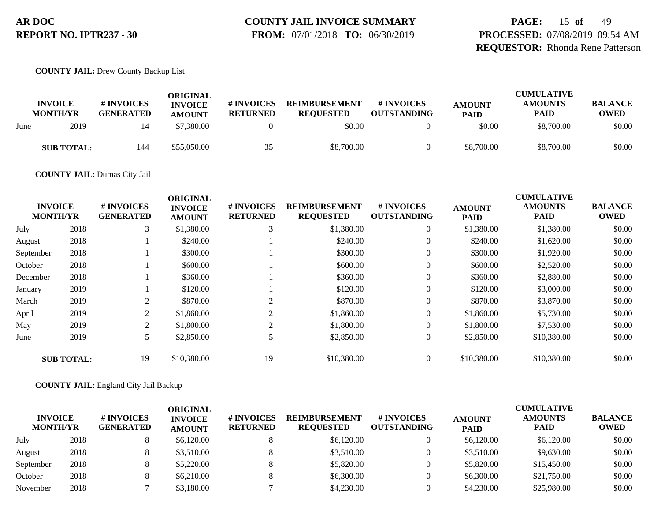# **COUNTY JAIL INVOICE SUMMARY**

 **FROM:** 07/01/2018 **TO:** 06/30/2019

**PAGE:** 15 **of** 49 **PROCESSED:** 07/08/2019 09:54 AM **REQUESTOR:** Rhonda Rene Patterson

#### **COUNTY JAIL:** Drew County Backup List

|      | <b>INVOICE</b><br><b>MONTH/YR</b> | # INVOICES<br><b>GENERATED</b> | ORIGINAL<br><b>INVOICE</b><br><b>AMOUNT</b> | <b># INVOICES</b><br><b>RETURNED</b> | <b>REIMBURSEMENT</b><br><b>REQUESTED</b> | # INVOICES<br><b>OUTSTANDING</b> | <b>AMOUNT</b><br><b>PAID</b> | <b>CUMULATIVE</b><br><b>AMOUNTS</b><br><b>PAID</b> | <b>BALANCE</b><br><b>OWED</b> |
|------|-----------------------------------|--------------------------------|---------------------------------------------|--------------------------------------|------------------------------------------|----------------------------------|------------------------------|----------------------------------------------------|-------------------------------|
| June | 2019                              | 14                             | \$7,380.00                                  |                                      | \$0.00                                   |                                  | \$0.00                       | \$8,700.00                                         | \$0.00                        |
|      | <b>SUB TOTAL:</b>                 | 144                            | \$55,050.00                                 | 35                                   | \$8,700.00                               | $\theta$                         | \$8,700.00                   | \$8,700.00                                         | \$0.00                        |

#### **COUNTY JAIL:** Dumas City Jail

|           |                                   |                                | <b>ORIGINAL</b>                 |                               |                                          |                                  |                              | <b>CUMULATIVE</b>             |                               |
|-----------|-----------------------------------|--------------------------------|---------------------------------|-------------------------------|------------------------------------------|----------------------------------|------------------------------|-------------------------------|-------------------------------|
|           | <b>INVOICE</b><br><b>MONTH/YR</b> | # INVOICES<br><b>GENERATED</b> | <b>INVOICE</b><br><b>AMOUNT</b> | # INVOICES<br><b>RETURNED</b> | <b>REIMBURSEMENT</b><br><b>REQUESTED</b> | # INVOICES<br><b>OUTSTANDING</b> | <b>AMOUNT</b><br><b>PAID</b> | <b>AMOUNTS</b><br><b>PAID</b> | <b>BALANCE</b><br><b>OWED</b> |
| July      | 2018                              | 3                              | \$1,380.00                      | 3                             | \$1,380.00                               | $\boldsymbol{0}$                 | \$1,380.00                   | \$1,380.00                    | \$0.00                        |
| August    | 2018                              |                                | \$240.00                        |                               | \$240.00                                 | $\overline{0}$                   | \$240.00                     | \$1,620.00                    | \$0.00                        |
| September | 2018                              |                                | \$300.00                        |                               | \$300.00                                 | $\overline{0}$                   | \$300.00                     | \$1,920.00                    | \$0.00                        |
| October   | 2018                              |                                | \$600.00                        |                               | \$600.00                                 | $\overline{0}$                   | \$600.00                     | \$2,520.00                    | \$0.00                        |
| December  | 2018                              |                                | \$360.00                        |                               | \$360.00                                 | $\overline{0}$                   | \$360.00                     | \$2,880.00                    | \$0.00                        |
| January   | 2019                              |                                | \$120.00                        |                               | \$120.00                                 | $\overline{0}$                   | \$120.00                     | \$3,000.00                    | \$0.00                        |
| March     | 2019                              | $\overline{c}$                 | \$870.00                        | $\sim$                        | \$870.00                                 | $\overline{0}$                   | \$870.00                     | \$3,870.00                    | \$0.00                        |
| April     | 2019                              | 2                              | \$1,860.00                      |                               | \$1,860.00                               | $\overline{0}$                   | \$1,860.00                   | \$5,730.00                    | \$0.00                        |
| May       | 2019                              | 2                              | \$1,800.00                      |                               | \$1,800.00                               | $\overline{0}$                   | \$1,800.00                   | \$7,530.00                    | \$0.00                        |
| June      | 2019                              | 5                              | \$2,850.00                      |                               | \$2,850.00                               | $\overline{0}$                   | \$2,850.00                   | \$10,380.00                   | \$0.00                        |
|           | <b>SUB TOTAL:</b>                 | 19                             | \$10,380.00                     | 19                            | \$10,380.00                              | $\overline{0}$                   | \$10,380.00                  | \$10,380.00                   | \$0.00                        |

#### **COUNTY JAIL:** England City Jail Backup

| <b>INVOICE</b><br><b>MONTH/YR</b> |      | # INVOICES<br><b>GENERATED</b> | ORIGINAL<br><b>INVOICE</b><br><b>AMOUNT</b> | # INVOICES<br><b>RETURNED</b> | <b>REIMBURSEMENT</b><br><b>REOUESTED</b> | # INVOICES<br><b>OUTSTANDING</b> | <b>AMOUNT</b><br><b>PAID</b> | <b>CUMULATIVE</b><br><b>AMOUNTS</b><br><b>PAID</b> | <b>BALANCE</b><br><b>OWED</b> |
|-----------------------------------|------|--------------------------------|---------------------------------------------|-------------------------------|------------------------------------------|----------------------------------|------------------------------|----------------------------------------------------|-------------------------------|
| July                              | 2018 |                                | \$6,120.00                                  |                               | \$6,120.00                               |                                  | \$6,120.00                   | \$6,120.00                                         | \$0.00                        |
| August                            | 2018 |                                | \$3,510.00                                  |                               | \$3,510.00                               |                                  | \$3,510.00                   | \$9,630.00                                         | \$0.00                        |
| September                         | 2018 |                                | \$5,220.00                                  |                               | \$5,820.00                               |                                  | \$5,820.00                   | \$15,450.00                                        | \$0.00                        |
| October                           | 2018 |                                | \$6,210.00                                  |                               | \$6,300.00                               |                                  | \$6,300.00                   | \$21,750.00                                        | \$0.00                        |
| November                          | 2018 |                                | \$3,180.00                                  |                               | \$4,230.00                               |                                  | \$4,230.00                   | \$25,980.00                                        | \$0.00                        |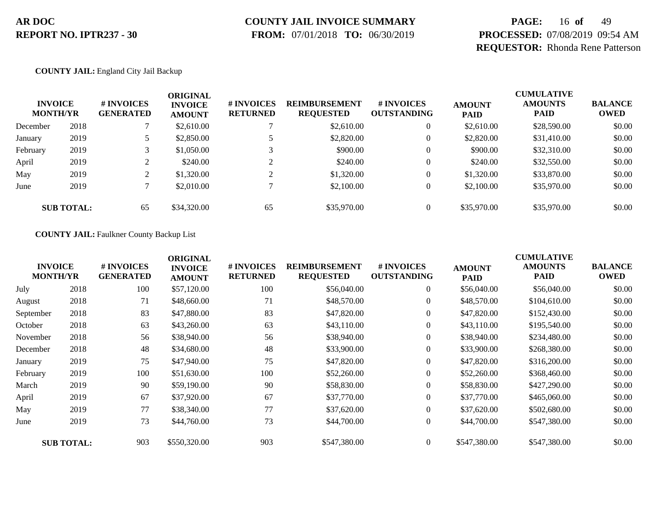# **COUNTY JAIL INVOICE SUMMARY**

 **FROM:** 07/01/2018 **TO:** 06/30/2019

# **PAGE:** 16 **of** 49 **PROCESSED:** 07/08/2019 09:54 AM **REQUESTOR:** Rhonda Rene Patterson

#### **COUNTY JAIL:** England City Jail Backup

|          | <b>INVOICE</b><br><b>MONTH/YR</b> | # INVOICES<br><b>GENERATED</b> | ORIGINAL<br><b>INVOICE</b><br><b>AMOUNT</b> | # INVOICES<br><b>RETURNED</b> | <b>REIMBURSEMENT</b><br><b>REQUESTED</b> | # INVOICES<br><b>OUTSTANDING</b> | <b>AMOUNT</b><br><b>PAID</b> | <b>CUMULATIVE</b><br><b>AMOUNTS</b><br><b>PAID</b> | <b>BALANCE</b><br><b>OWED</b> |
|----------|-----------------------------------|--------------------------------|---------------------------------------------|-------------------------------|------------------------------------------|----------------------------------|------------------------------|----------------------------------------------------|-------------------------------|
| December | 2018                              |                                | \$2,610.00                                  |                               | \$2,610.00                               | $\overline{0}$                   | \$2,610.00                   | \$28,590.00                                        | \$0.00                        |
| January  | 2019                              | 5                              | \$2,850.00                                  |                               | \$2,820.00                               | $\overline{0}$                   | \$2,820.00                   | \$31,410.00                                        | \$0.00                        |
| February | 2019                              |                                | \$1,050.00                                  | $\mathbf{\overline{3}}$       | \$900.00                                 | $\overline{0}$                   | \$900.00                     | \$32,310.00                                        | \$0.00                        |
| April    | 2019                              | $\gamma$                       | \$240.00                                    |                               | \$240.00                                 | $\overline{0}$                   | \$240.00                     | \$32,550.00                                        | \$0.00                        |
| May      | 2019                              | $\bigcap$<br>∠                 | \$1,320.00                                  | ◠                             | \$1,320.00                               | $\overline{0}$                   | \$1,320.00                   | \$33,870.00                                        | \$0.00                        |
| June     | 2019                              |                                | \$2,010.00                                  |                               | \$2,100.00                               | $\overline{0}$                   | \$2,100.00                   | \$35,970.00                                        | \$0.00                        |
|          | <b>SUB TOTAL:</b>                 | 65                             | \$34,320.00                                 | 65                            | \$35,970.00                              | $\overline{0}$                   | \$35,970.00                  | \$35,970.00                                        | \$0.00                        |

#### **COUNTY JAIL:** Faulkner County Backup List

|           | <b>INVOICE</b><br><b>MONTH/YR</b> | # INVOICES<br><b>GENERATED</b> | <b>ORIGINAL</b><br><b>INVOICE</b><br><b>AMOUNT</b> | # INVOICES<br><b>RETURNED</b> | <b>REIMBURSEMENT</b><br><b>REQUESTED</b> | # INVOICES<br><b>OUTSTANDING</b> | <b>AMOUNT</b><br><b>PAID</b> | <b>CUMULATIVE</b><br><b>AMOUNTS</b><br>PAID | <b>BALANCE</b><br><b>OWED</b> |
|-----------|-----------------------------------|--------------------------------|----------------------------------------------------|-------------------------------|------------------------------------------|----------------------------------|------------------------------|---------------------------------------------|-------------------------------|
| July      | 2018                              | 100                            | \$57,120.00                                        | 100                           | \$56,040.00                              | $\overline{0}$                   | \$56,040.00                  | \$56,040.00                                 | \$0.00                        |
| August    | 2018                              | 71                             | \$48,660.00                                        | 71                            | \$48,570.00                              | $\overline{0}$                   | \$48,570.00                  | \$104,610.00                                | \$0.00                        |
| September | 2018                              | 83                             | \$47,880.00                                        | 83                            | \$47,820.00                              | $\overline{0}$                   | \$47,820.00                  | \$152,430.00                                | \$0.00                        |
| October   | 2018                              | 63                             | \$43,260.00                                        | 63                            | \$43,110.00                              | $\overline{0}$                   | \$43,110.00                  | \$195,540.00                                | \$0.00                        |
| November  | 2018                              | 56                             | \$38,940.00                                        | 56                            | \$38,940.00                              | $\overline{0}$                   | \$38,940.00                  | \$234,480.00                                | \$0.00                        |
| December  | 2018                              | 48                             | \$34,680.00                                        | 48                            | \$33,900.00                              | $\overline{0}$                   | \$33,900.00                  | \$268,380.00                                | \$0.00                        |
| January   | 2019                              | 75                             | \$47,940.00                                        | 75                            | \$47,820.00                              | $\boldsymbol{0}$                 | \$47,820.00                  | \$316,200.00                                | \$0.00                        |
| February  | 2019                              | 100                            | \$51,630.00                                        | 100                           | \$52,260.00                              | $\overline{0}$                   | \$52,260.00                  | \$368,460.00                                | \$0.00                        |
| March     | 2019                              | 90                             | \$59,190.00                                        | 90                            | \$58,830.00                              | $\overline{0}$                   | \$58,830.00                  | \$427,290.00                                | \$0.00                        |
| April     | 2019                              | 67                             | \$37,920.00                                        | 67                            | \$37,770.00                              | $\boldsymbol{0}$                 | \$37,770.00                  | \$465,060.00                                | \$0.00                        |
| May       | 2019                              | 77                             | \$38,340.00                                        | 77                            | \$37,620.00                              | $\overline{0}$                   | \$37,620.00                  | \$502,680.00                                | \$0.00                        |
| June      | 2019                              | 73                             | \$44,760.00                                        | 73                            | \$44,700.00                              | $\boldsymbol{0}$                 | \$44,700.00                  | \$547,380.00                                | \$0.00                        |
|           | <b>SUB TOTAL:</b>                 | 903                            | \$550,320.00                                       | 903                           | \$547,380.00                             | $\overline{0}$                   | \$547,380.00                 | \$547,380.00                                | \$0.00                        |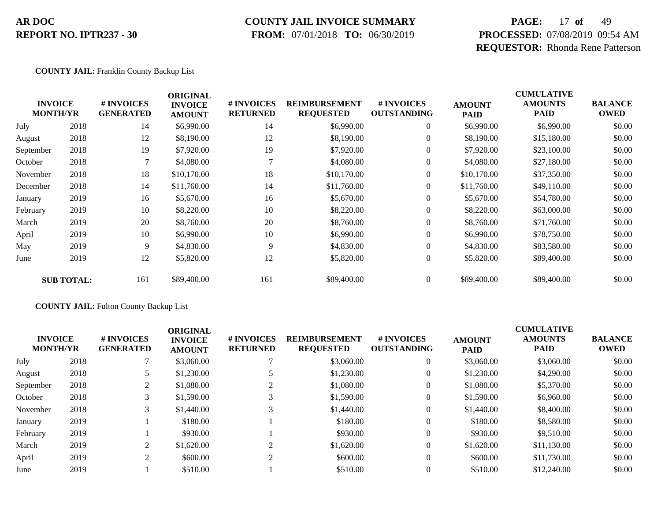### **COUNTY JAIL INVOICE SUMMARY**

 **FROM:** 07/01/2018 **TO:** 06/30/2019

# **PAGE:** 17 **of** 49 **PROCESSED:** 07/08/2019 09:54 AM **REQUESTOR:** Rhonda Rene Patterson

#### **COUNTY JAIL:** Franklin County Backup List

|           | <b>INVOICE</b>    | # INVOICES       | <b>ORIGINAL</b><br><b>INVOICE</b> | # INVOICES      | <b>REIMBURSEMENT</b> | # INVOICES         | <b>AMOUNT</b> | <b>CUMULATIVE</b><br><b>AMOUNTS</b> | <b>BALANCE</b> |
|-----------|-------------------|------------------|-----------------------------------|-----------------|----------------------|--------------------|---------------|-------------------------------------|----------------|
|           | <b>MONTH/YR</b>   | <b>GENERATED</b> | <b>AMOUNT</b>                     | <b>RETURNED</b> | <b>REQUESTED</b>     | <b>OUTSTANDING</b> | <b>PAID</b>   | <b>PAID</b>                         | <b>OWED</b>    |
| July      | 2018              | 14               | \$6,990.00                        | 14              | \$6,990.00           | $\boldsymbol{0}$   | \$6,990.00    | \$6,990.00                          | \$0.00         |
| August    | 2018              | 12               | \$8,190.00                        | 12              | \$8,190.00           | $\overline{0}$     | \$8,190.00    | \$15,180.00                         | \$0.00         |
| September | 2018              | 19               | \$7,920.00                        | 19              | \$7,920.00           | $\overline{0}$     | \$7,920.00    | \$23,100.00                         | \$0.00         |
| October   | 2018              | 7                | \$4,080.00                        |                 | \$4,080.00           | $\overline{0}$     | \$4,080.00    | \$27,180.00                         | \$0.00         |
| November  | 2018              | 18               | \$10,170.00                       | 18              | \$10,170.00          | $\boldsymbol{0}$   | \$10,170.00   | \$37,350.00                         | \$0.00         |
| December  | 2018              | 14               | \$11,760.00                       | 14              | \$11,760.00          | 0                  | \$11,760.00   | \$49,110.00                         | \$0.00         |
| January   | 2019              | 16               | \$5,670.00                        | 16              | \$5,670.00           | $\overline{0}$     | \$5,670.00    | \$54,780.00                         | \$0.00         |
| February  | 2019              | 10               | \$8,220.00                        | 10              | \$8,220.00           | $\boldsymbol{0}$   | \$8,220.00    | \$63,000.00                         | \$0.00         |
| March     | 2019              | 20               | \$8,760.00                        | 20              | \$8,760.00           | $\boldsymbol{0}$   | \$8,760.00    | \$71,760.00                         | \$0.00         |
| April     | 2019              | 10               | \$6,990.00                        | 10              | \$6,990.00           | $\overline{0}$     | \$6,990.00    | \$78,750.00                         | \$0.00         |
| May       | 2019              | 9                | \$4,830.00                        | 9               | \$4,830.00           | $\overline{0}$     | \$4,830.00    | \$83,580.00                         | \$0.00         |
| June      | 2019              | 12               | \$5,820.00                        | 12              | \$5,820.00           | $\boldsymbol{0}$   | \$5,820.00    | \$89,400.00                         | \$0.00         |
|           | <b>SUB TOTAL:</b> | 161              | \$89,400.00                       | 161             | \$89,400.00          | $\overline{0}$     | \$89,400.00   | \$89,400.00                         | \$0.00         |

#### **COUNTY JAIL:** Fulton County Backup List

|      | <b>#INVOICES</b><br><b>GENERATED</b> | <b>ORIGINAL</b><br><b>INVOICE</b><br><b>AMOUNT</b> | <b># INVOICES</b><br><b>RETURNED</b> | <b>REIMBURSEMENT</b><br><b>REQUESTED</b> | # INVOICES<br><b>OUTSTANDING</b> | <b>AMOUNT</b><br><b>PAID</b> | <b>CUMULATIVE</b><br><b>AMOUNTS</b><br><b>PAID</b> | <b>BALANCE</b><br><b>OWED</b> |
|------|--------------------------------------|----------------------------------------------------|--------------------------------------|------------------------------------------|----------------------------------|------------------------------|----------------------------------------------------|-------------------------------|
| 2018 |                                      | \$3,060.00                                         |                                      | \$3,060.00                               |                                  | \$3,060.00                   | \$3,060.00                                         | \$0.00                        |
| 2018 |                                      | \$1,230.00                                         |                                      | \$1,230.00                               | 0                                | \$1,230.00                   | \$4,290.00                                         | \$0.00                        |
| 2018 | 2                                    | \$1,080.00                                         |                                      | \$1,080.00                               | 0                                | \$1,080.00                   | \$5,370.00                                         | \$0.00                        |
| 2018 |                                      | \$1,590.00                                         |                                      | \$1,590.00                               |                                  | \$1,590.00                   | \$6,960.00                                         | \$0.00                        |
| 2018 | 3                                    | \$1,440.00                                         |                                      | \$1,440.00                               | $\theta$                         | \$1,440.00                   | \$8,400.00                                         | \$0.00                        |
| 2019 |                                      | \$180.00                                           |                                      | \$180.00                                 | $\theta$                         | \$180.00                     | \$8,580.00                                         | \$0.00                        |
| 2019 |                                      | \$930.00                                           |                                      | \$930.00                                 | $\Omega$                         | \$930.00                     | \$9,510.00                                         | \$0.00                        |
| 2019 | 2                                    | \$1,620.00                                         |                                      | \$1,620.00                               | $\theta$                         | \$1,620.00                   | \$11,130.00                                        | \$0.00                        |
| 2019 | $\gamma$                             | \$600.00                                           | ◠                                    | \$600.00                                 | $\theta$                         | \$600.00                     | \$11,730.00                                        | \$0.00                        |
| 2019 |                                      | \$510.00                                           |                                      | \$510.00                                 |                                  | \$510.00                     | \$12,240.00                                        | \$0.00                        |
|      | <b>INVOICE</b><br><b>MONTH/YR</b>    |                                                    |                                      |                                          |                                  |                              |                                                    |                               |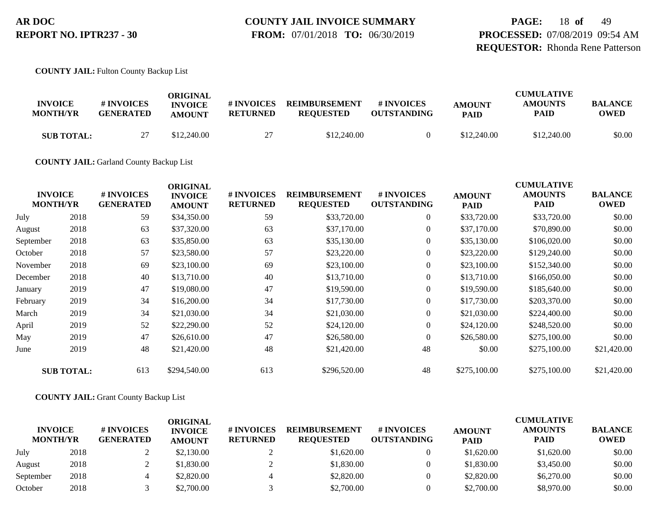**PAGE:** 18 **of** 49 **PROCESSED:** 07/08/2019 09:54 AM **REQUESTOR:** Rhonda Rene Patterson

**COUNTY JAIL:** Fulton County Backup List

| <b>INVOICE</b><br><b>MONTH/YR</b> | # INVOICES<br><b>GENERATED</b> | ORIGINAL<br><b>INVOICE</b><br><b>AMOUNT</b> | # INVOICES<br><b>RETURNED</b> | <b>REIMBURSEMENT</b><br><b>REOUESTED</b> | # INVOICES<br><b>OUTSTANDING</b> | <b>AMOUNT</b><br><b>PAID</b> | <b>CUMULATIVE</b><br><b>AMOUNTS</b><br>PAID | <b>BALANCE</b><br>OWED |
|-----------------------------------|--------------------------------|---------------------------------------------|-------------------------------|------------------------------------------|----------------------------------|------------------------------|---------------------------------------------|------------------------|
| <b>SUB TOTAL:</b>                 | าา<br>∠                        | \$12,240.00                                 | 27                            | \$12,240.00                              |                                  | \$12,240.00                  | \$12,240.00                                 | \$0.00                 |

**COUNTY JAIL:** Garland County Backup List

| <b>INVOICE</b><br><b>MONTH/YR</b> |                   | # INVOICES<br><b>GENERATED</b> | <b>ORIGINAL</b><br><b>INVOICE</b><br><b>AMOUNT</b> | # INVOICES<br><b>RETURNED</b> | <b>REIMBURSEMENT</b><br><b>REQUESTED</b> | # INVOICES<br><b>OUTSTANDING</b> | <b>AMOUNT</b><br><b>PAID</b> | <b>CUMULATIVE</b><br><b>AMOUNTS</b><br><b>PAID</b> | <b>BALANCE</b><br><b>OWED</b> |
|-----------------------------------|-------------------|--------------------------------|----------------------------------------------------|-------------------------------|------------------------------------------|----------------------------------|------------------------------|----------------------------------------------------|-------------------------------|
| July                              | 2018              | 59                             | \$34,350.00                                        | 59                            | \$33,720.00                              | $\overline{0}$                   | \$33,720.00                  | \$33,720.00                                        | \$0.00                        |
| August                            | 2018              | 63                             | \$37,320.00                                        | 63                            | \$37,170.00                              | $\overline{0}$                   | \$37,170.00                  | \$70,890.00                                        | \$0.00                        |
| September                         | 2018              | 63                             | \$35,850.00                                        | 63                            | \$35,130.00                              | $\overline{0}$                   | \$35,130.00                  | \$106,020.00                                       | \$0.00                        |
| October                           | 2018              | 57                             | \$23,580.00                                        | 57                            | \$23,220.00                              | $\overline{0}$                   | \$23,220.00                  | \$129,240.00                                       | \$0.00                        |
| November                          | 2018              | 69                             | \$23,100.00                                        | 69                            | \$23,100.00                              | $\overline{0}$                   | \$23,100.00                  | \$152,340.00                                       | \$0.00                        |
| December                          | 2018              | 40                             | \$13,710.00                                        | 40                            | \$13,710.00                              | $\overline{0}$                   | \$13,710.00                  | \$166,050.00                                       | \$0.00                        |
| January                           | 2019              | 47                             | \$19,080.00                                        | 47                            | \$19,590.00                              | $\overline{0}$                   | \$19,590.00                  | \$185,640.00                                       | \$0.00                        |
| February                          | 2019              | 34                             | \$16,200.00                                        | 34                            | \$17,730.00                              | $\overline{0}$                   | \$17,730.00                  | \$203,370.00                                       | \$0.00                        |
| March                             | 2019              | 34                             | \$21,030.00                                        | 34                            | \$21,030.00                              | $\overline{0}$                   | \$21,030.00                  | \$224,400.00                                       | \$0.00                        |
| April                             | 2019              | 52                             | \$22,290.00                                        | 52                            | \$24,120.00                              | $\overline{0}$                   | \$24,120.00                  | \$248,520.00                                       | \$0.00                        |
| May                               | 2019              | 47                             | \$26,610.00                                        | 47                            | \$26,580.00                              | $\boldsymbol{0}$                 | \$26,580.00                  | \$275,100.00                                       | \$0.00                        |
| June                              | 2019              | 48                             | \$21,420.00                                        | 48                            | \$21,420.00                              | 48                               | \$0.00                       | \$275,100.00                                       | \$21,420.00                   |
|                                   | <b>SUB TOTAL:</b> | 613                            | \$294,540.00                                       | 613                           | \$296,520.00                             | 48                               | \$275,100.00                 | \$275,100.00                                       | \$21,420.00                   |

#### **COUNTY JAIL:** Grant County Backup List

| <b>INVOICE</b><br><b>MONTH/YR</b> |      | <b># INVOICES</b><br><b>GENERATED</b> | <b>ORIGINAL</b><br><b>INVOICE</b><br><b>AMOUNT</b> | # INVOICES<br><b>RETURNED</b> | <b>REIMBURSEMENT</b><br><b>REOUESTED</b> | # INVOICES<br><b>OUTSTANDING</b> | <b>AMOUNT</b><br><b>PAID</b> | <b>CUMULATIVE</b><br><b>AMOUNTS</b><br><b>PAID</b> | <b>BALANCE</b><br><b>OWED</b> |
|-----------------------------------|------|---------------------------------------|----------------------------------------------------|-------------------------------|------------------------------------------|----------------------------------|------------------------------|----------------------------------------------------|-------------------------------|
| July                              | 2018 |                                       | \$2,130.00                                         |                               | \$1,620.00                               |                                  | \$1,620.00                   | \$1,620.00                                         | \$0.00                        |
| August                            | 2018 |                                       | \$1,830.00                                         |                               | \$1,830.00                               |                                  | \$1,830.00                   | \$3,450.00                                         | \$0.00                        |
| September                         | 2018 |                                       | \$2,820.00                                         |                               | \$2,820.00                               |                                  | \$2,820.00                   | \$6,270.00                                         | \$0.00                        |
| October                           | 2018 |                                       | \$2,700.00                                         |                               | \$2,700.00                               |                                  | \$2,700.00                   | \$8,970.00                                         | \$0.00                        |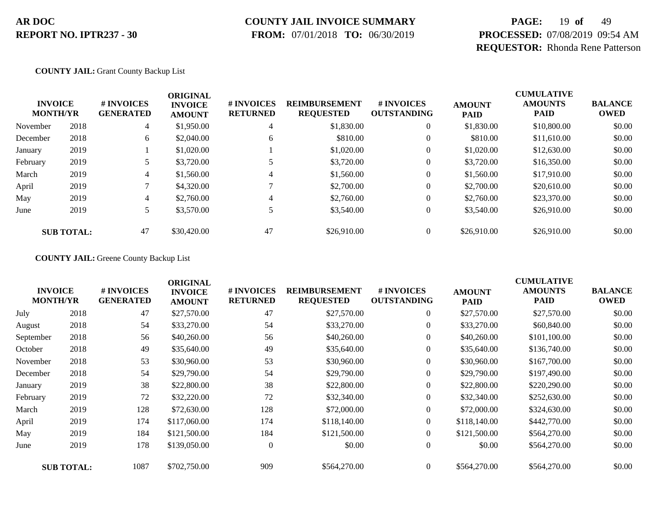### **COUNTY JAIL INVOICE SUMMARY**

 **FROM:** 07/01/2018 **TO:** 06/30/2019

# **PAGE:** 19 **of** 49 **PROCESSED:** 07/08/2019 09:54 AM **REQUESTOR:** Rhonda Rene Patterson

#### **COUNTY JAIL:** Grant County Backup List

| <b>INVOICE</b><br><b>MONTH/YR</b> |                   | # INVOICES<br><b>GENERATED</b> | <b>ORIGINAL</b><br><b>INVOICE</b><br><b>AMOUNT</b> | # INVOICES<br><b>RETURNED</b> | <b>REIMBURSEMENT</b><br><b>REQUESTED</b> | # INVOICES<br><b>OUTSTANDING</b> | <b>AMOUNT</b><br><b>PAID</b> | <b>CUMULATIVE</b><br><b>AMOUNTS</b><br><b>PAID</b> | <b>BALANCE</b><br><b>OWED</b> |
|-----------------------------------|-------------------|--------------------------------|----------------------------------------------------|-------------------------------|------------------------------------------|----------------------------------|------------------------------|----------------------------------------------------|-------------------------------|
| November                          | 2018              | 4                              | \$1,950.00                                         | 4                             | \$1,830.00                               | $\theta$                         | \$1,830.00                   | \$10,800.00                                        | \$0.00                        |
| December                          | 2018              | 6                              | \$2,040.00                                         | 6                             | \$810.00                                 | $\theta$                         | \$810.00                     | \$11,610.00                                        | \$0.00                        |
| January                           | 2019              |                                | \$1,020.00                                         |                               | \$1,020.00                               | 0                                | \$1,020.00                   | \$12,630.00                                        | \$0.00                        |
| February                          | 2019              |                                | \$3,720.00                                         |                               | \$3,720.00                               | 0                                | \$3,720.00                   | \$16,350.00                                        | \$0.00                        |
| March                             | 2019              | 4                              | \$1,560.00                                         | 4                             | \$1,560.00                               | 0                                | \$1,560.00                   | \$17,910.00                                        | \$0.00                        |
| April                             | 2019              |                                | \$4,320.00                                         |                               | \$2,700.00                               | 0                                | \$2,700.00                   | \$20,610.00                                        | \$0.00                        |
| May                               | 2019              | 4                              | \$2,760.00                                         | 4                             | \$2,760.00                               | 0                                | \$2,760.00                   | \$23,370.00                                        | \$0.00                        |
| June                              | 2019              |                                | \$3,570.00                                         |                               | \$3,540.00                               | $\boldsymbol{0}$                 | \$3,540.00                   | \$26,910.00                                        | \$0.00                        |
|                                   | <b>SUB TOTAL:</b> | 47                             | \$30,420.00                                        | 47                            | \$26,910.00                              | 0                                | \$26,910.00                  | \$26,910.00                                        | \$0.00                        |

**COUNTY JAIL:** Greene County Backup List

| <b>INVOICE</b><br><b>MONTH/YR</b> |                   | # INVOICES<br><b>GENERATED</b> | <b>ORIGINAL</b><br><b>INVOICE</b><br><b>AMOUNT</b> | # INVOICES<br><b>RETURNED</b> | <b>REIMBURSEMENT</b><br><b>REQUESTED</b> | # INVOICES<br><b>OUTSTANDING</b> | <b>AMOUNT</b><br><b>PAID</b> | <b>CUMULATIVE</b><br><b>AMOUNTS</b><br><b>PAID</b> | <b>BALANCE</b><br><b>OWED</b> |
|-----------------------------------|-------------------|--------------------------------|----------------------------------------------------|-------------------------------|------------------------------------------|----------------------------------|------------------------------|----------------------------------------------------|-------------------------------|
| July                              | 2018              | 47                             | \$27,570.00                                        | 47                            | \$27,570.00                              | $\overline{0}$                   | \$27,570.00                  | \$27,570.00                                        | \$0.00                        |
| August                            | 2018              | 54                             | \$33,270.00                                        | 54                            | \$33,270.00                              | $\boldsymbol{0}$                 | \$33,270.00                  | \$60,840.00                                        | \$0.00                        |
| September                         | 2018              | 56                             | \$40,260.00                                        | 56                            | \$40,260.00                              | $\overline{0}$                   | \$40,260.00                  | \$101,100.00                                       | \$0.00                        |
| October                           | 2018              | 49                             | \$35,640.00                                        | 49                            | \$35,640.00                              | $\overline{0}$                   | \$35,640.00                  | \$136,740.00                                       | \$0.00                        |
| November                          | 2018              | 53                             | \$30,960.00                                        | 53                            | \$30,960.00                              | $\overline{0}$                   | \$30,960.00                  | \$167,700.00                                       | \$0.00                        |
| December                          | 2018              | 54                             | \$29,790.00                                        | 54                            | \$29,790.00                              | $\overline{0}$                   | \$29,790.00                  | \$197,490.00                                       | \$0.00                        |
| January                           | 2019              | 38                             | \$22,800.00                                        | 38                            | \$22,800.00                              | $\boldsymbol{0}$                 | \$22,800.00                  | \$220,290.00                                       | \$0.00                        |
| February                          | 2019              | 72                             | \$32,220.00                                        | 72                            | \$32,340.00                              | $\overline{0}$                   | \$32,340.00                  | \$252,630.00                                       | \$0.00                        |
| March                             | 2019              | 128                            | \$72,630.00                                        | 128                           | \$72,000.00                              | $\overline{0}$                   | \$72,000.00                  | \$324,630.00                                       | \$0.00                        |
| April                             | 2019              | 174                            | \$117,060.00                                       | 174                           | \$118,140.00                             | $\overline{0}$                   | \$118,140.00                 | \$442,770.00                                       | \$0.00                        |
| May                               | 2019              | 184                            | \$121,500.00                                       | 184                           | \$121,500.00                             | $\overline{0}$                   | \$121,500.00                 | \$564,270.00                                       | \$0.00                        |
| June                              | 2019              | 178                            | \$139,050.00                                       | $\overline{0}$                | \$0.00                                   | $\overline{0}$                   | \$0.00                       | \$564,270.00                                       | \$0.00                        |
|                                   | <b>SUB TOTAL:</b> | 1087                           | \$702,750.00                                       | 909                           | \$564,270.00                             | $\overline{0}$                   | \$564,270.00                 | \$564,270.00                                       | \$0.00                        |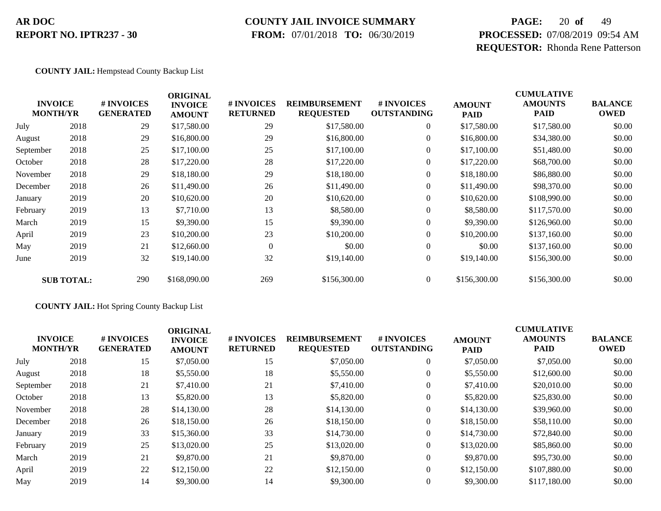### **COUNTY JAIL INVOICE SUMMARY**

 **FROM:** 07/01/2018 **TO:** 06/30/2019

# **PAGE:** 20 **of** 49 **PROCESSED:** 07/08/2019 09:54 AM **REQUESTOR:** Rhonda Rene Patterson

#### **COUNTY JAIL:** Hempstead County Backup List

|           | <b>INVOICE</b><br><b>MONTH/YR</b> | # INVOICES<br><b>GENERATED</b> | <b>ORIGINAL</b><br><b>INVOICE</b><br><b>AMOUNT</b> | # INVOICES<br><b>RETURNED</b> | <b>REIMBURSEMENT</b><br><b>REQUESTED</b> | <b>#INVOICES</b><br><b>OUTSTANDING</b> | <b>AMOUNT</b><br><b>PAID</b> | <b>CUMULATIVE</b><br><b>AMOUNTS</b><br><b>PAID</b> | <b>BALANCE</b><br><b>OWED</b> |
|-----------|-----------------------------------|--------------------------------|----------------------------------------------------|-------------------------------|------------------------------------------|----------------------------------------|------------------------------|----------------------------------------------------|-------------------------------|
| July      | 2018                              | 29                             | \$17,580.00                                        | 29                            | \$17,580.00                              | $\overline{0}$                         | \$17,580.00                  | \$17,580.00                                        | \$0.00                        |
| August    | 2018                              | 29                             | \$16,800.00                                        | 29                            | \$16,800.00                              | $\overline{0}$                         | \$16,800.00                  | \$34,380.00                                        | \$0.00                        |
| September | 2018                              | 25                             | \$17,100.00                                        | 25                            | \$17,100.00                              | $\overline{0}$                         | \$17,100.00                  | \$51,480.00                                        | \$0.00                        |
| October   | 2018                              | 28                             | \$17,220.00                                        | 28                            | \$17,220.00                              | 0                                      | \$17,220.00                  | \$68,700.00                                        | \$0.00                        |
| November  | 2018                              | 29                             | \$18,180.00                                        | 29                            | \$18,180.00                              | $\boldsymbol{0}$                       | \$18,180.00                  | \$86,880.00                                        | \$0.00                        |
| December  | 2018                              | 26                             | \$11,490.00                                        | 26                            | \$11,490.00                              | $\overline{0}$                         | \$11,490.00                  | \$98,370.00                                        | \$0.00                        |
| January   | 2019                              | 20                             | \$10,620.00                                        | 20                            | \$10,620.00                              | $\overline{0}$                         | \$10,620.00                  | \$108,990.00                                       | \$0.00                        |
| February  | 2019                              | 13                             | \$7,710.00                                         | 13                            | \$8,580.00                               | $\overline{0}$                         | \$8,580.00                   | \$117,570.00                                       | \$0.00                        |
| March     | 2019                              | 15                             | \$9,390.00                                         | 15                            | \$9,390.00                               | $\overline{0}$                         | \$9,390.00                   | \$126,960.00                                       | \$0.00                        |
| April     | 2019                              | 23                             | \$10,200.00                                        | 23                            | \$10,200.00                              | $\overline{0}$                         | \$10,200.00                  | \$137,160.00                                       | \$0.00                        |
| May       | 2019                              | 21                             | \$12,660.00                                        | $\mathbf{0}$                  | \$0.00                                   | $\overline{0}$                         | \$0.00                       | \$137,160.00                                       | \$0.00                        |
| June      | 2019                              | 32                             | \$19,140.00                                        | 32                            | \$19,140.00                              | $\boldsymbol{0}$                       | \$19,140.00                  | \$156,300.00                                       | \$0.00                        |
|           | <b>SUB TOTAL:</b>                 | 290                            | \$168,090.00                                       | 269                           | \$156,300.00                             | $\overline{0}$                         | \$156,300.00                 | \$156,300.00                                       | \$0.00                        |

#### **COUNTY JAIL:** Hot Spring County Backup List

|           | <b>INVOICE</b><br><b>MONTH/YR</b> | <b>#INVOICES</b><br><b>GENERATED</b> | <b>ORIGINAL</b><br><b>INVOICE</b><br><b>AMOUNT</b> | <b># INVOICES</b><br><b>RETURNED</b> | <b>REIMBURSEMENT</b><br><b>REQUESTED</b> | # INVOICES<br><b>OUTSTANDING</b> | <b>AMOUNT</b><br><b>PAID</b> | <b>CUMULATIVE</b><br><b>AMOUNTS</b><br><b>PAID</b> | <b>BALANCE</b><br><b>OWED</b> |
|-----------|-----------------------------------|--------------------------------------|----------------------------------------------------|--------------------------------------|------------------------------------------|----------------------------------|------------------------------|----------------------------------------------------|-------------------------------|
| July      | 2018                              | 15                                   | \$7,050.00                                         | 15                                   | \$7,050.00                               | $\overline{0}$                   | \$7,050.00                   | \$7,050.00                                         | \$0.00                        |
| August    | 2018                              | 18                                   | \$5,550.00                                         | 18                                   | \$5,550.00                               | $\theta$                         | \$5,550.00                   | \$12,600.00                                        | \$0.00                        |
| September | 2018                              | 21                                   | \$7,410.00                                         | 21                                   | \$7,410.00                               | $\overline{0}$                   | \$7,410.00                   | \$20,010.00                                        | \$0.00                        |
| October   | 2018                              | 13                                   | \$5,820.00                                         | 13                                   | \$5,820.00                               | $\overline{0}$                   | \$5,820.00                   | \$25,830.00                                        | \$0.00                        |
| November  | 2018                              | 28                                   | \$14,130.00                                        | 28                                   | \$14,130.00                              | $\overline{0}$                   | \$14,130.00                  | \$39,960.00                                        | \$0.00                        |
| December  | 2018                              | 26                                   | \$18,150.00                                        | 26                                   | \$18,150.00                              | $\overline{0}$                   | \$18,150.00                  | \$58,110.00                                        | \$0.00                        |
| January   | 2019                              | 33                                   | \$15,360.00                                        | 33                                   | \$14,730.00                              | $\overline{0}$                   | \$14,730.00                  | \$72,840.00                                        | \$0.00                        |
| February  | 2019                              | 25                                   | \$13,020.00                                        | 25                                   | \$13,020.00                              | $\overline{0}$                   | \$13,020.00                  | \$85,860.00                                        | \$0.00                        |
| March     | 2019                              | 21                                   | \$9,870.00                                         | 21                                   | \$9,870.00                               | $\theta$                         | \$9,870.00                   | \$95,730.00                                        | \$0.00                        |
| April     | 2019                              | 22                                   | \$12,150.00                                        | 22                                   | \$12,150.00                              | $\Omega$                         | \$12,150.00                  | \$107,880.00                                       | \$0.00                        |
| May       | 2019                              | 14                                   | \$9,300.00                                         | 14                                   | \$9,300.00                               | $\theta$                         | \$9,300.00                   | \$117,180.00                                       | \$0.00                        |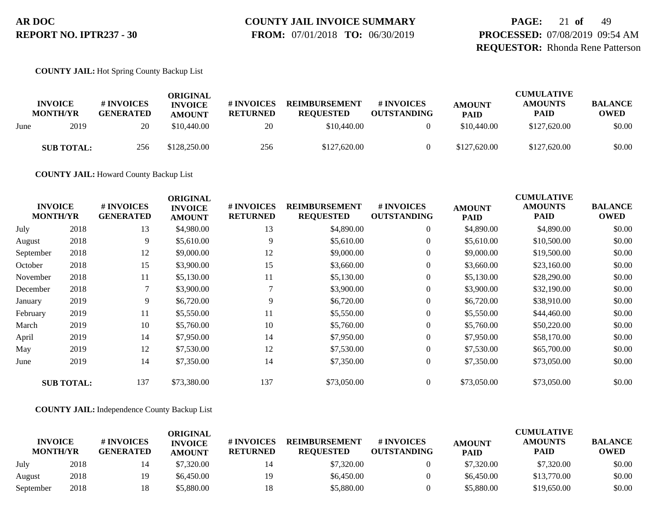# **COUNTY JAIL INVOICE SUMMARY**

 **FROM:** 07/01/2018 **TO:** 06/30/2019

**PAGE:** 21 **of** 49 **PROCESSED:** 07/08/2019 09:54 AM **REQUESTOR:** Rhonda Rene Patterson

**COUNTY JAIL:** Hot Spring County Backup List

|      | <b>INVOICE</b><br><b>MONTH/YR</b> | # INVOICES<br><b>GENERATED</b> | ORIGINAL<br><b>INVOICE</b><br><b>AMOUNT</b> | # INVOICES<br><b>RETURNED</b> | <b>REIMBURSEMENT</b><br><b>REQUESTED</b> | # INVOICES<br><b>OUTSTANDING</b> | <b>AMOUNT</b><br><b>PAID</b> | <b>CUMULATIVE</b><br><b>AMOUNTS</b><br><b>PAID</b> | <b>BALANCE</b><br><b>OWED</b> |
|------|-----------------------------------|--------------------------------|---------------------------------------------|-------------------------------|------------------------------------------|----------------------------------|------------------------------|----------------------------------------------------|-------------------------------|
| June | 2019                              | 20                             | \$10,440.00                                 | 20                            | \$10,440.00                              |                                  | \$10,440.00                  | \$127,620.00                                       | \$0.00                        |
|      | <b>SUB TOTAL:</b>                 | 256                            | \$128,250.00                                | 256                           | \$127,620.00                             |                                  | \$127,620.00                 | \$127,620.00                                       | \$0.00                        |

**COUNTY JAIL:** Howard County Backup List

| <b>INVOICE</b><br><b>MONTH/YR</b> |                   | # INVOICES<br><b>GENERATED</b> | <b>ORIGINAL</b><br><b>INVOICE</b><br><b>AMOUNT</b> | # INVOICES<br><b>RETURNED</b> | <b>REIMBURSEMENT</b><br><b>REQUESTED</b> | # INVOICES<br><b>OUTSTANDING</b> | <b>AMOUNT</b><br><b>PAID</b> | <b>CUMULATIVE</b><br><b>AMOUNTS</b><br><b>PAID</b> | <b>BALANCE</b><br><b>OWED</b> |
|-----------------------------------|-------------------|--------------------------------|----------------------------------------------------|-------------------------------|------------------------------------------|----------------------------------|------------------------------|----------------------------------------------------|-------------------------------|
| July                              | 2018              | 13                             | \$4,980.00                                         | 13                            | \$4,890.00                               | $\overline{0}$                   | \$4,890.00                   | \$4,890.00                                         | \$0.00                        |
| August                            | 2018              | 9                              | \$5,610.00                                         | 9                             | \$5,610.00                               | $\overline{0}$                   | \$5,610.00                   | \$10,500.00                                        | \$0.00                        |
| September                         | 2018              | 12                             | \$9,000.00                                         | 12                            | \$9,000.00                               | $\overline{0}$                   | \$9,000.00                   | \$19,500.00                                        | \$0.00                        |
| October                           | 2018              | 15                             | \$3,900.00                                         | 15                            | \$3,660.00                               | $\boldsymbol{0}$                 | \$3,660.00                   | \$23,160.00                                        | \$0.00                        |
| November                          | 2018              | 11                             | \$5,130.00                                         | 11                            | \$5,130.00                               | $\overline{0}$                   | \$5,130.00                   | \$28,290.00                                        | \$0.00                        |
| December                          | 2018              | 7                              | \$3,900.00                                         |                               | \$3,900.00                               | $\overline{0}$                   | \$3,900.00                   | \$32,190.00                                        | \$0.00                        |
| January                           | 2019              | 9                              | \$6,720.00                                         | 9                             | \$6,720.00                               | $\overline{0}$                   | \$6,720.00                   | \$38,910.00                                        | \$0.00                        |
| February                          | 2019              | 11                             | \$5,550.00                                         | 11                            | \$5,550.00                               | $\overline{0}$                   | \$5,550.00                   | \$44,460.00                                        | \$0.00                        |
| March                             | 2019              | 10                             | \$5,760.00                                         | 10                            | \$5,760.00                               | $\overline{0}$                   | \$5,760.00                   | \$50,220.00                                        | \$0.00                        |
| April                             | 2019              | 14                             | \$7,950.00                                         | 14                            | \$7,950.00                               | $\overline{0}$                   | \$7,950.00                   | \$58,170.00                                        | \$0.00                        |
| May                               | 2019              | 12                             | \$7,530.00                                         | 12                            | \$7,530.00                               | $\boldsymbol{0}$                 | \$7,530.00                   | \$65,700.00                                        | \$0.00                        |
| June                              | 2019              | 14                             | \$7,350.00                                         | 14                            | \$7,350.00                               | $\boldsymbol{0}$                 | \$7,350.00                   | \$73,050.00                                        | \$0.00                        |
|                                   | <b>SUB TOTAL:</b> | 137                            | \$73,380.00                                        | 137                           | \$73,050.00                              | $\overline{0}$                   | \$73,050.00                  | \$73,050.00                                        | \$0.00                        |

#### **COUNTY JAIL:** Independence County Backup List

|                                   |      |                                | ORIGINAL                        |                               |                                          |                                  |                              | <b>CUMULATIVE</b>             |                               |
|-----------------------------------|------|--------------------------------|---------------------------------|-------------------------------|------------------------------------------|----------------------------------|------------------------------|-------------------------------|-------------------------------|
| <b>INVOICE</b><br><b>MONTH/YR</b> |      | # INVOICES<br><b>GENERATED</b> | <b>INVOICE</b><br><b>AMOUNT</b> | # INVOICES<br><b>RETURNED</b> | <b>REIMBURSEMENT</b><br><b>REOUESTED</b> | # INVOICES<br><b>OUTSTANDING</b> | <b>AMOUNT</b><br><b>PAID</b> | <b>AMOUNTS</b><br><b>PAID</b> | <b>BALANCE</b><br><b>OWED</b> |
| July                              | 2018 |                                | \$7,320.00                      | 14                            | \$7,320.00                               |                                  | \$7,320.00                   | \$7,320.00                    | \$0.00                        |
| August                            | 2018 | 19                             | \$6,450.00                      | 19                            | \$6,450.00                               |                                  | \$6,450.00                   | \$13,770.00                   | \$0.00                        |
| September                         | 2018 | 18                             | \$5.880.00                      | 18                            | \$5,880.00                               |                                  | \$5,880.00                   | \$19,650.00                   | \$0.00                        |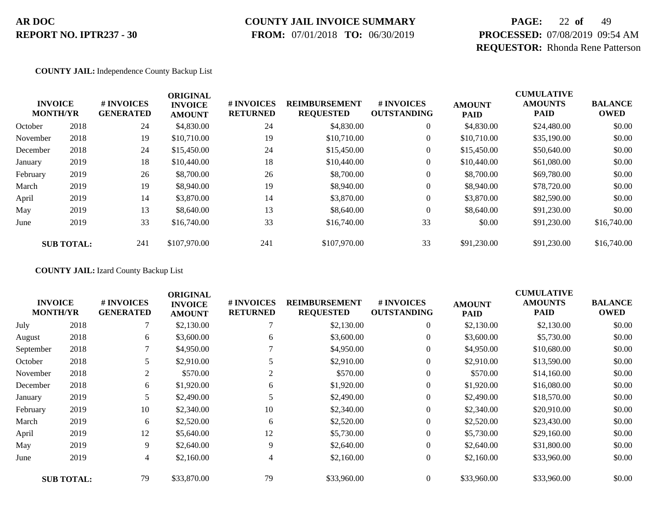### **COUNTY JAIL INVOICE SUMMARY**

 **FROM:** 07/01/2018 **TO:** 06/30/2019

# **PAGE:** 22 **of** 49 **PROCESSED:** 07/08/2019 09:54 AM **REQUESTOR:** Rhonda Rene Patterson

#### **COUNTY JAIL:** Independence County Backup List

|          | <b>INVOICE</b><br><b>MONTH/YR</b> | # INVOICES<br><b>GENERATED</b> | <b>ORIGINAL</b><br><b>INVOICE</b><br><b>AMOUNT</b> | # INVOICES<br><b>RETURNED</b> | <b>REIMBURSEMENT</b><br><b>REQUESTED</b> | <b>#INVOICES</b><br><b>OUTSTANDING</b> | <b>AMOUNT</b><br><b>PAID</b> | <b>CUMULATIVE</b><br><b>AMOUNTS</b><br><b>PAID</b> | <b>BALANCE</b><br><b>OWED</b> |
|----------|-----------------------------------|--------------------------------|----------------------------------------------------|-------------------------------|------------------------------------------|----------------------------------------|------------------------------|----------------------------------------------------|-------------------------------|
| October  | 2018                              | 24                             | \$4,830.00                                         | 24                            | \$4,830.00                               | $\overline{0}$                         | \$4,830.00                   | \$24,480.00                                        | \$0.00                        |
| November | 2018                              | 19                             | \$10,710.00                                        | 19                            | \$10,710.00                              | $\overline{0}$                         | \$10,710.00                  | \$35,190.00                                        | \$0.00                        |
| December | 2018                              | 24                             | \$15,450.00                                        | 24                            | \$15,450.00                              | 0                                      | \$15,450.00                  | \$50,640.00                                        | \$0.00                        |
| January  | 2019                              | 18                             | \$10,440.00                                        | 18                            | \$10,440.00                              | 0                                      | \$10,440.00                  | \$61,080.00                                        | \$0.00                        |
| February | 2019                              | 26                             | \$8,700.00                                         | 26                            | \$8,700.00                               | $\boldsymbol{0}$                       | \$8,700.00                   | \$69,780.00                                        | \$0.00                        |
| March    | 2019                              | 19                             | \$8,940.00                                         | 19                            | \$8,940.00                               | $\overline{0}$                         | \$8,940.00                   | \$78,720.00                                        | \$0.00                        |
| April    | 2019                              | 14                             | \$3,870.00                                         | 14                            | \$3,870.00                               | $\overline{0}$                         | \$3,870.00                   | \$82,590.00                                        | \$0.00                        |
| May      | 2019                              | 13                             | \$8,640.00                                         | 13                            | \$8,640.00                               | $\theta$                               | \$8,640.00                   | \$91,230.00                                        | \$0.00                        |
| June     | 2019                              | 33                             | \$16,740.00                                        | 33                            | \$16,740.00                              | 33                                     | \$0.00                       | \$91,230.00                                        | \$16,740.00                   |
|          | <b>SUB TOTAL:</b>                 | 241                            | \$107,970.00                                       | 241                           | \$107,970.00                             | 33                                     | \$91,230.00                  | \$91,230.00                                        | \$16,740.00                   |

**COUNTY JAIL:** Izard County Backup List

| <b>INVOICE</b><br><b>MONTH/YR</b> |                   | # INVOICES<br><b>GENERATED</b> | <b>ORIGINAL</b><br><b>INVOICE</b><br><b>AMOUNT</b> | # INVOICES<br><b>RETURNED</b> | <b>REIMBURSEMENT</b><br><b>REQUESTED</b> | # INVOICES<br><b>OUTSTANDING</b> | <b>AMOUNT</b><br>PAID | <b>CUMULATIVE</b><br><b>AMOUNTS</b><br><b>PAID</b> | <b>BALANCE</b><br><b>OWED</b> |
|-----------------------------------|-------------------|--------------------------------|----------------------------------------------------|-------------------------------|------------------------------------------|----------------------------------|-----------------------|----------------------------------------------------|-------------------------------|
| July                              | 2018              |                                | \$2,130.00                                         |                               | \$2,130.00                               | $\boldsymbol{0}$                 | \$2,130.00            | \$2,130.00                                         | \$0.00                        |
| August                            | 2018              | 6                              | \$3,600.00                                         | 6                             | \$3,600.00                               | $\overline{0}$                   | \$3,600.00            | \$5,730.00                                         | \$0.00                        |
| September                         | 2018              | 7                              | \$4,950.00                                         |                               | \$4,950.00                               | $\overline{0}$                   | \$4,950.00            | \$10,680.00                                        | \$0.00                        |
| October                           | 2018              | 5                              | \$2,910.00                                         | 5                             | \$2,910.00                               | 0                                | \$2,910.00            | \$13,590.00                                        | \$0.00                        |
| November                          | 2018              | $\overline{2}$                 | \$570.00                                           | $\overline{2}$                | \$570.00                                 | $\overline{0}$                   | \$570.00              | \$14,160.00                                        | \$0.00                        |
| December                          | 2018              | 6                              | \$1,920.00                                         | 6                             | \$1,920.00                               | $\overline{0}$                   | \$1,920.00            | \$16,080.00                                        | \$0.00                        |
| January                           | 2019              | 5                              | \$2,490.00                                         |                               | \$2,490.00                               | $\overline{0}$                   | \$2,490.00            | \$18,570.00                                        | \$0.00                        |
| February                          | 2019              | 10                             | \$2,340.00                                         | 10                            | \$2,340.00                               | $\overline{0}$                   | \$2,340.00            | \$20,910.00                                        | \$0.00                        |
| March                             | 2019              | 6                              | \$2,520.00                                         | 6                             | \$2,520.00                               | $\overline{0}$                   | \$2,520.00            | \$23,430.00                                        | \$0.00                        |
| April                             | 2019              | 12                             | \$5,640.00                                         | 12                            | \$5,730.00                               | $\overline{0}$                   | \$5,730.00            | \$29,160.00                                        | \$0.00                        |
| May                               | 2019              | 9                              | \$2,640.00                                         | 9                             | \$2,640.00                               | 0                                | \$2,640.00            | \$31,800.00                                        | \$0.00                        |
| June                              | 2019              | 4                              | \$2,160.00                                         | 4                             | \$2,160.00                               | $\overline{0}$                   | \$2,160.00            | \$33,960.00                                        | \$0.00                        |
|                                   | <b>SUB TOTAL:</b> | 79                             | \$33,870.00                                        | 79                            | \$33,960.00                              | $\overline{0}$                   | \$33,960.00           | \$33,960.00                                        | \$0.00                        |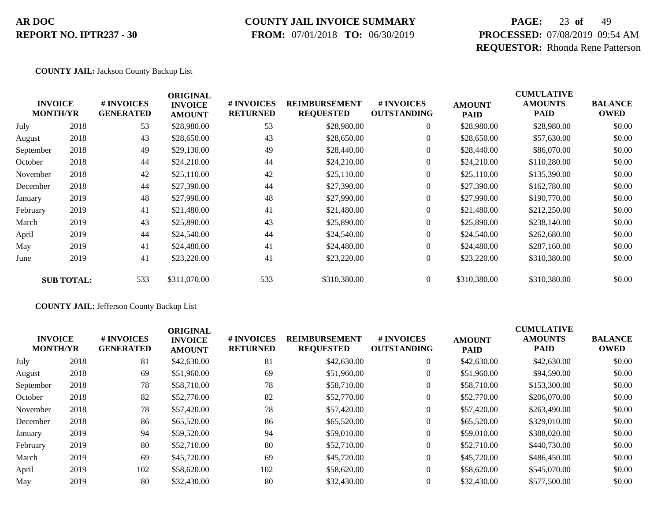### **COUNTY JAIL INVOICE SUMMARY**

 **FROM:** 07/01/2018 **TO:** 06/30/2019

# **PAGE:** 23 **of** 49 **PROCESSED:** 07/08/2019 09:54 AM **REQUESTOR:** Rhonda Rene Patterson

#### **COUNTY JAIL:** Jackson County Backup List

|           | <b>INVOICE</b><br><b>MONTH/YR</b> | # INVOICES<br><b>GENERATED</b> | <b>ORIGINAL</b><br><b>INVOICE</b><br><b>AMOUNT</b> | # INVOICES<br><b>RETURNED</b> | <b>REIMBURSEMENT</b><br><b>REQUESTED</b> | # INVOICES<br><b>OUTSTANDING</b> | <b>AMOUNT</b><br><b>PAID</b> | <b>CUMULATIVE</b><br><b>AMOUNTS</b><br>PAID | <b>BALANCE</b><br><b>OWED</b> |
|-----------|-----------------------------------|--------------------------------|----------------------------------------------------|-------------------------------|------------------------------------------|----------------------------------|------------------------------|---------------------------------------------|-------------------------------|
| July      | 2018                              | 53                             | \$28,980.00                                        | 53                            | \$28,980.00                              | $\overline{0}$                   | \$28,980.00                  | \$28,980.00                                 | \$0.00                        |
| August    | 2018                              | 43                             | \$28,650.00                                        | 43                            | \$28,650.00                              | $\overline{0}$                   | \$28,650.00                  | \$57,630.00                                 | \$0.00                        |
| September | 2018                              | 49                             | \$29,130.00                                        | 49                            | \$28,440.00                              | $\overline{0}$                   | \$28,440.00                  | \$86,070.00                                 | \$0.00                        |
| October   | 2018                              | 44                             | \$24,210.00                                        | 44                            | \$24,210.00                              | $\overline{0}$                   | \$24,210.00                  | \$110,280.00                                | \$0.00                        |
| November  | 2018                              | 42                             | \$25,110.00                                        | 42                            | \$25,110.00                              | $\overline{0}$                   | \$25,110.00                  | \$135,390.00                                | \$0.00                        |
| December  | 2018                              | 44                             | \$27,390.00                                        | 44                            | \$27,390.00                              | $\overline{0}$                   | \$27,390.00                  | \$162,780.00                                | \$0.00                        |
| January   | 2019                              | 48                             | \$27,990.00                                        | 48                            | \$27,990.00                              | $\overline{0}$                   | \$27,990.00                  | \$190,770.00                                | \$0.00                        |
| February  | 2019                              | 41                             | \$21,480.00                                        | 41                            | \$21,480.00                              | $\overline{0}$                   | \$21,480.00                  | \$212,250.00                                | \$0.00                        |
| March     | 2019                              | 43                             | \$25,890.00                                        | 43                            | \$25,890.00                              | $\overline{0}$                   | \$25,890.00                  | \$238,140.00                                | \$0.00                        |
| April     | 2019                              | 44                             | \$24,540.00                                        | 44                            | \$24,540.00                              | $\overline{0}$                   | \$24,540.00                  | \$262,680.00                                | \$0.00                        |
| May       | 2019                              | 41                             | \$24,480.00                                        | 41                            | \$24,480.00                              | $\overline{0}$                   | \$24,480.00                  | \$287,160.00                                | \$0.00                        |
| June      | 2019                              | 41                             | \$23,220.00                                        | 41                            | \$23,220.00                              | $\overline{0}$                   | \$23,220.00                  | \$310,380.00                                | \$0.00                        |
|           | <b>SUB TOTAL:</b>                 | 533                            | \$311,070.00                                       | 533                           | \$310,380.00                             | $\overline{0}$                   | \$310,380.00                 | \$310,380.00                                | \$0.00                        |

#### **COUNTY JAIL:** Jefferson County Backup List

|           | <b>INVOICE</b><br><b>MONTH/YR</b> | # INVOICES<br><b>GENERATED</b> | <b>ORIGINAL</b><br><b>INVOICE</b><br><b>AMOUNT</b> | <b># INVOICES</b><br><b>RETURNED</b> | <b>REIMBURSEMENT</b><br><b>REQUESTED</b> | <b>#INVOICES</b><br><b>OUTSTANDING</b> | <b>AMOUNT</b><br><b>PAID</b> | <b>CUMULATIVE</b><br><b>AMOUNTS</b><br><b>PAID</b> | <b>BALANCE</b><br><b>OWED</b> |
|-----------|-----------------------------------|--------------------------------|----------------------------------------------------|--------------------------------------|------------------------------------------|----------------------------------------|------------------------------|----------------------------------------------------|-------------------------------|
| July      | 2018                              | 81                             | \$42,630.00                                        | 81                                   | \$42,630.00                              | $\overline{0}$                         | \$42,630.00                  | \$42,630.00                                        | \$0.00                        |
| August    | 2018                              | 69                             | \$51,960.00                                        | 69                                   | \$51,960.00                              | $\overline{0}$                         | \$51,960.00                  | \$94,590.00                                        | \$0.00                        |
| September | 2018                              | 78                             | \$58,710.00                                        | 78                                   | \$58,710.00                              | $\overline{0}$                         | \$58,710.00                  | \$153,300.00                                       | \$0.00                        |
| October   | 2018                              | 82                             | \$52,770.00                                        | 82                                   | \$52,770.00                              | $\overline{0}$                         | \$52,770.00                  | \$206,070.00                                       | \$0.00                        |
| November  | 2018                              | 78                             | \$57,420.00                                        | 78                                   | \$57,420.00                              | $\overline{0}$                         | \$57,420.00                  | \$263,490.00                                       | \$0.00                        |
| December  | 2018                              | 86                             | \$65,520.00                                        | 86                                   | \$65,520.00                              | $\overline{0}$                         | \$65,520.00                  | \$329,010.00                                       | \$0.00                        |
| January   | 2019                              | 94                             | \$59,520.00                                        | 94                                   | \$59,010.00                              | $\overline{0}$                         | \$59,010.00                  | \$388,020.00                                       | \$0.00                        |
| February  | 2019                              | 80                             | \$52,710.00                                        | 80                                   | \$52,710.00                              | $\overline{0}$                         | \$52,710.00                  | \$440,730.00                                       | \$0.00                        |
| March     | 2019                              | 69                             | \$45,720.00                                        | 69                                   | \$45,720.00                              | $\overline{0}$                         | \$45,720.00                  | \$486,450.00                                       | \$0.00                        |
| April     | 2019                              | 102                            | \$58,620.00                                        | 102                                  | \$58,620.00                              | $\overline{0}$                         | \$58,620.00                  | \$545,070.00                                       | \$0.00                        |
| May       | 2019                              | 80                             | \$32,430.00                                        | 80                                   | \$32,430.00                              | $\overline{0}$                         | \$32,430.00                  | \$577,500.00                                       | \$0.00                        |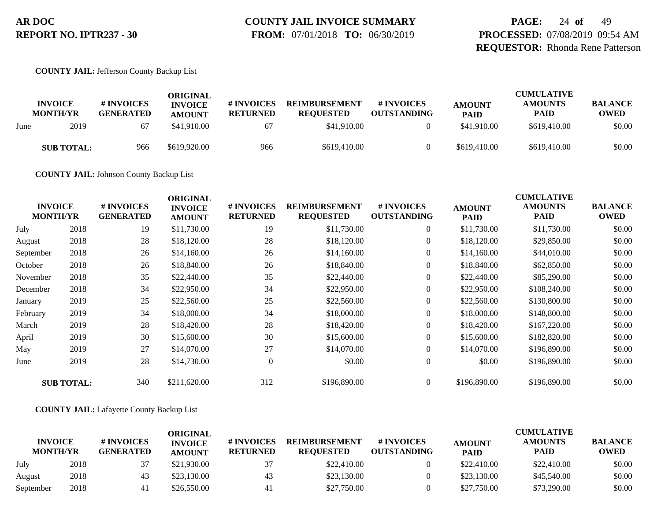# **COUNTY JAIL INVOICE SUMMARY**

 **FROM:** 07/01/2018 **TO:** 06/30/2019

**PAGE:** 24 **of** 49 **PROCESSED:** 07/08/2019 09:54 AM **REQUESTOR:** Rhonda Rene Patterson

**COUNTY JAIL:** Jefferson County Backup List

|      | <b>INVOICE</b><br><b>MONTH/YR</b> | # INVOICES<br><b>GENERATED</b> | ORIGINAL<br><b>INVOICE</b><br><b>AMOUNT</b> | # INVOICES<br><b>RETURNED</b> | <b>REIMBURSEMENT</b><br><b>REOUESTED</b> | # INVOICES<br><b>OUTSTANDING</b> | <b>AMOUNT</b><br><b>PAID</b> | <b>CUMULATIVE</b><br><b>AMOUNTS</b><br><b>PAID</b> | <b>BALANCE</b><br><b>OWED</b> |
|------|-----------------------------------|--------------------------------|---------------------------------------------|-------------------------------|------------------------------------------|----------------------------------|------------------------------|----------------------------------------------------|-------------------------------|
| June | 2019                              | 67                             | \$41,910.00                                 | 67                            | \$41,910.00                              |                                  | \$41,910.00                  | \$619,410.00                                       | \$0.00                        |
|      | <b>SUB TOTAL:</b>                 | 966                            | \$619,920.00                                | 966                           | \$619,410.00                             |                                  | \$619,410.00                 | \$619,410.00                                       | \$0.00                        |

**COUNTY JAIL:** Johnson County Backup List

| <b>INVOICE</b><br><b>MONTH/YR</b> |                   | # INVOICES<br><b>GENERATED</b> | <b>ORIGINAL</b><br><b>INVOICE</b><br><b>AMOUNT</b> | # INVOICES<br><b>RETURNED</b> | <b>REIMBURSEMENT</b><br><b>REQUESTED</b> | # INVOICES<br><b>OUTSTANDING</b> | <b>AMOUNT</b><br><b>PAID</b> | <b>CUMULATIVE</b><br><b>AMOUNTS</b><br><b>PAID</b> | <b>BALANCE</b><br><b>OWED</b> |
|-----------------------------------|-------------------|--------------------------------|----------------------------------------------------|-------------------------------|------------------------------------------|----------------------------------|------------------------------|----------------------------------------------------|-------------------------------|
| July                              | 2018              | 19                             | \$11,730.00                                        | 19                            | \$11,730.00                              | $\boldsymbol{0}$                 | \$11,730.00                  | \$11,730.00                                        | \$0.00                        |
| August                            | 2018              | 28                             | \$18,120.00                                        | 28                            | \$18,120.00                              | $\overline{0}$                   | \$18,120.00                  | \$29,850.00                                        | \$0.00                        |
| September                         | 2018              | 26                             | \$14,160.00                                        | 26                            | \$14,160.00                              | $\overline{0}$                   | \$14,160.00                  | \$44,010.00                                        | \$0.00                        |
| October                           | 2018              | 26                             | \$18,840.00                                        | 26                            | \$18,840.00                              | $\overline{0}$                   | \$18,840.00                  | \$62,850.00                                        | \$0.00                        |
| November                          | 2018              | 35                             | \$22,440.00                                        | 35                            | \$22,440.00                              | $\overline{0}$                   | \$22,440.00                  | \$85,290.00                                        | \$0.00                        |
| December                          | 2018              | 34                             | \$22,950.00                                        | 34                            | \$22,950.00                              | $\overline{0}$                   | \$22,950.00                  | \$108,240.00                                       | \$0.00                        |
| January                           | 2019              | 25                             | \$22,560.00                                        | 25                            | \$22,560.00                              | $\overline{0}$                   | \$22,560.00                  | \$130,800.00                                       | \$0.00                        |
| February                          | 2019              | 34                             | \$18,000.00                                        | 34                            | \$18,000.00                              | $\overline{0}$                   | \$18,000.00                  | \$148,800.00                                       | \$0.00                        |
| March                             | 2019              | 28                             | \$18,420.00                                        | 28                            | \$18,420.00                              | $\overline{0}$                   | \$18,420.00                  | \$167,220.00                                       | \$0.00                        |
| April                             | 2019              | 30                             | \$15,600.00                                        | 30                            | \$15,600.00                              | $\overline{0}$                   | \$15,600.00                  | \$182,820.00                                       | \$0.00                        |
| May                               | 2019              | 27                             | \$14,070.00                                        | 27                            | \$14,070.00                              | $\overline{0}$                   | \$14,070.00                  | \$196,890.00                                       | \$0.00                        |
| June                              | 2019              | 28                             | \$14,730.00                                        | $\overline{0}$                | \$0.00                                   | $\overline{0}$                   | \$0.00                       | \$196,890.00                                       | \$0.00                        |
|                                   | <b>SUB TOTAL:</b> | 340                            | \$211,620.00                                       | 312                           | \$196,890.00                             | $\overline{0}$                   | \$196,890.00                 | \$196,890.00                                       | \$0.00                        |

#### **COUNTY JAIL:** Lafayette County Backup List

|                                   |      |                                | ORIGINAL                        |                               |                                          |                                  |                              | <b>CUMULATIVE</b>             |                               |
|-----------------------------------|------|--------------------------------|---------------------------------|-------------------------------|------------------------------------------|----------------------------------|------------------------------|-------------------------------|-------------------------------|
| <b>INVOICE</b><br><b>MONTH/YR</b> |      | # INVOICES<br><b>GENERATED</b> | <b>INVOICE</b><br><b>AMOUNT</b> | # INVOICES<br><b>RETURNED</b> | <b>REIMBURSEMENT</b><br><b>REOUESTED</b> | # INVOICES<br><b>OUTSTANDING</b> | <b>AMOUNT</b><br><b>PAID</b> | <b>AMOUNTS</b><br><b>PAID</b> | <b>BALANCE</b><br><b>OWED</b> |
| July                              | 2018 | 37                             | \$21,930.00                     | 37                            | \$22,410.00                              |                                  | \$22,410.00                  | \$22,410.00                   | \$0.00                        |
| August                            | 2018 | 43                             | \$23,130.00                     | 43                            | \$23,130.00                              |                                  | \$23,130.00                  | \$45,540.00                   | \$0.00                        |
| September                         | 2018 |                                | \$26,550.00                     | 41                            | \$27,750.00                              |                                  | \$27,750.00                  | \$73,290.00                   | \$0.00                        |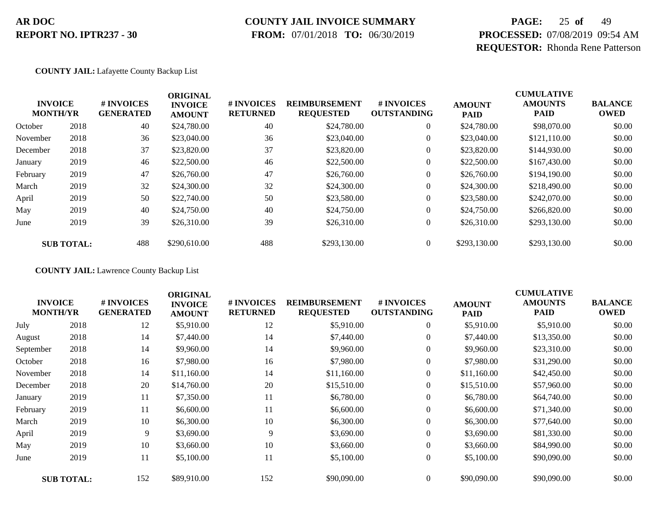### **COUNTY JAIL INVOICE SUMMARY**

 **FROM:** 07/01/2018 **TO:** 06/30/2019

# **PAGE:** 25 **of** 49 **PROCESSED:** 07/08/2019 09:54 AM **REQUESTOR:** Rhonda Rene Patterson

#### **COUNTY JAIL:** Lafayette County Backup List

|          | <b>INVOICE</b><br><b>MONTH/YR</b> | # INVOICES<br><b>GENERATED</b> | <b>ORIGINAL</b><br><b>INVOICE</b><br><b>AMOUNT</b> | # INVOICES<br><b>RETURNED</b> | <b>REIMBURSEMENT</b><br><b>REQUESTED</b> | <b>#INVOICES</b><br><b>OUTSTANDING</b> | <b>AMOUNT</b><br><b>PAID</b> | <b>CUMULATIVE</b><br><b>AMOUNTS</b><br><b>PAID</b> | <b>BALANCE</b><br><b>OWED</b> |
|----------|-----------------------------------|--------------------------------|----------------------------------------------------|-------------------------------|------------------------------------------|----------------------------------------|------------------------------|----------------------------------------------------|-------------------------------|
| October  | 2018                              | 40                             | \$24,780.00                                        | 40                            | \$24,780.00                              | $\overline{0}$                         | \$24,780.00                  | \$98,070.00                                        | \$0.00                        |
| November | 2018                              | 36                             | \$23,040.00                                        | 36                            | \$23,040.00                              | $\overline{0}$                         | \$23,040.00                  | \$121,110.00                                       | \$0.00                        |
| December | 2018                              | 37                             | \$23,820.00                                        | 37                            | \$23,820.00                              | 0                                      | \$23,820.00                  | \$144,930.00                                       | \$0.00                        |
| January  | 2019                              | 46                             | \$22,500.00                                        | 46                            | \$22,500.00                              | 0                                      | \$22,500.00                  | \$167,430.00                                       | \$0.00                        |
| February | 2019                              | 47                             | \$26,760.00                                        | 47                            | \$26,760.00                              | $\boldsymbol{0}$                       | \$26,760.00                  | \$194,190.00                                       | \$0.00                        |
| March    | 2019                              | 32                             | \$24,300.00                                        | 32                            | \$24,300.00                              | $\overline{0}$                         | \$24,300.00                  | \$218,490.00                                       | \$0.00                        |
| April    | 2019                              | 50                             | \$22,740.00                                        | 50                            | \$23,580.00                              | $\overline{0}$                         | \$23,580.00                  | \$242,070.00                                       | \$0.00                        |
| May      | 2019                              | 40                             | \$24,750.00                                        | 40                            | \$24,750.00                              | $\overline{0}$                         | \$24,750.00                  | \$266,820.00                                       | \$0.00                        |
| June     | 2019                              | 39                             | \$26,310.00                                        | 39                            | \$26,310.00                              | $\overline{0}$                         | \$26,310.00                  | \$293,130.00                                       | \$0.00                        |
|          | <b>SUB TOTAL:</b>                 | 488                            | \$290,610.00                                       | 488                           | \$293,130.00                             | $\overline{0}$                         | \$293,130.00                 | \$293,130.00                                       | \$0.00                        |

**COUNTY JAIL:** Lawrence County Backup List

| <b>INVOICE</b><br><b>MONTH/YR</b> |                   | # INVOICES<br><b>GENERATED</b> | <b>ORIGINAL</b><br><b>INVOICE</b><br><b>AMOUNT</b> | # INVOICES<br><b>RETURNED</b> | <b>REIMBURSEMENT</b><br><b>REQUESTED</b> | # INVOICES<br><b>OUTSTANDING</b> | <b>AMOUNT</b><br><b>PAID</b> | <b>CUMULATIVE</b><br><b>AMOUNTS</b><br><b>PAID</b> | <b>BALANCE</b><br><b>OWED</b> |
|-----------------------------------|-------------------|--------------------------------|----------------------------------------------------|-------------------------------|------------------------------------------|----------------------------------|------------------------------|----------------------------------------------------|-------------------------------|
| July                              | 2018              | 12                             | \$5,910.00                                         | 12                            | \$5,910.00                               | $\boldsymbol{0}$                 | \$5,910.00                   | \$5,910.00                                         | \$0.00                        |
| August                            | 2018              | 14                             | \$7,440.00                                         | 14                            | \$7,440.00                               | $\overline{0}$                   | \$7,440.00                   | \$13,350.00                                        | \$0.00                        |
| September                         | 2018              | 14                             | \$9,960.00                                         | 14                            | \$9,960.00                               | $\overline{0}$                   | \$9,960.00                   | \$23,310.00                                        | \$0.00                        |
| October                           | 2018              | 16                             | \$7,980.00                                         | 16                            | \$7,980.00                               | 0                                | \$7,980.00                   | \$31,290.00                                        | \$0.00                        |
| November                          | 2018              | 14                             | \$11,160.00                                        | 14                            | \$11,160.00                              | $\boldsymbol{0}$                 | \$11,160.00                  | \$42,450.00                                        | \$0.00                        |
| December                          | 2018              | 20                             | \$14,760.00                                        | 20                            | \$15,510.00                              | $\overline{0}$                   | \$15,510.00                  | \$57,960.00                                        | \$0.00                        |
| January                           | 2019              | 11                             | \$7,350.00                                         | 11                            | \$6,780.00                               | $\overline{0}$                   | \$6,780.00                   | \$64,740.00                                        | \$0.00                        |
| February                          | 2019              | 11                             | \$6,600.00                                         | 11                            | \$6,600.00                               | $\overline{0}$                   | \$6,600.00                   | \$71,340.00                                        | \$0.00                        |
| March                             | 2019              | 10                             | \$6,300.00                                         | 10                            | \$6,300.00                               | $\overline{0}$                   | \$6,300.00                   | \$77,640.00                                        | \$0.00                        |
| April                             | 2019              | 9                              | \$3,690.00                                         | 9                             | \$3,690.00                               | $\overline{0}$                   | \$3,690.00                   | \$81,330.00                                        | \$0.00                        |
| May                               | 2019              | 10                             | \$3,660.00                                         | 10                            | \$3,660.00                               | 0                                | \$3,660.00                   | \$84,990.00                                        | \$0.00                        |
| June                              | 2019              | 11                             | \$5,100.00                                         | 11                            | \$5,100.00                               | $\overline{0}$                   | \$5,100.00                   | \$90,090.00                                        | \$0.00                        |
|                                   | <b>SUB TOTAL:</b> | 152                            | \$89,910.00                                        | 152                           | \$90,090.00                              | $\overline{0}$                   | \$90,090.00                  | \$90,090.00                                        | \$0.00                        |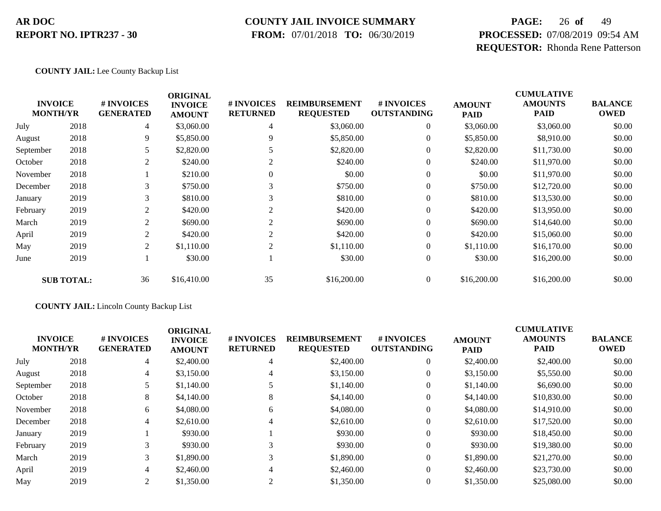### **COUNTY JAIL INVOICE SUMMARY**

 **FROM:** 07/01/2018 **TO:** 06/30/2019

# **PAGE:** 26 **of** 49 **PROCESSED:** 07/08/2019 09:54 AM **REQUESTOR:** Rhonda Rene Patterson

#### **COUNTY JAIL:** Lee County Backup List

| <b>INVOICE</b><br><b>MONTH/YR</b> |                   | # INVOICES<br><b>GENERATED</b> | <b>ORIGINAL</b><br><b>INVOICE</b><br><b>AMOUNT</b> | # INVOICES<br><b>RETURNED</b> | <b>REIMBURSEMENT</b><br><b>REQUESTED</b> | # INVOICES<br><b>OUTSTANDING</b> | <b>AMOUNT</b><br><b>PAID</b> | <b>CUMULATIVE</b><br><b>AMOUNTS</b><br><b>PAID</b> | <b>BALANCE</b><br><b>OWED</b> |
|-----------------------------------|-------------------|--------------------------------|----------------------------------------------------|-------------------------------|------------------------------------------|----------------------------------|------------------------------|----------------------------------------------------|-------------------------------|
| July                              | 2018              | 4                              | \$3,060.00                                         | $\overline{4}$                | \$3,060.00                               | $\overline{0}$                   | \$3,060.00                   | \$3,060.00                                         | \$0.00                        |
| August                            | 2018              | 9                              | \$5,850.00                                         | 9                             | \$5,850.00                               | $\overline{0}$                   | \$5,850.00                   | \$8,910.00                                         | \$0.00                        |
| September                         | 2018              | 5                              | \$2,820.00                                         |                               | \$2,820.00                               | $\overline{0}$                   | \$2,820.00                   | \$11,730.00                                        | \$0.00                        |
| October                           | 2018              | 2                              | \$240.00                                           | 2                             | \$240.00                                 | $\overline{0}$                   | \$240.00                     | \$11,970.00                                        | \$0.00                        |
| November                          | 2018              |                                | \$210.00                                           | $\Omega$                      | \$0.00                                   | $\overline{0}$                   | \$0.00                       | \$11,970.00                                        | \$0.00                        |
| December                          | 2018              | 3                              | \$750.00                                           | 3                             | \$750.00                                 | $\overline{0}$                   | \$750.00                     | \$12,720.00                                        | \$0.00                        |
| January                           | 2019              | 3                              | \$810.00                                           | 3                             | \$810.00                                 | $\overline{0}$                   | \$810.00                     | \$13,530.00                                        | \$0.00                        |
| February                          | 2019              | 2                              | \$420.00                                           | 2                             | \$420.00                                 | $\overline{0}$                   | \$420.00                     | \$13,950.00                                        | \$0.00                        |
| March                             | 2019              | 2                              | \$690.00                                           | 2                             | \$690.00                                 | $\overline{0}$                   | \$690.00                     | \$14,640.00                                        | \$0.00                        |
| April                             | 2019              | 2                              | \$420.00                                           | 2                             | \$420.00                                 | $\overline{0}$                   | \$420.00                     | \$15,060.00                                        | \$0.00                        |
| May                               | 2019              | 2                              | \$1,110.00                                         | $\overline{2}$                | \$1,110.00                               | $\overline{0}$                   | \$1,110.00                   | \$16,170.00                                        | \$0.00                        |
| June                              | 2019              |                                | \$30.00                                            |                               | \$30.00                                  | $\boldsymbol{0}$                 | \$30.00                      | \$16,200.00                                        | \$0.00                        |
|                                   | <b>SUB TOTAL:</b> | 36                             | \$16,410.00                                        | 35                            | \$16,200.00                              | $\overline{0}$                   | \$16,200.00                  | \$16,200.00                                        | \$0.00                        |

#### **COUNTY JAIL:** Lincoln County Backup List

|           | <b>INVOICE</b><br><b>MONTH/YR</b> | # INVOICES<br><b>GENERATED</b> | <b>ORIGINAL</b><br><b>INVOICE</b><br><b>AMOUNT</b> | <b># INVOICES</b><br><b>RETURNED</b> | <b>REIMBURSEMENT</b><br><b>REQUESTED</b> | <b>#INVOICES</b><br><b>OUTSTANDING</b> | <b>AMOUNT</b><br><b>PAID</b> | <b>CUMULATIVE</b><br><b>AMOUNTS</b><br><b>PAID</b> | <b>BALANCE</b><br><b>OWED</b> |
|-----------|-----------------------------------|--------------------------------|----------------------------------------------------|--------------------------------------|------------------------------------------|----------------------------------------|------------------------------|----------------------------------------------------|-------------------------------|
| July      | 2018                              | 4                              | \$2,400.00                                         | 4                                    | \$2,400.00                               | $\theta$                               | \$2,400.00                   | \$2,400.00                                         | \$0.00                        |
| August    | 2018                              | 4                              | \$3,150.00                                         | 4                                    | \$3,150.00                               |                                        | \$3,150.00                   | \$5,550.00                                         | \$0.00                        |
| September | 2018                              |                                | \$1,140.00                                         |                                      | \$1,140.00                               |                                        | \$1,140.00                   | \$6,690.00                                         | \$0.00                        |
| October   | 2018                              | 8                              | \$4,140.00                                         | 8                                    | \$4,140.00                               |                                        | \$4,140.00                   | \$10,830.00                                        | \$0.00                        |
| November  | 2018                              | 6                              | \$4,080.00                                         | 6                                    | \$4,080.00                               | $\theta$                               | \$4,080.00                   | \$14,910.00                                        | \$0.00                        |
| December  | 2018                              | 4                              | \$2,610.00                                         |                                      | \$2,610.00                               |                                        | \$2,610.00                   | \$17,520.00                                        | \$0.00                        |
| January   | 2019                              |                                | \$930.00                                           |                                      | \$930.00                                 | $\theta$                               | \$930.00                     | \$18,450.00                                        | \$0.00                        |
| February  | 2019                              | 3                              | \$930.00                                           |                                      | \$930.00                                 |                                        | \$930.00                     | \$19,380.00                                        | \$0.00                        |
| March     | 2019                              | 3                              | \$1,890.00                                         |                                      | \$1,890.00                               | $\Omega$                               | \$1,890.00                   | \$21,270.00                                        | \$0.00                        |
| April     | 2019                              | 4                              | \$2,460.00                                         |                                      | \$2,460.00                               | $\theta$                               | \$2,460.00                   | \$23,730.00                                        | \$0.00                        |
| May       | 2019                              | 2                              | \$1,350.00                                         |                                      | \$1,350.00                               |                                        | \$1,350.00                   | \$25,080.00                                        | \$0.00                        |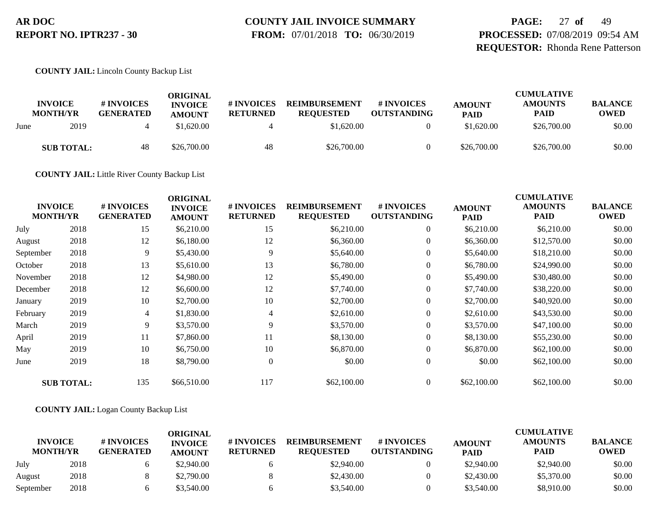# **COUNTY JAIL INVOICE SUMMARY**

 **FROM:** 07/01/2018 **TO:** 06/30/2019

# **PAGE:** 27 **of** 49 **PROCESSED:** 07/08/2019 09:54 AM **REQUESTOR:** Rhonda Rene Patterson

**COUNTY JAIL:** Lincoln County Backup List

|      | <b>INVOICE</b><br><b>MONTH/YR</b> | # INVOICES<br><b>GENERATED</b> | ORIGINAL<br><b>INVOICE</b><br><b>AMOUNT</b> | <b># INVOICES</b><br><b>RETURNED</b> | <b>REIMBURSEMENT</b><br><b>REOUESTED</b> | # INVOICES<br><b>OUTSTANDING</b> | <b>AMOUNT</b><br><b>PAID</b> | <b>CUMULATIVE</b><br><b>AMOUNTS</b><br><b>PAID</b> | <b>BALANCE</b><br><b>OWED</b> |
|------|-----------------------------------|--------------------------------|---------------------------------------------|--------------------------------------|------------------------------------------|----------------------------------|------------------------------|----------------------------------------------------|-------------------------------|
| June | 2019                              |                                | \$1,620.00                                  |                                      | \$1,620.00                               |                                  | \$1,620.00                   | \$26,700.00                                        | \$0.00                        |
|      | <b>SUB TOTAL:</b>                 | 48                             | \$26,700.00                                 | 48                                   | \$26,700.00                              |                                  | \$26,700.00                  | \$26,700.00                                        | \$0.00                        |

**COUNTY JAIL:** Little River County Backup List

| <b>INVOICE</b><br><b>MONTH/YR</b> |                   | # INVOICES<br><b>GENERATED</b> | <b>ORIGINAL</b><br><b>INVOICE</b><br><b>AMOUNT</b> | # INVOICES<br><b>RETURNED</b> | <b>REIMBURSEMENT</b><br><b>REQUESTED</b> | # INVOICES<br><b>OUTSTANDING</b> | <b>AMOUNT</b><br><b>PAID</b> | <b>CUMULATIVE</b><br><b>AMOUNTS</b><br><b>PAID</b> | <b>BALANCE</b><br><b>OWED</b> |
|-----------------------------------|-------------------|--------------------------------|----------------------------------------------------|-------------------------------|------------------------------------------|----------------------------------|------------------------------|----------------------------------------------------|-------------------------------|
| July                              | 2018              | 15                             | \$6,210.00                                         | 15                            | \$6,210.00                               | $\overline{0}$                   | \$6,210.00                   | \$6,210.00                                         | \$0.00                        |
| August                            | 2018              | 12                             | \$6,180.00                                         | 12                            | \$6,360.00                               | $\overline{0}$                   | \$6,360.00                   | \$12,570.00                                        | \$0.00                        |
| September                         | 2018              | 9                              | \$5,430.00                                         | 9                             | \$5,640.00                               | $\overline{0}$                   | \$5,640.00                   | \$18,210.00                                        | \$0.00                        |
| October                           | 2018              | 13                             | \$5,610.00                                         | 13                            | \$6,780.00                               | $\overline{0}$                   | \$6,780.00                   | \$24,990.00                                        | \$0.00                        |
| November                          | 2018              | 12                             | \$4,980.00                                         | 12                            | \$5,490.00                               | $\overline{0}$                   | \$5,490.00                   | \$30,480.00                                        | \$0.00                        |
| December                          | 2018              | 12                             | \$6,600.00                                         | 12                            | \$7,740.00                               | $\overline{0}$                   | \$7,740.00                   | \$38,220.00                                        | \$0.00                        |
| January                           | 2019              | 10                             | \$2,700.00                                         | 10                            | \$2,700.00                               | $\boldsymbol{0}$                 | \$2,700.00                   | \$40,920.00                                        | \$0.00                        |
| February                          | 2019              | $\overline{4}$                 | \$1,830.00                                         | 4                             | \$2,610.00                               | $\overline{0}$                   | \$2,610.00                   | \$43,530.00                                        | \$0.00                        |
| March                             | 2019              | 9                              | \$3,570.00                                         | 9                             | \$3,570.00                               | $\overline{0}$                   | \$3,570.00                   | \$47,100.00                                        | \$0.00                        |
| April                             | 2019              | 11                             | \$7,860.00                                         | 11                            | \$8,130.00                               | $\boldsymbol{0}$                 | \$8,130.00                   | \$55,230.00                                        | \$0.00                        |
| May                               | 2019              | 10                             | \$6,750.00                                         | 10                            | \$6,870.00                               | $\overline{0}$                   | \$6,870.00                   | \$62,100.00                                        | \$0.00                        |
| June                              | 2019              | 18                             | \$8,790.00                                         | $\mathbf{0}$                  | \$0.00                                   | $\overline{0}$                   | \$0.00                       | \$62,100.00                                        | \$0.00                        |
|                                   | <b>SUB TOTAL:</b> | 135                            | \$66,510.00                                        | 117                           | \$62,100.00                              | $\overline{0}$                   | \$62,100.00                  | \$62,100.00                                        | \$0.00                        |

#### **COUNTY JAIL:** Logan County Backup List

|                                   |      |                                | ORIGINAL                        |                               |                                          |                                  |                              | <b>CUMULATIVE</b>             |                               |
|-----------------------------------|------|--------------------------------|---------------------------------|-------------------------------|------------------------------------------|----------------------------------|------------------------------|-------------------------------|-------------------------------|
| <b>INVOICE</b><br><b>MONTH/YR</b> |      | # INVOICES<br><b>GENERATED</b> | <b>INVOICE</b><br><b>AMOUNT</b> | # INVOICES<br><b>RETURNED</b> | <b>REIMBURSEMENT</b><br><b>REOUESTED</b> | # INVOICES<br><b>OUTSTANDING</b> | <b>AMOUNT</b><br><b>PAID</b> | <b>AMOUNTS</b><br><b>PAID</b> | <b>BALANCE</b><br><b>OWED</b> |
| July                              | 2018 |                                | \$2.940.00                      |                               | \$2,940.00                               |                                  | \$2,940.00                   | \$2,940.00                    | \$0.00                        |
| August                            | 2018 |                                | \$2,790.00                      |                               | \$2,430.00                               |                                  | \$2,430.00                   | \$5,370.00                    | \$0.00                        |
| September                         | 2018 |                                | \$3.540.00                      |                               | \$3,540.00                               |                                  | \$3,540.00                   | \$8,910.00                    | \$0.00                        |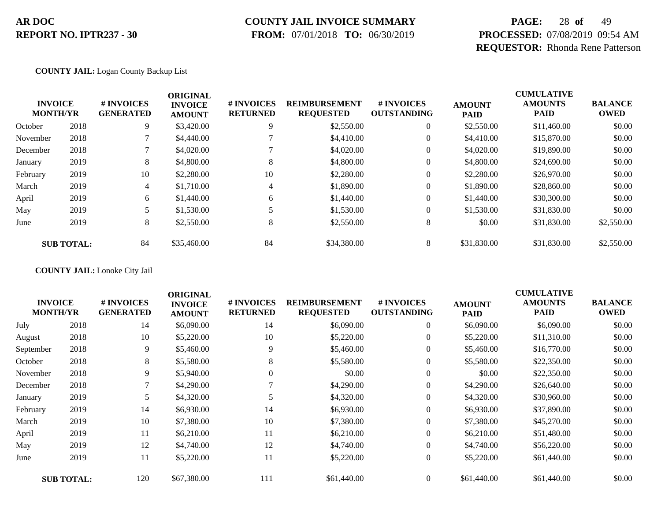### **COUNTY JAIL INVOICE SUMMARY**

 **FROM:** 07/01/2018 **TO:** 06/30/2019

# **PAGE:** 28 **of** 49 **PROCESSED:** 07/08/2019 09:54 AM **REQUESTOR:** Rhonda Rene Patterson

#### **COUNTY JAIL:** Logan County Backup List

|          | <b>INVOICE</b><br><b>MONTH/YR</b> | # INVOICES<br><b>GENERATED</b> | <b>ORIGINAL</b><br><b>INVOICE</b><br><b>AMOUNT</b> | # INVOICES<br><b>RETURNED</b> | <b>REIMBURSEMENT</b><br><b>REQUESTED</b> | # INVOICES<br><b>OUTSTANDING</b> | <b>AMOUNT</b><br><b>PAID</b> | <b>CUMULATIVE</b><br><b>AMOUNTS</b><br><b>PAID</b> | <b>BALANCE</b><br><b>OWED</b> |
|----------|-----------------------------------|--------------------------------|----------------------------------------------------|-------------------------------|------------------------------------------|----------------------------------|------------------------------|----------------------------------------------------|-------------------------------|
| October  | 2018                              | 9                              | \$3,420.00                                         | 9                             | \$2,550.00                               | $\overline{0}$                   | \$2,550.00                   | \$11,460.00                                        | \$0.00                        |
| November | 2018                              |                                | \$4,440.00                                         |                               | \$4,410.00                               | 0                                | \$4,410.00                   | \$15,870.00                                        | \$0.00                        |
| December | 2018                              |                                | \$4,020.00                                         |                               | \$4,020.00                               | $\overline{0}$                   | \$4,020.00                   | \$19,890.00                                        | \$0.00                        |
| January  | 2019                              | 8                              | \$4,800.00                                         | 8                             | \$4,800.00                               | 0                                | \$4,800.00                   | \$24,690.00                                        | \$0.00                        |
| February | 2019                              | 10                             | \$2,280.00                                         | 10                            | \$2,280.00                               | $\overline{0}$                   | \$2,280.00                   | \$26,970.00                                        | \$0.00                        |
| March    | 2019                              | 4                              | \$1,710.00                                         | 4                             | \$1,890.00                               | 0                                | \$1,890.00                   | \$28,860.00                                        | \$0.00                        |
| April    | 2019                              | 6                              | \$1,440.00                                         | 6                             | \$1,440.00                               | 0                                | \$1,440.00                   | \$30,300.00                                        | \$0.00                        |
| May      | 2019                              |                                | \$1,530.00                                         |                               | \$1,530.00                               | $\overline{0}$                   | \$1,530.00                   | \$31,830.00                                        | \$0.00                        |
| June     | 2019                              | 8                              | \$2,550.00                                         | 8                             | \$2,550.00                               | 8                                | \$0.00                       | \$31,830.00                                        | \$2,550.00                    |
|          | <b>SUB TOTAL:</b>                 | 84                             | \$35,460.00                                        | 84                            | \$34,380.00                              | 8                                | \$31,830.00                  | \$31,830.00                                        | \$2,550.00                    |

**COUNTY JAIL:** Lonoke City Jail

|           | <b>INVOICE</b><br><b>MONTH/YR</b> | # INVOICES<br><b>GENERATED</b> | <b>ORIGINAL</b><br><b>INVOICE</b><br><b>AMOUNT</b> | # INVOICES<br><b>RETURNED</b> | <b>REIMBURSEMENT</b><br><b>REQUESTED</b> | # INVOICES<br><b>OUTSTANDING</b> | <b>AMOUNT</b><br><b>PAID</b> | <b>CUMULATIVE</b><br><b>AMOUNTS</b><br><b>PAID</b> | <b>BALANCE</b><br><b>OWED</b> |
|-----------|-----------------------------------|--------------------------------|----------------------------------------------------|-------------------------------|------------------------------------------|----------------------------------|------------------------------|----------------------------------------------------|-------------------------------|
| July      | 2018                              | 14                             | \$6,090.00                                         | 14                            | \$6,090.00                               | $\overline{0}$                   | \$6,090.00                   | \$6,090.00                                         | \$0.00                        |
| August    | 2018                              | 10                             | \$5,220.00                                         | 10                            | \$5,220.00                               | $\overline{0}$                   | \$5,220.00                   | \$11,310.00                                        | \$0.00                        |
| September | 2018                              | 9                              | \$5,460.00                                         | 9                             | \$5,460.00                               | $\overline{0}$                   | \$5,460.00                   | \$16,770.00                                        | \$0.00                        |
| October   | 2018                              | 8                              | \$5,580.00                                         | 8                             | \$5,580.00                               | $\overline{0}$                   | \$5,580.00                   | \$22,350.00                                        | \$0.00                        |
| November  | 2018                              | 9                              | \$5,940.00                                         | $\overline{0}$                | \$0.00                                   | $\overline{0}$                   | \$0.00                       | \$22,350.00                                        | \$0.00                        |
| December  | 2018                              | 7                              | \$4,290.00                                         |                               | \$4,290.00                               | $\overline{0}$                   | \$4,290.00                   | \$26,640.00                                        | \$0.00                        |
| January   | 2019                              |                                | \$4,320.00                                         |                               | \$4,320.00                               | $\overline{0}$                   | \$4,320.00                   | \$30,960.00                                        | \$0.00                        |
| February  | 2019                              | 14                             | \$6,930.00                                         | 14                            | \$6,930.00                               | $\overline{0}$                   | \$6,930.00                   | \$37,890.00                                        | \$0.00                        |
| March     | 2019                              | 10                             | \$7,380.00                                         | 10                            | \$7,380.00                               | $\overline{0}$                   | \$7,380.00                   | \$45,270.00                                        | \$0.00                        |
| April     | 2019                              | 11                             | \$6,210.00                                         | 11                            | \$6,210.00                               | $\overline{0}$                   | \$6,210.00                   | \$51,480.00                                        | \$0.00                        |
| May       | 2019                              | 12                             | \$4,740.00                                         | 12                            | \$4,740.00                               | 0                                | \$4,740.00                   | \$56,220.00                                        | \$0.00                        |
| June      | 2019                              | 11                             | \$5,220.00                                         | 11                            | \$5,220.00                               | $\boldsymbol{0}$                 | \$5,220.00                   | \$61,440.00                                        | \$0.00                        |
|           | <b>SUB TOTAL:</b>                 | 120                            | \$67,380.00                                        | 111                           | \$61,440.00                              | $\overline{0}$                   | \$61,440.00                  | \$61,440.00                                        | \$0.00                        |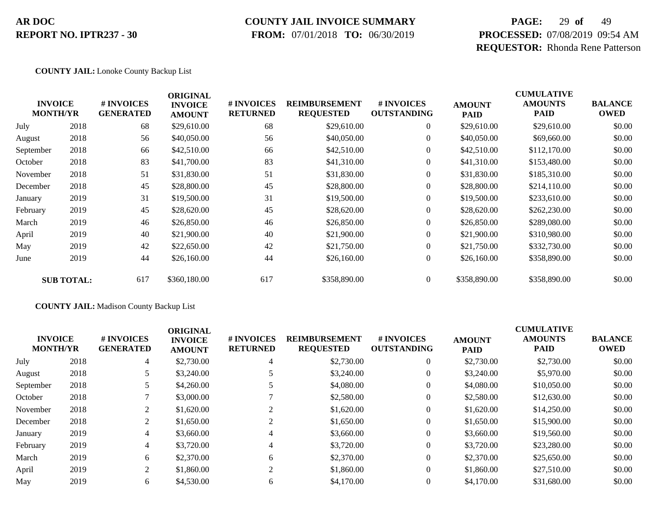### **COUNTY JAIL INVOICE SUMMARY**

 **FROM:** 07/01/2018 **TO:** 06/30/2019

# **PAGE:** 29 **of** 49 **PROCESSED:** 07/08/2019 09:54 AM **REQUESTOR:** Rhonda Rene Patterson

#### **COUNTY JAIL:** Lonoke County Backup List

|           | <b>INVOICE</b><br><b>MONTH/YR</b> | # INVOICES<br><b>GENERATED</b> | <b>ORIGINAL</b><br><b>INVOICE</b><br><b>AMOUNT</b> | # INVOICES<br><b>RETURNED</b> | <b>REIMBURSEMENT</b><br><b>REQUESTED</b> | # INVOICES<br><b>OUTSTANDING</b> | <b>AMOUNT</b><br><b>PAID</b> | <b>CUMULATIVE</b><br><b>AMOUNTS</b><br><b>PAID</b> | <b>BALANCE</b><br><b>OWED</b> |
|-----------|-----------------------------------|--------------------------------|----------------------------------------------------|-------------------------------|------------------------------------------|----------------------------------|------------------------------|----------------------------------------------------|-------------------------------|
| July      | 2018                              | 68                             | \$29,610.00                                        | 68                            | \$29,610.00                              | $\overline{0}$                   | \$29,610.00                  | \$29,610.00                                        | \$0.00                        |
| August    | 2018                              | 56                             | \$40,050.00                                        | 56                            | \$40,050.00                              | $\overline{0}$                   | \$40,050.00                  | \$69,660.00                                        | \$0.00                        |
| September | 2018                              | 66                             | \$42,510.00                                        | 66                            | \$42,510.00                              | $\overline{0}$                   | \$42,510.00                  | \$112,170.00                                       | \$0.00                        |
| October   | 2018                              | 83                             | \$41,700.00                                        | 83                            | \$41,310.00                              | $\overline{0}$                   | \$41,310.00                  | \$153,480.00                                       | \$0.00                        |
| November  | 2018                              | 51                             | \$31,830.00                                        | 51                            | \$31,830.00                              | $\overline{0}$                   | \$31,830.00                  | \$185,310.00                                       | \$0.00                        |
| December  | 2018                              | 45                             | \$28,800.00                                        | 45                            | \$28,800.00                              | $\overline{0}$                   | \$28,800.00                  | \$214,110.00                                       | \$0.00                        |
| January   | 2019                              | 31                             | \$19,500.00                                        | 31                            | \$19,500.00                              | $\overline{0}$                   | \$19,500.00                  | \$233,610.00                                       | \$0.00                        |
| February  | 2019                              | 45                             | \$28,620.00                                        | 45                            | \$28,620.00                              | $\overline{0}$                   | \$28,620.00                  | \$262,230.00                                       | \$0.00                        |
| March     | 2019                              | 46                             | \$26,850.00                                        | 46                            | \$26,850.00                              | $\overline{0}$                   | \$26,850.00                  | \$289,080.00                                       | \$0.00                        |
| April     | 2019                              | 40                             | \$21,900.00                                        | 40                            | \$21,900.00                              | $\overline{0}$                   | \$21,900.00                  | \$310,980.00                                       | \$0.00                        |
| May       | 2019                              | 42                             | \$22,650.00                                        | 42                            | \$21,750.00                              | $\overline{0}$                   | \$21,750.00                  | \$332,730.00                                       | \$0.00                        |
| June      | 2019                              | 44                             | \$26,160.00                                        | 44                            | \$26,160.00                              | $\overline{0}$                   | \$26,160.00                  | \$358,890.00                                       | \$0.00                        |
|           | <b>SUB TOTAL:</b>                 | 617                            | \$360,180.00                                       | 617                           | \$358,890.00                             | $\overline{0}$                   | \$358,890.00                 | \$358,890.00                                       | \$0.00                        |

#### **COUNTY JAIL:** Madison County Backup List

|           | <b>INVOICE</b><br><b>MONTH/YR</b> | <b>#INVOICES</b><br><b>GENERATED</b> | <b>ORIGINAL</b><br><b>INVOICE</b><br><b>AMOUNT</b> | <b># INVOICES</b><br><b>RETURNED</b> | <b>REIMBURSEMENT</b><br><b>REQUESTED</b> | # INVOICES<br><b>OUTSTANDING</b> | <b>AMOUNT</b><br><b>PAID</b> | <b>CUMULATIVE</b><br><b>AMOUNTS</b><br><b>PAID</b> | <b>BALANCE</b><br><b>OWED</b> |
|-----------|-----------------------------------|--------------------------------------|----------------------------------------------------|--------------------------------------|------------------------------------------|----------------------------------|------------------------------|----------------------------------------------------|-------------------------------|
| July      | 2018                              | 4                                    | \$2,730.00                                         | 4                                    | \$2,730.00                               | $\theta$                         | \$2,730.00                   | \$2,730.00                                         | \$0.00                        |
| August    | 2018                              |                                      | \$3,240.00                                         |                                      | \$3,240.00                               | $\theta$                         | \$3,240.00                   | \$5,970.00                                         | \$0.00                        |
| September | 2018                              |                                      | \$4,260.00                                         |                                      | \$4,080.00                               | $\theta$                         | \$4,080.00                   | \$10,050.00                                        | \$0.00                        |
| October   | 2018                              |                                      | \$3,000.00                                         |                                      | \$2,580.00                               | $\theta$                         | \$2,580.00                   | \$12,630.00                                        | \$0.00                        |
| November  | 2018                              | 2                                    | \$1,620.00                                         |                                      | \$1,620.00                               | $\theta$                         | \$1,620.00                   | \$14,250.00                                        | \$0.00                        |
| December  | 2018                              | 2                                    | \$1,650.00                                         |                                      | \$1,650.00                               | $\theta$                         | \$1,650.00                   | \$15,900.00                                        | \$0.00                        |
| January   | 2019                              | 4                                    | \$3,660.00                                         | $\overline{4}$                       | \$3,660.00                               | $\theta$                         | \$3,660.00                   | \$19,560.00                                        | \$0.00                        |
| February  | 2019                              | 4                                    | \$3,720.00                                         | 4                                    | \$3,720.00                               | $\mathbf{0}$                     | \$3,720.00                   | \$23,280.00                                        | \$0.00                        |
| March     | 2019                              | 6                                    | \$2,370.00                                         | 6                                    | \$2,370.00                               | $\theta$                         | \$2,370.00                   | \$25,650.00                                        | \$0.00                        |
| April     | 2019                              | 2                                    | \$1,860.00                                         | 2                                    | \$1,860.00                               | $\Omega$                         | \$1,860.00                   | \$27,510.00                                        | \$0.00                        |
| May       | 2019                              | 6                                    | \$4,530.00                                         | 6                                    | \$4,170.00                               | $\Omega$                         | \$4,170.00                   | \$31,680.00                                        | \$0.00                        |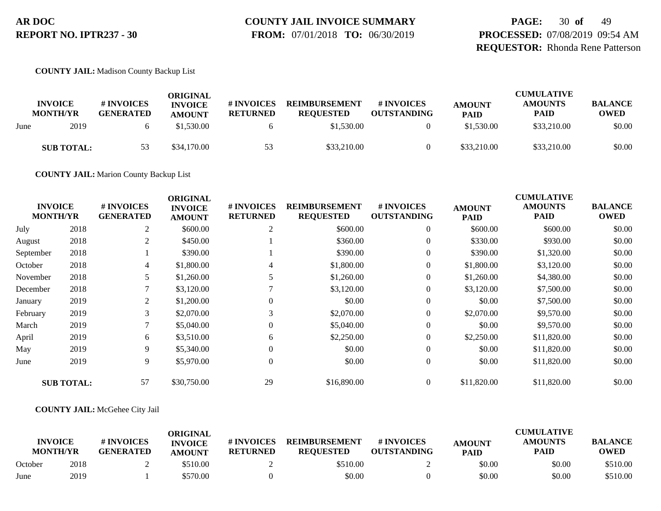# **COUNTY JAIL INVOICE SUMMARY**

 **FROM:** 07/01/2018 **TO:** 06/30/2019

**PAGE:** 30 **of** 49 **PROCESSED:** 07/08/2019 09:54 AM **REQUESTOR:** Rhonda Rene Patterson

**COUNTY JAIL:** Madison County Backup List

|      | <b>INVOICE</b><br><b>MONTH/YR</b> | # INVOICES<br><b>GENERATED</b> | ORIGINAL<br><b>INVOICE</b><br><b>AMOUNT</b> | # INVOICES<br><b>RETURNED</b> | <b>REIMBURSEMENT</b><br><b>REOUESTED</b> | # INVOICES<br><b>OUTSTANDING</b> | <b>AMOUNT</b><br><b>PAID</b> | <b>CUMULATIVE</b><br><b>AMOUNTS</b><br><b>PAID</b> | <b>BALANCE</b><br><b>OWED</b> |
|------|-----------------------------------|--------------------------------|---------------------------------------------|-------------------------------|------------------------------------------|----------------------------------|------------------------------|----------------------------------------------------|-------------------------------|
| June | 2019                              |                                | \$1,530.00                                  |                               | \$1,530.00                               |                                  | \$1,530.00                   | \$33,210.00                                        | \$0.00                        |
|      | <b>SUB TOTAL:</b>                 |                                | \$34,170.00                                 | 53                            | \$33,210.00                              |                                  | \$33,210.00                  | \$33,210.00                                        | \$0.00                        |

**COUNTY JAIL:** Marion County Backup List

| <b>INVOICE</b><br><b>MONTH/YR</b> |                   | # INVOICES<br><b>GENERATED</b> | <b>ORIGINAL</b><br><b>INVOICE</b><br><b>AMOUNT</b> | # INVOICES<br><b>RETURNED</b> | <b>REIMBURSEMENT</b><br><b>REQUESTED</b> | # INVOICES<br><b>OUTSTANDING</b> | <b>AMOUNT</b><br><b>PAID</b> | <b>CUMULATIVE</b><br><b>AMOUNTS</b><br><b>PAID</b> | <b>BALANCE</b><br><b>OWED</b> |
|-----------------------------------|-------------------|--------------------------------|----------------------------------------------------|-------------------------------|------------------------------------------|----------------------------------|------------------------------|----------------------------------------------------|-------------------------------|
| July                              | 2018              | 2                              | \$600.00                                           | 2                             | \$600.00                                 | $\overline{0}$                   | \$600.00                     | \$600.00                                           | \$0.00                        |
| August                            | 2018              | 2                              | \$450.00                                           |                               | \$360.00                                 | $\overline{0}$                   | \$330.00                     | \$930.00                                           | \$0.00                        |
| September                         | 2018              |                                | \$390.00                                           |                               | \$390.00                                 | $\overline{0}$                   | \$390.00                     | \$1,320.00                                         | \$0.00                        |
| October                           | 2018              | 4                              | \$1,800.00                                         | 4                             | \$1,800.00                               | $\overline{0}$                   | \$1,800.00                   | \$3,120.00                                         | \$0.00                        |
| November                          | 2018              | 5                              | \$1,260.00                                         | 5.                            | \$1,260.00                               | $\overline{0}$                   | \$1,260.00                   | \$4,380.00                                         | \$0.00                        |
| December                          | 2018              | 7                              | \$3,120.00                                         |                               | \$3,120.00                               | $\overline{0}$                   | \$3,120.00                   | \$7,500.00                                         | \$0.00                        |
| January                           | 2019              | 2                              | \$1,200.00                                         | 0                             | \$0.00                                   | $\overline{0}$                   | \$0.00                       | \$7,500.00                                         | \$0.00                        |
| February                          | 2019              | 3                              | \$2,070.00                                         | 3                             | \$2,070.00                               | $\overline{0}$                   | \$2,070.00                   | \$9,570.00                                         | \$0.00                        |
| March                             | 2019              | 7                              | \$5,040.00                                         | $\theta$                      | \$5,040.00                               | $\overline{0}$                   | \$0.00                       | \$9,570.00                                         | \$0.00                        |
| April                             | 2019              | 6                              | \$3,510.00                                         | 6                             | \$2,250.00                               | $\overline{0}$                   | \$2,250.00                   | \$11,820.00                                        | \$0.00                        |
| May                               | 2019              | 9                              | \$5,340.00                                         | $\Omega$                      | \$0.00                                   | $\overline{0}$                   | \$0.00                       | \$11,820.00                                        | \$0.00                        |
| June                              | 2019              | 9                              | \$5,970.00                                         | $\theta$                      | \$0.00                                   | $\overline{0}$                   | \$0.00                       | \$11,820.00                                        | \$0.00                        |
|                                   | <b>SUB TOTAL:</b> | 57                             | \$30,750.00                                        | 29                            | \$16,890.00                              | $\overline{0}$                   | \$11,820.00                  | \$11,820.00                                        | \$0.00                        |

#### **COUNTY JAIL:** McGehee City Jail

|                                   |      |                                | ORIGINAL                        |                               |                                          |                                  |                              | <b>CUMULATIVE</b>             |                               |
|-----------------------------------|------|--------------------------------|---------------------------------|-------------------------------|------------------------------------------|----------------------------------|------------------------------|-------------------------------|-------------------------------|
| <b>INVOICE</b><br><b>MONTH/YR</b> |      | # INVOICES<br><b>GENERATED</b> | <b>INVOICE</b><br><b>AMOUNT</b> | # INVOICES<br><b>RETURNED</b> | <b>REIMBURSEMENT</b><br><b>REOUESTED</b> | # INVOICES<br><b>OUTSTANDING</b> | <b>AMOUNT</b><br><b>PAID</b> | <b>AMOUNTS</b><br><b>PAID</b> | <b>BALANCE</b><br><b>OWED</b> |
| October                           | 2018 |                                | \$510.00                        |                               | \$510.00                                 |                                  | \$0.00                       | \$0.00                        | \$510.00                      |
| June                              | 2019 |                                | \$570.00                        |                               | \$0.00                                   |                                  | \$0.00                       | \$0.00                        | \$510.00                      |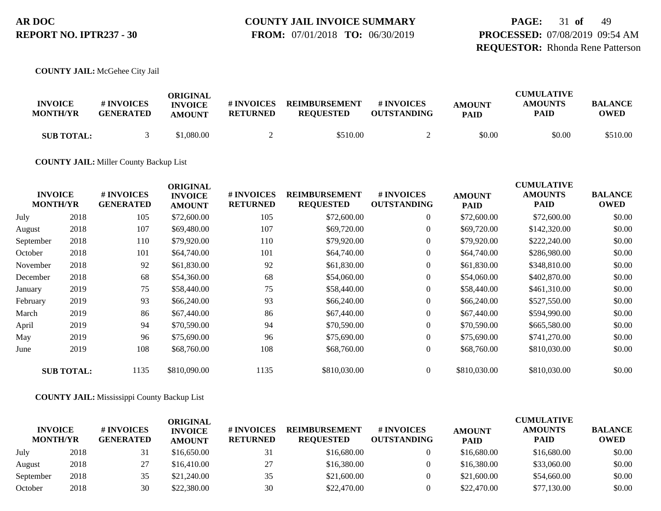### **COUNTY JAIL INVOICE SUMMARY FROM:** 07/01/2018 **TO:** 06/30/2019

# **PAGE:** 31 **of** 49 **PROCESSED:** 07/08/2019 09:54 AM **REQUESTOR:** Rhonda Rene Patterson

**COUNTY JAIL:** McGehee City Jail

| <b>INVOICE</b><br><b>MONTH/YR</b> | # INVOICES<br><b>GENERATED</b> | ORIGINAL<br><b>INVOICE</b><br><b>AMOUNT</b> | # INVOICES<br><b>RETURNED</b> | <b>REIMBURSEMENT</b><br><b>REOUESTED</b> | # INVOICES<br><b>OUTSTANDING</b> | <b>AMOUNT</b><br><b>PAID</b> | <b>CUMULATIVE</b><br><b>AMOUNTS</b><br>PAID | <b>BALANCE</b><br><b>OWED</b> |
|-----------------------------------|--------------------------------|---------------------------------------------|-------------------------------|------------------------------------------|----------------------------------|------------------------------|---------------------------------------------|-------------------------------|
| <b>SUB TOTAL:</b>                 |                                | \$1.080.00                                  |                               | \$510.00                                 |                                  | \$0.00                       | \$0.00                                      | \$510.00                      |

**COUNTY JAIL:** Miller County Backup List

|           | <b>INVOICE</b><br><b>MONTH/YR</b> | # INVOICES<br><b>GENERATED</b> | <b>ORIGINAL</b><br><b>INVOICE</b><br><b>AMOUNT</b> | # INVOICES<br><b>RETURNED</b> | <b>REIMBURSEMENT</b><br><b>REQUESTED</b> | # INVOICES<br><b>OUTSTANDING</b> | <b>AMOUNT</b><br><b>PAID</b> | <b>CUMULATIVE</b><br><b>AMOUNTS</b><br><b>PAID</b> | <b>BALANCE</b><br><b>OWED</b> |
|-----------|-----------------------------------|--------------------------------|----------------------------------------------------|-------------------------------|------------------------------------------|----------------------------------|------------------------------|----------------------------------------------------|-------------------------------|
| July      | 2018                              | 105                            | \$72,600.00                                        | 105                           | \$72,600.00                              | $\overline{0}$                   | \$72,600.00                  | \$72,600.00                                        | \$0.00                        |
| August    | 2018                              | 107                            | \$69,480.00                                        | 107                           | \$69,720.00                              | $\overline{0}$                   | \$69,720.00                  | \$142,320.00                                       | \$0.00                        |
| September | 2018                              | 110                            | \$79,920.00                                        | 110                           | \$79,920.00                              | $\overline{0}$                   | \$79,920.00                  | \$222,240.00                                       | \$0.00                        |
| October   | 2018                              | 101                            | \$64,740.00                                        | 101                           | \$64,740.00                              | $\boldsymbol{0}$                 | \$64,740.00                  | \$286,980.00                                       | \$0.00                        |
| November  | 2018                              | 92                             | \$61,830.00                                        | 92                            | \$61,830.00                              | $\overline{0}$                   | \$61,830.00                  | \$348,810.00                                       | \$0.00                        |
| December  | 2018                              | 68                             | \$54,360.00                                        | 68                            | \$54,060.00                              | $\boldsymbol{0}$                 | \$54,060.00                  | \$402,870.00                                       | \$0.00                        |
| January   | 2019                              | 75                             | \$58,440.00                                        | 75                            | \$58,440.00                              | $\overline{0}$                   | \$58,440.00                  | \$461,310.00                                       | \$0.00                        |
| February  | 2019                              | 93                             | \$66,240.00                                        | 93                            | \$66,240.00                              | $\boldsymbol{0}$                 | \$66,240.00                  | \$527,550.00                                       | \$0.00                        |
| March     | 2019                              | 86                             | \$67,440.00                                        | 86                            | \$67,440.00                              | $\overline{0}$                   | \$67,440.00                  | \$594,990.00                                       | \$0.00                        |
| April     | 2019                              | 94                             | \$70,590.00                                        | 94                            | \$70,590.00                              | $\overline{0}$                   | \$70,590.00                  | \$665,580.00                                       | \$0.00                        |
| May       | 2019                              | 96                             | \$75,690.00                                        | 96                            | \$75,690.00                              | $\overline{0}$                   | \$75,690.00                  | \$741,270.00                                       | \$0.00                        |
| June      | 2019                              | 108                            | \$68,760.00                                        | 108                           | \$68,760.00                              | $\overline{0}$                   | \$68,760.00                  | \$810,030.00                                       | \$0.00                        |
|           | <b>SUB TOTAL:</b>                 | 1135                           | \$810,090.00                                       | 1135                          | \$810,030.00                             | $\overline{0}$                   | \$810,030.00                 | \$810,030.00                                       | \$0.00                        |

#### **COUNTY JAIL:** Mississippi County Backup List

| <b>INVOICE</b><br><b>MONTH/YR</b> |      | # INVOICES<br><b>GENERATED</b> | ORIGINAL<br><b>INVOICE</b><br><b>AMOUNT</b> | # INVOICES<br><b>RETURNED</b> | <b>REIMBURSEMENT</b><br><b>REQUESTED</b> | # INVOICES<br><b>OUTSTANDING</b> | <b>AMOUNT</b><br><b>PAID</b> | <b>CUMULATIVE</b><br><b>AMOUNTS</b><br><b>PAID</b> | <b>BALANCE</b><br><b>OWED</b> |
|-----------------------------------|------|--------------------------------|---------------------------------------------|-------------------------------|------------------------------------------|----------------------------------|------------------------------|----------------------------------------------------|-------------------------------|
| July                              | 2018 | 31                             | \$16,650.00                                 | 31                            | \$16,680.00                              |                                  | \$16,680.00                  | \$16,680.00                                        | \$0.00                        |
| August                            | 2018 | 27                             | \$16,410.00                                 | 27                            | \$16,380.00                              |                                  | \$16,380.00                  | \$33,060.00                                        | \$0.00                        |
| September                         | 2018 | 35                             | \$21,240.00                                 | 35                            | \$21,600.00                              |                                  | \$21,600.00                  | \$54,660.00                                        | \$0.00                        |
| October                           | 2018 | 30                             | \$22,380.00                                 | 30                            | \$22,470.00                              |                                  | \$22,470.00                  | \$77,130.00                                        | \$0.00                        |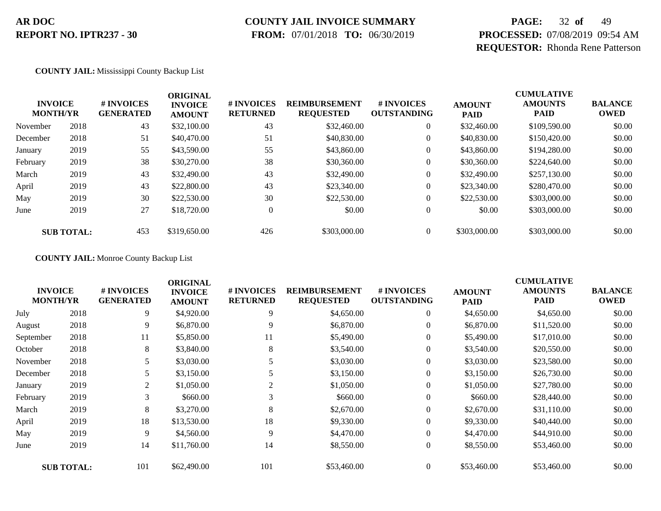# **COUNTY JAIL INVOICE SUMMARY**

 **FROM:** 07/01/2018 **TO:** 06/30/2019

# **PAGE:** 32 **of** 49 **PROCESSED:** 07/08/2019 09:54 AM **REQUESTOR:** Rhonda Rene Patterson

**COUNTY JAIL:** Mississippi County Backup List

| <b>INVOICE</b><br><b>MONTH/YR</b> |                   | # INVOICES<br><b>GENERATED</b> | <b>ORIGINAL</b><br><b>INVOICE</b><br><b>AMOUNT</b> | # INVOICES<br><b>RETURNED</b> | <b>REIMBURSEMENT</b><br><b>REQUESTED</b> | # INVOICES<br><b>OUTSTANDING</b> | <b>AMOUNT</b><br><b>PAID</b> | <b>CUMULATIVE</b><br><b>AMOUNTS</b><br><b>PAID</b> | <b>BALANCE</b><br><b>OWED</b> |
|-----------------------------------|-------------------|--------------------------------|----------------------------------------------------|-------------------------------|------------------------------------------|----------------------------------|------------------------------|----------------------------------------------------|-------------------------------|
| November                          | 2018              | 43                             | \$32,100.00                                        | 43                            | \$32,460.00                              | $\overline{0}$                   | \$32,460.00                  | \$109,590.00                                       | \$0.00                        |
| December                          | 2018              | 51                             | \$40,470.00                                        | 51                            | \$40,830.00                              | $\boldsymbol{0}$                 | \$40,830.00                  | \$150,420.00                                       | \$0.00                        |
| January                           | 2019              | 55                             | \$43,590.00                                        | 55                            | \$43,860.00                              | $\boldsymbol{0}$                 | \$43,860.00                  | \$194,280.00                                       | \$0.00                        |
| February                          | 2019              | 38                             | \$30,270.00                                        | 38                            | \$30,360.00                              | $\overline{0}$                   | \$30,360.00                  | \$224,640.00                                       | \$0.00                        |
| March                             | 2019              | 43                             | \$32,490.00                                        | 43                            | \$32,490.00                              | $\boldsymbol{0}$                 | \$32,490.00                  | \$257,130.00                                       | \$0.00                        |
| April                             | 2019              | 43                             | \$22,800.00                                        | 43                            | \$23,340.00                              | $\boldsymbol{0}$                 | \$23,340.00                  | \$280,470.00                                       | \$0.00                        |
| May                               | 2019              | 30                             | \$22,530.00                                        | 30                            | \$22,530.00                              | $\overline{0}$                   | \$22,530.00                  | \$303,000.00                                       | \$0.00                        |
| June                              | 2019              | 27                             | \$18,720.00                                        | $\mathbf{0}$                  | \$0.00                                   | $\overline{0}$                   | \$0.00                       | \$303,000.00                                       | \$0.00                        |
|                                   | <b>SUB TOTAL:</b> | 453                            | \$319,650.00                                       | 426                           | \$303,000.00                             | $\Omega$                         | \$303,000.00                 | \$303,000.00                                       | \$0.00                        |

**COUNTY JAIL:** Monroe County Backup List

| <b>INVOICE</b><br><b>MONTH/YR</b> |                   | # INVOICES<br><b>GENERATED</b> | <b>ORIGINAL</b><br><b>INVOICE</b><br><b>AMOUNT</b> | # INVOICES<br><b>RETURNED</b> | <b>REIMBURSEMENT</b><br><b>REQUESTED</b> | # INVOICES<br><b>OUTSTANDING</b> | <b>AMOUNT</b><br><b>PAID</b> | <b>CUMULATIVE</b><br><b>AMOUNTS</b><br><b>PAID</b> | <b>BALANCE</b><br><b>OWED</b> |
|-----------------------------------|-------------------|--------------------------------|----------------------------------------------------|-------------------------------|------------------------------------------|----------------------------------|------------------------------|----------------------------------------------------|-------------------------------|
| July                              | 2018              | 9                              | \$4,920.00                                         | 9                             | \$4,650.00                               | $\overline{0}$                   | \$4,650.00                   | \$4,650.00                                         | \$0.00                        |
| August                            | 2018              | 9                              | \$6,870.00                                         | 9                             | \$6,870.00                               | $\overline{0}$                   | \$6,870.00                   | \$11,520.00                                        | \$0.00                        |
| September                         | 2018              | 11                             | \$5,850.00                                         | 11                            | \$5,490.00                               | $\overline{0}$                   | \$5,490.00                   | \$17,010.00                                        | \$0.00                        |
| October                           | 2018              | 8                              | \$3,840.00                                         | 8                             | \$3,540.00                               | $\overline{0}$                   | \$3,540.00                   | \$20,550.00                                        | \$0.00                        |
| November                          | 2018              | 5                              | \$3,030.00                                         | 5                             | \$3,030.00                               | $\overline{0}$                   | \$3,030.00                   | \$23,580.00                                        | \$0.00                        |
| December                          | 2018              | 5                              | \$3,150.00                                         |                               | \$3,150.00                               | $\overline{0}$                   | \$3,150.00                   | \$26,730.00                                        | \$0.00                        |
| January                           | 2019              | 2                              | \$1,050.00                                         | 2                             | \$1,050.00                               | $\overline{0}$                   | \$1,050.00                   | \$27,780.00                                        | \$0.00                        |
| February                          | 2019              | 3                              | \$660.00                                           | 3                             | \$660.00                                 | $\overline{0}$                   | \$660.00                     | \$28,440.00                                        | \$0.00                        |
| March                             | 2019              | 8                              | \$3,270.00                                         | 8                             | \$2,670.00                               | $\overline{0}$                   | \$2,670.00                   | \$31,110.00                                        | \$0.00                        |
| April                             | 2019              | 18                             | \$13,530.00                                        | 18                            | \$9,330.00                               | $\overline{0}$                   | \$9,330.00                   | \$40,440.00                                        | \$0.00                        |
| May                               | 2019              | 9                              | \$4,560.00                                         | 9                             | \$4,470.00                               | $\overline{0}$                   | \$4,470.00                   | \$44,910.00                                        | \$0.00                        |
| June                              | 2019              | 14                             | \$11,760.00                                        | 14                            | \$8,550.00                               | $\overline{0}$                   | \$8,550.00                   | \$53,460.00                                        | \$0.00                        |
|                                   | <b>SUB TOTAL:</b> | 101                            | \$62,490.00                                        | 101                           | \$53,460.00                              | $\overline{0}$                   | \$53,460.00                  | \$53,460.00                                        | \$0.00                        |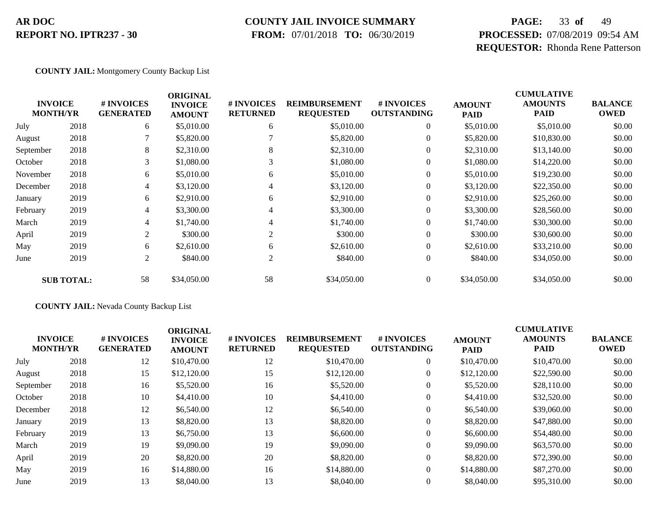### **COUNTY JAIL INVOICE SUMMARY**

 **FROM:** 07/01/2018 **TO:** 06/30/2019

# **PAGE:** 33 **of** 49 **PROCESSED:** 07/08/2019 09:54 AM **REQUESTOR:** Rhonda Rene Patterson

**COUNTY JAIL:** Montgomery County Backup List

| <b>BALANCE</b><br><b>OWED</b> |
|-------------------------------|
| \$0.00                        |
| \$0.00                        |
| \$0.00                        |
| \$0.00                        |
| \$0.00                        |
| \$0.00                        |
| \$0.00                        |
| \$0.00                        |
| \$0.00                        |
| \$0.00                        |
| \$0.00                        |
| \$0.00                        |
| \$0.00                        |
|                               |

#### **COUNTY JAIL:** Nevada County Backup List

|                                   |      |                                | <b>ORIGINAL</b>                 |                                      |                                          |                                        |                              | <b>CUMULATIVE</b>             |                               |
|-----------------------------------|------|--------------------------------|---------------------------------|--------------------------------------|------------------------------------------|----------------------------------------|------------------------------|-------------------------------|-------------------------------|
| <b>INVOICE</b><br><b>MONTH/YR</b> |      | # INVOICES<br><b>GENERATED</b> | <b>INVOICE</b><br><b>AMOUNT</b> | <b># INVOICES</b><br><b>RETURNED</b> | <b>REIMBURSEMENT</b><br><b>REQUESTED</b> | <b>#INVOICES</b><br><b>OUTSTANDING</b> | <b>AMOUNT</b><br><b>PAID</b> | <b>AMOUNTS</b><br><b>PAID</b> | <b>BALANCE</b><br><b>OWED</b> |
| July                              | 2018 | 12                             | \$10,470.00                     | 12                                   | \$10,470.00                              | $\mathbf{0}$                           | \$10,470.00                  | \$10,470.00                   | \$0.00                        |
| August                            | 2018 | 15                             | \$12,120.00                     | 15                                   | \$12,120.00                              |                                        | \$12,120.00                  | \$22,590.00                   | \$0.00                        |
| September                         | 2018 | 16                             | \$5,520.00                      | 16                                   | \$5,520.00                               |                                        | \$5,520.00                   | \$28,110.00                   | \$0.00                        |
| October                           | 2018 | 10                             | \$4,410.00                      | 10                                   | \$4,410.00                               |                                        | \$4,410.00                   | \$32,520.00                   | \$0.00                        |
| December                          | 2018 | 12                             | \$6,540.00                      | 12                                   | \$6,540.00                               | $\overline{0}$                         | \$6,540.00                   | \$39,060.00                   | \$0.00                        |
| January                           | 2019 | 13                             | \$8,820.00                      | 13                                   | \$8,820.00                               | $\mathbf{0}$                           | \$8,820.00                   | \$47,880.00                   | \$0.00                        |
| February                          | 2019 | 13                             | \$6,750.00                      | 13                                   | \$6,600.00                               | $\mathbf{0}$                           | \$6,600.00                   | \$54,480.00                   | \$0.00                        |
| March                             | 2019 | 19                             | \$9,090.00                      | 19                                   | \$9,090.00                               |                                        | \$9,090.00                   | \$63,570.00                   | \$0.00                        |
| April                             | 2019 | 20                             | \$8,820.00                      | 20                                   | \$8,820.00                               | $\Omega$                               | \$8,820.00                   | \$72,390.00                   | \$0.00                        |
| May                               | 2019 | 16                             | \$14,880.00                     | 16                                   | \$14,880.00                              | $\overline{0}$                         | \$14,880.00                  | \$87,270.00                   | \$0.00                        |
| June                              | 2019 | 13                             | \$8,040.00                      | 13                                   | \$8,040.00                               |                                        | \$8,040.00                   | \$95,310.00                   | \$0.00                        |
|                                   |      |                                |                                 |                                      |                                          |                                        |                              |                               |                               |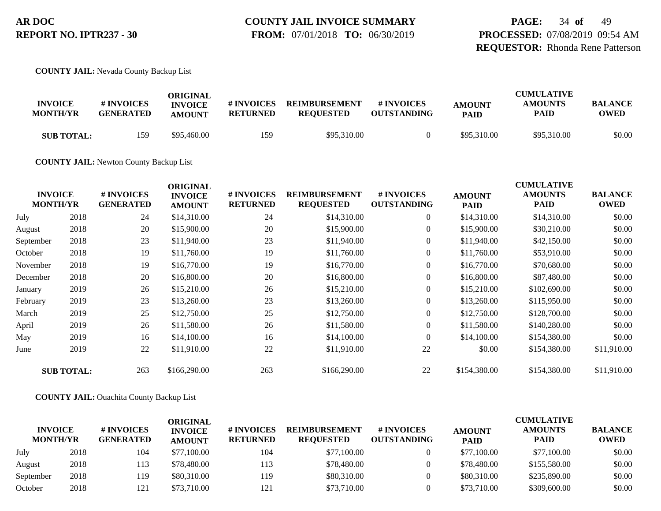**PAGE:** 34 **of** 49 **PROCESSED:** 07/08/2019 09:54 AM **REQUESTOR:** Rhonda Rene Patterson

**COUNTY JAIL:** Nevada County Backup List

| <b>INVOICE</b><br><b>MONTH/YR</b> | # INVOICES<br><b>GENERATED</b> | ORIGINAL<br><b>INVOICE</b><br><b>AMOUNT</b> | # INVOICES<br><b>RETURNED</b> | <b>REIMBURSEMENT</b><br><b>REOUESTED</b> | <b>#INVOICES</b><br><b>OUTSTANDING</b> | <b>AMOUNT</b><br><b>PAID</b> | <b>CUMULATIVE</b><br><b>AMOUNTS</b><br>PAID | <b>BALANCE</b><br><b>OWED</b> |
|-----------------------------------|--------------------------------|---------------------------------------------|-------------------------------|------------------------------------------|----------------------------------------|------------------------------|---------------------------------------------|-------------------------------|
| <b>SUB TOTAL:</b>                 | 159                            | \$95,460.00                                 | 159                           | \$95,310.00                              |                                        | \$95,310.00                  | \$95,310.00                                 | \$0.00                        |

**COUNTY JAIL:** Newton County Backup List

| <b>INVOICE</b><br><b>MONTH/YR</b> |                   | # INVOICES<br><b>GENERATED</b> | <b>ORIGINAL</b><br><b>INVOICE</b><br><b>AMOUNT</b> | # INVOICES<br><b>RETURNED</b> | <b>REIMBURSEMENT</b><br><b>REQUESTED</b> | # INVOICES<br><b>OUTSTANDING</b> | <b>AMOUNT</b><br><b>PAID</b> | <b>CUMULATIVE</b><br><b>AMOUNTS</b><br>PAID | <b>BALANCE</b><br><b>OWED</b> |
|-----------------------------------|-------------------|--------------------------------|----------------------------------------------------|-------------------------------|------------------------------------------|----------------------------------|------------------------------|---------------------------------------------|-------------------------------|
| July                              | 2018              | 24                             | \$14,310.00                                        | 24                            | \$14,310.00                              | $\overline{0}$                   | \$14,310.00                  | \$14,310.00                                 | \$0.00                        |
| August                            | 2018              | 20                             | \$15,900.00                                        | 20                            | \$15,900.00                              | $\overline{0}$                   | \$15,900.00                  | \$30,210.00                                 | \$0.00                        |
| September                         | 2018              | 23                             | \$11,940.00                                        | 23                            | \$11,940.00                              | $\overline{0}$                   | \$11,940.00                  | \$42,150.00                                 | \$0.00                        |
| October                           | 2018              | 19                             | \$11,760.00                                        | 19                            | \$11,760.00                              | $\overline{0}$                   | \$11,760.00                  | \$53,910.00                                 | \$0.00                        |
| November                          | 2018              | 19                             | \$16,770.00                                        | 19                            | \$16,770.00                              | $\overline{0}$                   | \$16,770.00                  | \$70,680.00                                 | \$0.00                        |
| December                          | 2018              | 20                             | \$16,800.00                                        | 20                            | \$16,800.00                              | $\overline{0}$                   | \$16,800.00                  | \$87,480.00                                 | \$0.00                        |
| January                           | 2019              | 26                             | \$15,210.00                                        | 26                            | \$15,210.00                              | $\overline{0}$                   | \$15,210.00                  | \$102,690.00                                | \$0.00                        |
| February                          | 2019              | 23                             | \$13,260.00                                        | 23                            | \$13,260.00                              | $\boldsymbol{0}$                 | \$13,260.00                  | \$115,950.00                                | \$0.00                        |
| March                             | 2019              | 25                             | \$12,750.00                                        | 25                            | \$12,750.00                              | $\overline{0}$                   | \$12,750.00                  | \$128,700.00                                | \$0.00                        |
| April                             | 2019              | 26                             | \$11,580.00                                        | 26                            | \$11,580.00                              | $\overline{0}$                   | \$11,580.00                  | \$140,280.00                                | \$0.00                        |
| May                               | 2019              | 16                             | \$14,100.00                                        | 16                            | \$14,100.00                              | $\overline{0}$                   | \$14,100.00                  | \$154,380.00                                | \$0.00                        |
| June                              | 2019              | 22                             | \$11,910.00                                        | 22                            | \$11,910.00                              | 22                               | \$0.00                       | \$154,380.00                                | \$11,910.00                   |
|                                   | <b>SUB TOTAL:</b> | 263                            | \$166,290.00                                       | 263                           | \$166,290.00                             | 22                               | \$154,380.00                 | \$154,380.00                                | \$11,910.00                   |

**COUNTY JAIL:** Ouachita County Backup List

| <b>INVOICE</b><br><b>MONTH/YR</b> |      | # INVOICES<br><b>GENERATED</b> | <b>ORIGINAL</b><br><b>INVOICE</b><br><b>AMOUNT</b> | # INVOICES<br><b>RETURNED</b> | <b>REIMBURSEMENT</b><br><b>REQUESTED</b> | # INVOICES<br><b>OUTSTANDING</b> | <b>AMOUNT</b><br><b>PAID</b> | <b>CUMULATIVE</b><br><b>AMOUNTS</b><br><b>PAID</b> | <b>BALANCE</b><br><b>OWED</b> |
|-----------------------------------|------|--------------------------------|----------------------------------------------------|-------------------------------|------------------------------------------|----------------------------------|------------------------------|----------------------------------------------------|-------------------------------|
| July                              | 2018 | 104                            | \$77,100.00                                        | 104                           | \$77,100.00                              |                                  | \$77,100.00                  | \$77,100.00                                        | \$0.00                        |
| August                            | 2018 | 113                            | \$78,480.00                                        | 113                           | \$78,480.00                              |                                  | \$78,480.00                  | \$155,580.00                                       | \$0.00                        |
| September                         | 2018 | 119                            | \$80,310.00                                        | 119                           | \$80,310.00                              |                                  | \$80,310.00                  | \$235,890.00                                       | \$0.00                        |
| October                           | 2018 | 121                            | \$73,710.00                                        | 121                           | \$73,710.00                              |                                  | \$73,710.00                  | \$309,600.00                                       | \$0.00                        |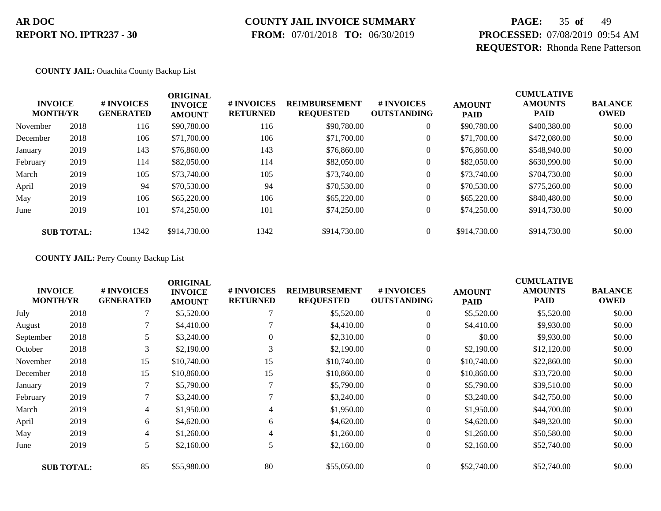# **COUNTY JAIL INVOICE SUMMARY**

 **FROM:** 07/01/2018 **TO:** 06/30/2019

# **PAGE:** 35 **of** 49 **PROCESSED:** 07/08/2019 09:54 AM **REQUESTOR:** Rhonda Rene Patterson

#### **COUNTY JAIL:** Ouachita County Backup List

| <b>INVOICE</b><br><b>MONTH/YR</b> |                   | # INVOICES<br><b>GENERATED</b> | <b>ORIGINAL</b><br><b>INVOICE</b><br><b>AMOUNT</b> | # INVOICES<br><b>RETURNED</b> | <b>REIMBURSEMENT</b><br><b>REQUESTED</b> | <b>#INVOICES</b><br><b>OUTSTANDING</b> | <b>AMOUNT</b><br><b>PAID</b> | <b>CUMULATIVE</b><br><b>AMOUNTS</b><br><b>PAID</b> | <b>BALANCE</b><br><b>OWED</b> |
|-----------------------------------|-------------------|--------------------------------|----------------------------------------------------|-------------------------------|------------------------------------------|----------------------------------------|------------------------------|----------------------------------------------------|-------------------------------|
| November                          | 2018              | 116                            | \$90,780.00                                        | 116                           | \$90,780.00                              | $\overline{0}$                         | \$90,780.00                  | \$400,380.00                                       | \$0.00                        |
| December                          | 2018              | 106                            | \$71,700.00                                        | 106                           | \$71,700.00                              |                                        | \$71,700.00                  | \$472,080.00                                       | \$0.00                        |
| January                           | 2019              | 143                            | \$76,860.00                                        | 143                           | \$76,860.00                              |                                        | \$76,860.00                  | \$548,940.00                                       | \$0.00                        |
| February                          | 2019              | 114                            | \$82,050.00                                        | 114                           | \$82,050.00                              |                                        | \$82,050.00                  | \$630,990.00                                       | \$0.00                        |
| March                             | 2019              | 105                            | \$73,740.00                                        | 105                           | \$73,740.00                              | $\boldsymbol{0}$                       | \$73,740.00                  | \$704,730.00                                       | \$0.00                        |
| April                             | 2019              | 94                             | \$70,530.00                                        | 94                            | \$70,530.00                              | $\boldsymbol{0}$                       | \$70,530.00                  | \$775,260.00                                       | \$0.00                        |
| May                               | 2019              | 106                            | \$65,220.00                                        | 106                           | \$65,220.00                              | $\overline{0}$                         | \$65,220.00                  | \$840,480.00                                       | \$0.00                        |
| June                              | 2019              | 101                            | \$74,250.00                                        | 101                           | \$74,250.00                              | $\overline{0}$                         | \$74,250.00                  | \$914,730.00                                       | \$0.00                        |
|                                   | <b>SUB TOTAL:</b> | 1342                           | \$914,730.00                                       | 1342                          | \$914,730.00                             |                                        | \$914,730.00                 | \$914,730.00                                       | \$0.00                        |

#### **COUNTY JAIL:** Perry County Backup List

| <b>INVOICE</b><br><b>MONTH/YR</b> |                   | # INVOICES<br><b>GENERATED</b> | <b>ORIGINAL</b><br><b>INVOICE</b><br><b>AMOUNT</b> | # INVOICES<br><b>RETURNED</b> | <b>REIMBURSEMENT</b><br><b>REQUESTED</b> | # INVOICES<br><b>OUTSTANDING</b> | <b>AMOUNT</b><br><b>PAID</b> | <b>CUMULATIVE</b><br><b>AMOUNTS</b><br><b>PAID</b> | <b>BALANCE</b><br><b>OWED</b> |
|-----------------------------------|-------------------|--------------------------------|----------------------------------------------------|-------------------------------|------------------------------------------|----------------------------------|------------------------------|----------------------------------------------------|-------------------------------|
| July                              | 2018              |                                | \$5,520.00                                         |                               | \$5,520.00                               | $\overline{0}$                   | \$5,520.00                   | \$5,520.00                                         | \$0.00                        |
| August                            | 2018              |                                | \$4,410.00                                         |                               | \$4,410.00                               | $\overline{0}$                   | \$4,410.00                   | \$9,930.00                                         | \$0.00                        |
| September                         | 2018              |                                | \$3,240.00                                         | $\Omega$                      | \$2,310.00                               | $\mathbf{0}$                     | \$0.00                       | \$9,930.00                                         | \$0.00                        |
| October                           | 2018              | 3                              | \$2,190.00                                         |                               | \$2,190.00                               | 0                                | \$2,190.00                   | \$12,120.00                                        | \$0.00                        |
| November                          | 2018              | 15                             | \$10,740.00                                        | 15                            | \$10,740.00                              | $\overline{0}$                   | \$10,740.00                  | \$22,860.00                                        | \$0.00                        |
| December                          | 2018              | 15                             | \$10,860.00                                        | 15                            | \$10,860.00                              | $\overline{0}$                   | \$10,860.00                  | \$33,720.00                                        | \$0.00                        |
| January                           | 2019              | 7                              | \$5,790.00                                         |                               | \$5,790.00                               | $\boldsymbol{0}$                 | \$5,790.00                   | \$39,510.00                                        | \$0.00                        |
| February                          | 2019              |                                | \$3,240.00                                         |                               | \$3,240.00                               | $\overline{0}$                   | \$3,240.00                   | \$42,750.00                                        | \$0.00                        |
| March                             | 2019              | 4                              | \$1,950.00                                         | 4                             | \$1,950.00                               | $\overline{0}$                   | \$1,950.00                   | \$44,700.00                                        | \$0.00                        |
| April                             | 2019              | 6                              | \$4,620.00                                         | 6                             | \$4,620.00                               | $\boldsymbol{0}$                 | \$4,620.00                   | \$49,320.00                                        | \$0.00                        |
| May                               | 2019              | 4                              | \$1,260.00                                         | $\overline{4}$                | \$1,260.00                               | $\overline{0}$                   | \$1,260.00                   | \$50,580.00                                        | \$0.00                        |
| June                              | 2019              | 5                              | \$2,160.00                                         | 5                             | \$2,160.00                               | $\overline{0}$                   | \$2,160.00                   | \$52,740.00                                        | \$0.00                        |
|                                   | <b>SUB TOTAL:</b> | 85                             | \$55,980.00                                        | 80                            | \$55,050.00                              | $\overline{0}$                   | \$52,740.00                  | \$52,740.00                                        | \$0.00                        |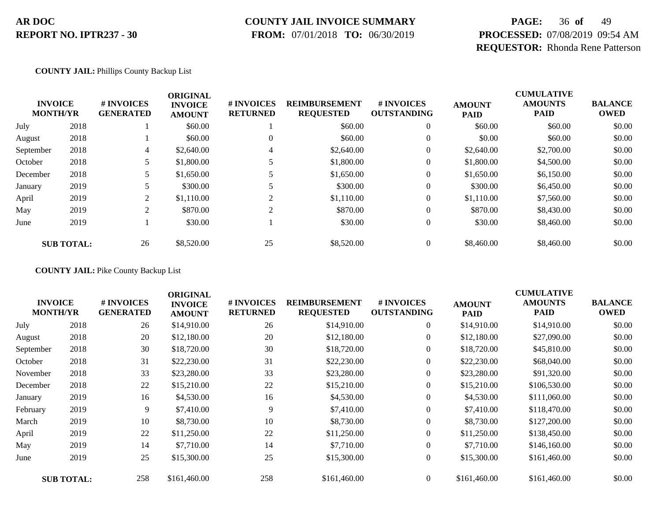### **COUNTY JAIL INVOICE SUMMARY**

 **FROM:** 07/01/2018 **TO:** 06/30/2019

# **PAGE:** 36 **of** 49 **PROCESSED:** 07/08/2019 09:54 AM **REQUESTOR:** Rhonda Rene Patterson

#### **COUNTY JAIL:** Phillips County Backup List

| <b>INVOICE</b><br><b>MONTH/YR</b> |                   | # INVOICES<br><b>GENERATED</b> | <b>ORIGINAL</b><br><b>INVOICE</b><br><b>AMOUNT</b> | # INVOICES<br><b>RETURNED</b> | <b>REIMBURSEMENT</b><br><b>REQUESTED</b> | <b>#INVOICES</b><br><b>OUTSTANDING</b> | <b>AMOUNT</b><br><b>PAID</b> | <b>CUMULATIVE</b><br><b>AMOUNTS</b><br><b>PAID</b> | <b>BALANCE</b><br><b>OWED</b> |
|-----------------------------------|-------------------|--------------------------------|----------------------------------------------------|-------------------------------|------------------------------------------|----------------------------------------|------------------------------|----------------------------------------------------|-------------------------------|
| July                              | 2018              |                                | \$60.00                                            |                               | \$60.00                                  | $\theta$                               | \$60.00                      | \$60.00                                            | \$0.00                        |
| August                            | 2018              |                                | \$60.00                                            | $\theta$                      | \$60.00                                  | $\overline{0}$                         | \$0.00                       | \$60.00                                            | \$0.00                        |
| September                         | 2018              | 4                              | \$2,640.00                                         | 4                             | \$2,640.00                               | $\overline{0}$                         | \$2,640.00                   | \$2,700.00                                         | \$0.00                        |
| October                           | 2018              |                                | \$1,800.00                                         |                               | \$1,800.00                               | 0                                      | \$1,800.00                   | \$4,500.00                                         | \$0.00                        |
| December                          | 2018              |                                | \$1,650.00                                         |                               | \$1,650.00                               | $\overline{0}$                         | \$1,650.00                   | \$6,150.00                                         | \$0.00                        |
| January                           | 2019              |                                | \$300.00                                           |                               | \$300.00                                 | $\overline{0}$                         | \$300.00                     | \$6,450.00                                         | \$0.00                        |
| April                             | 2019              | 2                              | \$1,110.00                                         |                               | \$1,110.00                               | 0                                      | \$1,110.00                   | \$7,560.00                                         | \$0.00                        |
| May                               | 2019              | 2                              | \$870.00                                           | $\gamma$                      | \$870.00                                 | $\theta$                               | \$870.00                     | \$8,430.00                                         | \$0.00                        |
| June                              | 2019              |                                | \$30.00                                            |                               | \$30.00                                  | $\overline{0}$                         | \$30.00                      | \$8,460.00                                         | \$0.00                        |
|                                   | <b>SUB TOTAL:</b> | 26                             | \$8,520.00                                         | 25                            | \$8,520.00                               | $\overline{0}$                         | \$8,460.00                   | \$8,460.00                                         | \$0.00                        |

**COUNTY JAIL:** Pike County Backup List

| <b>INVOICE</b><br><b>MONTH/YR</b> |                   | # INVOICES<br><b>GENERATED</b> | <b>ORIGINAL</b><br><b>INVOICE</b><br><b>AMOUNT</b> | # INVOICES<br><b>RETURNED</b> | <b>REIMBURSEMENT</b><br><b>REQUESTED</b> | # INVOICES<br><b>OUTSTANDING</b> | <b>AMOUNT</b><br><b>PAID</b> | <b>CUMULATIVE</b><br><b>AMOUNTS</b><br><b>PAID</b> | <b>BALANCE</b><br><b>OWED</b> |
|-----------------------------------|-------------------|--------------------------------|----------------------------------------------------|-------------------------------|------------------------------------------|----------------------------------|------------------------------|----------------------------------------------------|-------------------------------|
| July                              | 2018              | 26                             | \$14,910.00                                        | 26                            | \$14,910.00                              | $\overline{0}$                   | \$14,910.00                  | \$14,910.00                                        | \$0.00                        |
| August                            | 2018              | 20                             | \$12,180.00                                        | 20                            | \$12,180.00                              | $\boldsymbol{0}$                 | \$12,180.00                  | \$27,090.00                                        | \$0.00                        |
| September                         | 2018              | 30                             | \$18,720.00                                        | 30                            | \$18,720.00                              | $\overline{0}$                   | \$18,720.00                  | \$45,810.00                                        | \$0.00                        |
| October                           | 2018              | 31                             | \$22,230.00                                        | 31                            | \$22,230.00                              | 0                                | \$22,230.00                  | \$68,040.00                                        | \$0.00                        |
| November                          | 2018              | 33                             | \$23,280.00                                        | 33                            | \$23,280.00                              | $\boldsymbol{0}$                 | \$23,280.00                  | \$91,320.00                                        | \$0.00                        |
| December                          | 2018              | 22                             | \$15,210.00                                        | 22                            | \$15,210.00                              | $\overline{0}$                   | \$15,210.00                  | \$106,530.00                                       | \$0.00                        |
| January                           | 2019              | 16                             | \$4,530.00                                         | 16                            | \$4,530.00                               | $\boldsymbol{0}$                 | \$4,530.00                   | \$111,060.00                                       | \$0.00                        |
| February                          | 2019              | 9                              | \$7,410.00                                         | 9                             | \$7,410.00                               | $\overline{0}$                   | \$7,410.00                   | \$118,470.00                                       | \$0.00                        |
| March                             | 2019              | 10                             | \$8,730.00                                         | 10                            | \$8,730.00                               | $\overline{0}$                   | \$8,730.00                   | \$127,200.00                                       | \$0.00                        |
| April                             | 2019              | 22                             | \$11,250.00                                        | 22                            | \$11,250.00                              | $\overline{0}$                   | \$11,250.00                  | \$138,450.00                                       | \$0.00                        |
| May                               | 2019              | 14                             | \$7,710.00                                         | 14                            | \$7,710.00                               | $\overline{0}$                   | \$7,710.00                   | \$146,160.00                                       | \$0.00                        |
| June                              | 2019              | 25                             | \$15,300.00                                        | 25                            | \$15,300.00                              | $\boldsymbol{0}$                 | \$15,300.00                  | \$161,460.00                                       | \$0.00                        |
|                                   | <b>SUB TOTAL:</b> | 258                            | \$161,460.00                                       | 258                           | \$161,460.00                             | $\Omega$                         | \$161,460.00                 | \$161,460.00                                       | \$0.00                        |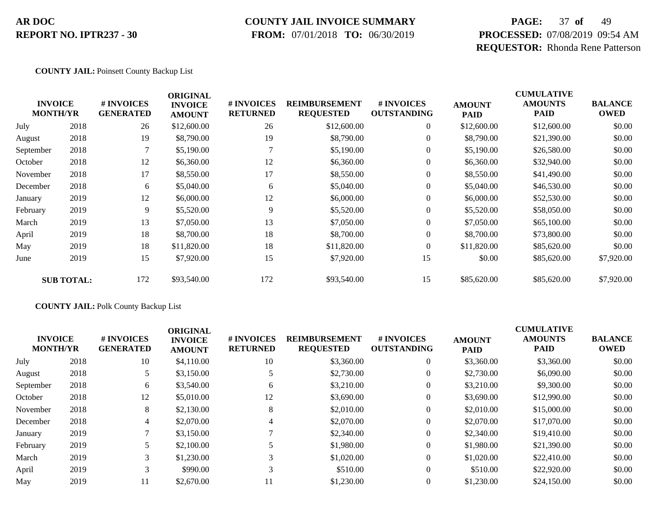### **COUNTY JAIL INVOICE SUMMARY**

 **FROM:** 07/01/2018 **TO:** 06/30/2019

# **PAGE:** 37 **of** 49 **PROCESSED:** 07/08/2019 09:54 AM **REQUESTOR:** Rhonda Rene Patterson

#### **COUNTY JAIL:** Poinsett County Backup List

| <b>INVOICE</b><br><b>MONTH/YR</b> |                   | # INVOICES<br><b>GENERATED</b> | <b>ORIGINAL</b><br><b>INVOICE</b><br><b>AMOUNT</b> | # INVOICES<br><b>RETURNED</b> | <b>REIMBURSEMENT</b><br><b>REQUESTED</b> | # INVOICES<br><b>OUTSTANDING</b> | <b>AMOUNT</b><br><b>PAID</b> | <b>CUMULATIVE</b><br><b>AMOUNTS</b><br><b>PAID</b> | <b>BALANCE</b><br><b>OWED</b> |
|-----------------------------------|-------------------|--------------------------------|----------------------------------------------------|-------------------------------|------------------------------------------|----------------------------------|------------------------------|----------------------------------------------------|-------------------------------|
| July                              | 2018              | 26                             | \$12,600.00                                        | 26                            | \$12,600.00                              | $\boldsymbol{0}$                 | \$12,600.00                  | \$12,600.00                                        | \$0.00                        |
| August                            | 2018              | 19                             | \$8,790.00                                         | 19                            | \$8,790.00                               | $\overline{0}$                   | \$8,790.00                   | \$21,390.00                                        | \$0.00                        |
| September                         | 2018              | 7                              | \$5,190.00                                         |                               | \$5,190.00                               | $\boldsymbol{0}$                 | \$5,190.00                   | \$26,580.00                                        | \$0.00                        |
| October                           | 2018              | 12                             | \$6,360.00                                         | 12                            | \$6,360.00                               | $\overline{0}$                   | \$6,360.00                   | \$32,940.00                                        | \$0.00                        |
| November                          | 2018              | 17                             | \$8,550.00                                         | 17                            | \$8,550.00                               | $\boldsymbol{0}$                 | \$8,550.00                   | \$41,490.00                                        | \$0.00                        |
| December                          | 2018              | 6                              | \$5,040.00                                         | 6                             | \$5,040.00                               | $\boldsymbol{0}$                 | \$5,040.00                   | \$46,530.00                                        | \$0.00                        |
| January                           | 2019              | 12                             | \$6,000.00                                         | 12                            | \$6,000.00                               | $\overline{0}$                   | \$6,000.00                   | \$52,530.00                                        | \$0.00                        |
| February                          | 2019              | 9                              | \$5,520.00                                         | 9                             | \$5,520.00                               | $\boldsymbol{0}$                 | \$5,520.00                   | \$58,050.00                                        | \$0.00                        |
| March                             | 2019              | 13                             | \$7,050.00                                         | 13                            | \$7,050.00                               | $\overline{0}$                   | \$7,050.00                   | \$65,100.00                                        | \$0.00                        |
| April                             | 2019              | 18                             | \$8,700.00                                         | 18                            | \$8,700.00                               | $\overline{0}$                   | \$8,700.00                   | \$73,800.00                                        | \$0.00                        |
| May                               | 2019              | 18                             | \$11,820.00                                        | 18                            | \$11,820.00                              | $\overline{0}$                   | \$11,820.00                  | \$85,620.00                                        | \$0.00                        |
| June                              | 2019              | 15                             | \$7,920.00                                         | 15                            | \$7,920.00                               | 15                               | \$0.00                       | \$85,620.00                                        | \$7,920.00                    |
|                                   | <b>SUB TOTAL:</b> | 172                            | \$93,540.00                                        | 172                           | \$93,540.00                              | 15                               | \$85,620.00                  | \$85,620.00                                        | \$7,920.00                    |

#### **COUNTY JAIL:** Polk County Backup List

|           | <b>INVOICE</b><br><b>MONTH/YR</b> | <b>#INVOICES</b><br><b>GENERATED</b> | <b>ORIGINAL</b><br><b>INVOICE</b><br><b>AMOUNT</b> | <b># INVOICES</b><br><b>RETURNED</b> | <b>REIMBURSEMENT</b><br><b>REQUESTED</b> | # INVOICES<br><b>OUTSTANDING</b> | <b>AMOUNT</b><br><b>PAID</b> | <b>CUMULATIVE</b><br><b>AMOUNTS</b><br><b>PAID</b> | <b>BALANCE</b><br><b>OWED</b> |
|-----------|-----------------------------------|--------------------------------------|----------------------------------------------------|--------------------------------------|------------------------------------------|----------------------------------|------------------------------|----------------------------------------------------|-------------------------------|
| July      | 2018                              | 10                                   | \$4,110.00                                         | 10                                   | \$3,360.00                               | $\theta$                         | \$3,360.00                   | \$3,360.00                                         | \$0.00                        |
| August    | 2018                              |                                      | \$3,150.00                                         |                                      | \$2,730.00                               | $\theta$                         | \$2,730.00                   | \$6,090.00                                         | \$0.00                        |
| September | 2018                              | 6                                    | \$3,540.00                                         | 6                                    | \$3,210.00                               | $\theta$                         | \$3,210.00                   | \$9,300.00                                         | \$0.00                        |
| October   | 2018                              | 12                                   | \$5,010.00                                         | 12                                   | \$3,690.00                               | $\theta$                         | \$3,690.00                   | \$12,990.00                                        | \$0.00                        |
| November  | 2018                              | 8                                    | \$2,130.00                                         | 8                                    | \$2,010.00                               | $\theta$                         | \$2,010.00                   | \$15,000.00                                        | \$0.00                        |
| December  | 2018                              | 4                                    | \$2,070.00                                         | 4                                    | \$2,070.00                               | $\theta$                         | \$2,070.00                   | \$17,070.00                                        | \$0.00                        |
| January   | 2019                              |                                      | \$3,150.00                                         |                                      | \$2,340.00                               | $\theta$                         | \$2,340.00                   | \$19,410.00                                        | \$0.00                        |
| February  | 2019                              |                                      | \$2,100.00                                         |                                      | \$1,980.00                               | $\mathbf{0}$                     | \$1,980.00                   | \$21,390.00                                        | \$0.00                        |
| March     | 2019                              | 3 <sup>1</sup>                       | \$1,230.00                                         |                                      | \$1,020.00                               | $\theta$                         | \$1,020.00                   | \$22,410.00                                        | \$0.00                        |
| April     | 2019                              | 3                                    | \$990.00                                           |                                      | \$510.00                                 | $\Omega$                         | \$510.00                     | \$22,920.00                                        | \$0.00                        |
| May       | 2019                              | 11                                   | \$2,670.00                                         | 11                                   | \$1,230.00                               | $\Omega$                         | \$1,230.00                   | \$24,150.00                                        | \$0.00                        |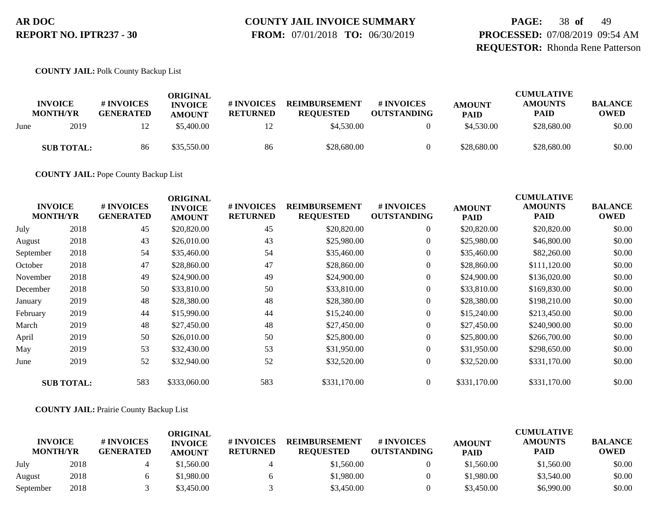# **COUNTY JAIL INVOICE SUMMARY**

 **FROM:** 07/01/2018 **TO:** 06/30/2019

**PAGE:** 38 **of** 49 **PROCESSED:** 07/08/2019 09:54 AM **REQUESTOR:** Rhonda Rene Patterson

**COUNTY JAIL:** Polk County Backup List

|      | <b>INVOICE</b><br><b>MONTH/YR</b> | # INVOICES<br><b>GENERATED</b> | ORIGINAL<br><b>INVOICE</b><br><b>AMOUNT</b> | # INVOICES<br><b>RETURNED</b> | <b>REIMBURSEMENT</b><br><b>REQUESTED</b> | # INVOICES<br><b>OUTSTANDING</b> | <b>AMOUNT</b><br><b>PAID</b> | <b>CUMULATIVE</b><br><b>AMOUNTS</b><br><b>PAID</b> | <b>BALANCE</b><br><b>OWED</b> |
|------|-----------------------------------|--------------------------------|---------------------------------------------|-------------------------------|------------------------------------------|----------------------------------|------------------------------|----------------------------------------------------|-------------------------------|
| June | 2019                              | 12                             | \$5,400.00                                  | ∸                             | \$4,530.00                               |                                  | \$4,530.00                   | \$28,680.00                                        | \$0.00                        |
|      | <b>SUB TOTAL:</b>                 | 86                             | \$35,550.00                                 | 86                            | \$28,680.00                              |                                  | \$28,680.00                  | \$28,680.00                                        | \$0.00                        |

**COUNTY JAIL:** Pope County Backup List

| <b>INVOICE</b><br><b>MONTH/YR</b> |                   | # INVOICES<br><b>GENERATED</b> | <b>ORIGINAL</b><br><b>INVOICE</b><br><b>AMOUNT</b> | # INVOICES<br><b>RETURNED</b> | <b>REIMBURSEMENT</b><br><b>REQUESTED</b> | # INVOICES<br><b>OUTSTANDING</b> | <b>AMOUNT</b><br><b>PAID</b> | <b>CUMULATIVE</b><br><b>AMOUNTS</b><br><b>PAID</b> | <b>BALANCE</b><br><b>OWED</b> |
|-----------------------------------|-------------------|--------------------------------|----------------------------------------------------|-------------------------------|------------------------------------------|----------------------------------|------------------------------|----------------------------------------------------|-------------------------------|
| July                              | 2018              | 45                             | \$20,820.00                                        | 45                            | \$20,820.00                              | $\boldsymbol{0}$                 | \$20,820.00                  | \$20,820.00                                        | \$0.00                        |
| August                            | 2018              | 43                             | \$26,010.00                                        | 43                            | \$25,980.00                              | $\boldsymbol{0}$                 | \$25,980.00                  | \$46,800.00                                        | \$0.00                        |
| September                         | 2018              | 54                             | \$35,460.00                                        | 54                            | \$35,460.00                              | $\overline{0}$                   | \$35,460.00                  | \$82,260.00                                        | \$0.00                        |
| October                           | 2018              | 47                             | \$28,860.00                                        | 47                            | \$28,860.00                              | $\boldsymbol{0}$                 | \$28,860.00                  | \$111,120.00                                       | \$0.00                        |
| November                          | 2018              | 49                             | \$24,900.00                                        | 49                            | \$24,900.00                              | $\overline{0}$                   | \$24,900.00                  | \$136,020.00                                       | \$0.00                        |
| December                          | 2018              | 50                             | \$33,810.00                                        | 50                            | \$33,810.00                              | $\overline{0}$                   | \$33,810.00                  | \$169,830.00                                       | \$0.00                        |
| January                           | 2019              | 48                             | \$28,380.00                                        | 48                            | \$28,380.00                              | $\boldsymbol{0}$                 | \$28,380.00                  | \$198,210.00                                       | \$0.00                        |
| February                          | 2019              | 44                             | \$15,990.00                                        | 44                            | \$15,240.00                              | $\overline{0}$                   | \$15,240.00                  | \$213,450.00                                       | \$0.00                        |
| March                             | 2019              | 48                             | \$27,450.00                                        | 48                            | \$27,450.00                              | $\overline{0}$                   | \$27,450.00                  | \$240,900.00                                       | \$0.00                        |
| April                             | 2019              | 50                             | \$26,010.00                                        | 50                            | \$25,800.00                              | $\overline{0}$                   | \$25,800.00                  | \$266,700.00                                       | \$0.00                        |
| May                               | 2019              | 53                             | \$32,430.00                                        | 53                            | \$31,950.00                              | $\overline{0}$                   | \$31,950.00                  | \$298,650.00                                       | \$0.00                        |
| June                              | 2019              | 52                             | \$32,940.00                                        | 52                            | \$32,520.00                              | $\overline{0}$                   | \$32,520.00                  | \$331,170.00                                       | \$0.00                        |
|                                   | <b>SUB TOTAL:</b> | 583                            | \$333,060.00                                       | 583                           | \$331,170.00                             | $\overline{0}$                   | \$331,170.00                 | \$331,170.00                                       | \$0.00                        |

**COUNTY JAIL:** Prairie County Backup List

|                                   |      |                                      | ORIGINAL                        |                               |                                          |                                  |                              | <b>CUMULATIVE</b>             |                               |
|-----------------------------------|------|--------------------------------------|---------------------------------|-------------------------------|------------------------------------------|----------------------------------|------------------------------|-------------------------------|-------------------------------|
| <b>INVOICE</b><br><b>MONTH/YR</b> |      | <b>#INVOICES</b><br><b>GENERATED</b> | <b>INVOICE</b><br><b>AMOUNT</b> | # INVOICES<br><b>RETURNED</b> | <b>REIMBURSEMENT</b><br><b>REOUESTED</b> | # INVOICES<br><b>OUTSTANDING</b> | <b>AMOUNT</b><br><b>PAID</b> | <b>AMOUNTS</b><br><b>PAID</b> | <b>BALANCE</b><br><b>OWED</b> |
| July                              | 2018 |                                      | \$1,560.00                      |                               | \$1,560.00                               |                                  | \$1,560.00                   | \$1,560.00                    | \$0.00                        |
| August                            | 2018 |                                      | \$1,980.00                      |                               | \$1,980.00                               |                                  | \$1,980.00                   | \$3,540.00                    | \$0.00                        |
| September                         | 2018 |                                      | \$3.450.00                      |                               | \$3,450.00                               |                                  | \$3,450.00                   | \$6,990.00                    | \$0.00                        |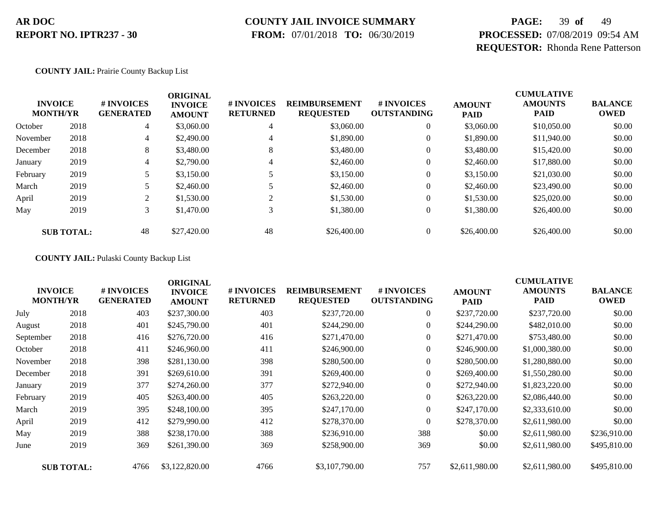### **COUNTY JAIL INVOICE SUMMARY**

 **FROM:** 07/01/2018 **TO:** 06/30/2019

# **PAGE:** 39 **of** 49 **PROCESSED:** 07/08/2019 09:54 AM **REQUESTOR:** Rhonda Rene Patterson

#### **COUNTY JAIL:** Prairie County Backup List

| <b>INVOICE</b><br><b>MONTH/YR</b> |                   | # INVOICES<br><b>GENERATED</b> | <b>ORIGINAL</b><br><b>INVOICE</b><br><b>AMOUNT</b> | # INVOICES<br><b>RETURNED</b> | <b>REIMBURSEMENT</b><br><b>REQUESTED</b> | # INVOICES<br><b>OUTSTANDING</b> | <b>AMOUNT</b><br><b>PAID</b> | <b>CUMULATIVE</b><br><b>AMOUNTS</b><br><b>PAID</b> | <b>BALANCE</b><br><b>OWED</b> |
|-----------------------------------|-------------------|--------------------------------|----------------------------------------------------|-------------------------------|------------------------------------------|----------------------------------|------------------------------|----------------------------------------------------|-------------------------------|
| October                           | 2018              | 4                              | \$3,060.00                                         | 4                             | \$3,060.00                               | $\overline{0}$                   | \$3,060.00                   | \$10,050.00                                        | \$0.00                        |
| November                          | 2018              | 4                              | \$2,490.00                                         | 4                             | \$1,890.00                               | 0                                | \$1,890.00                   | \$11,940.00                                        | \$0.00                        |
| December                          | 2018              | 8                              | \$3,480.00                                         | 8                             | \$3,480.00                               |                                  | \$3,480.00                   | \$15,420.00                                        | \$0.00                        |
| January                           | 2019              | 4                              | \$2,790.00                                         | 4                             | \$2,460.00                               |                                  | \$2,460.00                   | \$17,880.00                                        | \$0.00                        |
| February                          | 2019              |                                | \$3,150.00                                         |                               | \$3,150.00                               | 0                                | \$3,150.00                   | \$21,030.00                                        | \$0.00                        |
| March                             | 2019              |                                | \$2,460.00                                         |                               | \$2,460.00                               | $\boldsymbol{0}$                 | \$2,460.00                   | \$23,490.00                                        | \$0.00                        |
| April                             | 2019              | 2                              | \$1,530.00                                         |                               | \$1,530.00                               | $\overline{0}$                   | \$1,530.00                   | \$25,020.00                                        | \$0.00                        |
| May                               | 2019              | 3                              | \$1,470.00                                         | 3                             | \$1,380.00                               | $\overline{0}$                   | \$1,380.00                   | \$26,400.00                                        | \$0.00                        |
|                                   | <b>SUB TOTAL:</b> | 48                             | \$27,420.00                                        | 48                            | \$26,400.00                              |                                  | \$26,400.00                  | \$26,400.00                                        | \$0.00                        |

**COUNTY JAIL:** Pulaski County Backup List

|           | <b>INVOICE</b><br><b>MONTH/YR</b> | # INVOICES<br><b>GENERATED</b> | <b>ORIGINAL</b><br><b>INVOICE</b><br><b>AMOUNT</b> | # INVOICES<br><b>RETURNED</b> | <b>REIMBURSEMENT</b><br><b>REQUESTED</b> | <b>#INVOICES</b><br><b>OUTSTANDING</b> | <b>AMOUNT</b><br><b>PAID</b> | <b>CUMULATIVE</b><br><b>AMOUNTS</b><br><b>PAID</b> | <b>BALANCE</b><br><b>OWED</b> |
|-----------|-----------------------------------|--------------------------------|----------------------------------------------------|-------------------------------|------------------------------------------|----------------------------------------|------------------------------|----------------------------------------------------|-------------------------------|
| July      | 2018                              | 403                            | \$237,300.00                                       | 403                           | \$237,720.00                             | $\overline{0}$                         | \$237,720.00                 | \$237,720.00                                       | \$0.00                        |
| August    | 2018                              | 401                            | \$245,790.00                                       | 401                           | \$244,290.00                             | $\overline{0}$                         | \$244,290.00                 | \$482,010.00                                       | \$0.00                        |
| September | 2018                              | 416                            | \$276,720.00                                       | 416                           | \$271,470.00                             | $\overline{0}$                         | \$271,470.00                 | \$753,480.00                                       | \$0.00                        |
| October   | 2018                              | 411                            | \$246,960.00                                       | 411                           | \$246,900.00                             | $\overline{0}$                         | \$246,900.00                 | \$1,000,380.00                                     | \$0.00                        |
| November  | 2018                              | 398                            | \$281,130.00                                       | 398                           | \$280,500.00                             | $\overline{0}$                         | \$280,500.00                 | \$1,280,880.00                                     | \$0.00                        |
| December  | 2018                              | 391                            | \$269,610.00                                       | 391                           | \$269,400.00                             | $\overline{0}$                         | \$269,400.00                 | \$1,550,280.00                                     | \$0.00                        |
| January   | 2019                              | 377                            | \$274,260.00                                       | 377                           | \$272,940.00                             | $\overline{0}$                         | \$272,940.00                 | \$1,823,220.00                                     | \$0.00                        |
| February  | 2019                              | 405                            | \$263,400.00                                       | 405                           | \$263,220.00                             | $\overline{0}$                         | \$263,220.00                 | \$2,086,440.00                                     | \$0.00                        |
| March     | 2019                              | 395                            | \$248,100.00                                       | 395                           | \$247,170.00                             | $\Omega$                               | \$247,170.00                 | \$2,333,610.00                                     | \$0.00                        |
| April     | 2019                              | 412                            | \$279,990.00                                       | 412                           | \$278,370.00                             | $\overline{0}$                         | \$278,370.00                 | \$2,611,980.00                                     | \$0.00                        |
| May       | 2019                              | 388                            | \$238,170.00                                       | 388                           | \$236,910.00                             | 388                                    | \$0.00                       | \$2,611,980.00                                     | \$236,910.00                  |
| June      | 2019                              | 369                            | \$261,390.00                                       | 369                           | \$258,900.00                             | 369                                    | \$0.00                       | \$2,611,980.00                                     | \$495,810.00                  |
|           | <b>SUB TOTAL:</b>                 | 4766                           | \$3,122,820.00                                     | 4766                          | \$3,107,790.00                           | 757                                    | \$2,611,980.00               | \$2,611,980.00                                     | \$495,810.00                  |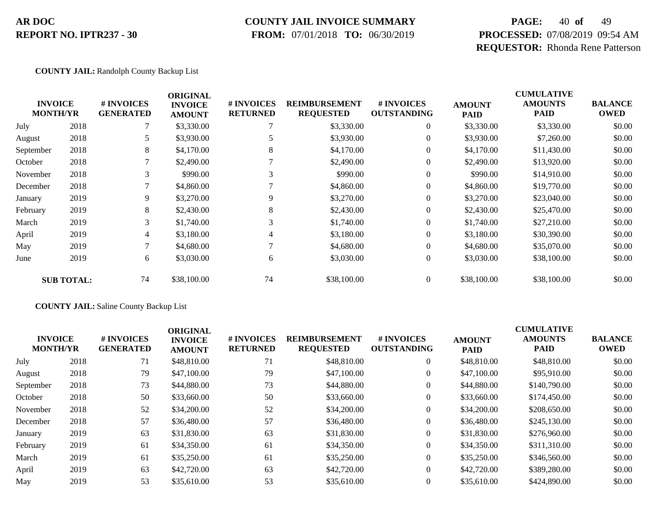### **COUNTY JAIL INVOICE SUMMARY**

 **FROM:** 07/01/2018 **TO:** 06/30/2019

# **PAGE:** 40 **of** 49 **PROCESSED:** 07/08/2019 09:54 AM **REQUESTOR:** Rhonda Rene Patterson

#### **COUNTY JAIL:** Randolph County Backup List

|           | <b>INVOICE</b><br><b>MONTH/YR</b> | # INVOICES<br><b>GENERATED</b> | <b>ORIGINAL</b><br><b>INVOICE</b><br><b>AMOUNT</b> | # INVOICES<br><b>RETURNED</b> | <b>REIMBURSEMENT</b><br><b>REQUESTED</b> | # INVOICES<br><b>OUTSTANDING</b> | <b>AMOUNT</b><br><b>PAID</b> | <b>CUMULATIVE</b><br><b>AMOUNTS</b><br><b>PAID</b> | <b>BALANCE</b><br><b>OWED</b> |
|-----------|-----------------------------------|--------------------------------|----------------------------------------------------|-------------------------------|------------------------------------------|----------------------------------|------------------------------|----------------------------------------------------|-------------------------------|
| July      | 2018                              |                                | \$3,330.00                                         |                               | \$3,330.00                               | 0                                | \$3,330.00                   | \$3,330.00                                         | \$0.00                        |
| August    | 2018                              | 5                              | \$3,930.00                                         |                               | \$3,930.00                               | $\overline{0}$                   | \$3,930.00                   | \$7,260.00                                         | \$0.00                        |
| September | 2018                              | 8                              | \$4,170.00                                         | 8                             | \$4,170.00                               | $\overline{0}$                   | \$4,170.00                   | \$11,430.00                                        | \$0.00                        |
| October   | 2018                              | 7                              | \$2,490.00                                         |                               | \$2,490.00                               | $\overline{0}$                   | \$2,490.00                   | \$13,920.00                                        | \$0.00                        |
| November  | 2018                              | 3                              | \$990.00                                           |                               | \$990.00                                 | $\overline{0}$                   | \$990.00                     | \$14,910.00                                        | \$0.00                        |
| December  | 2018                              |                                | \$4,860.00                                         |                               | \$4,860.00                               | $\overline{0}$                   | \$4,860.00                   | \$19,770.00                                        | \$0.00                        |
| January   | 2019                              | 9                              | \$3,270.00                                         | 9                             | \$3,270.00                               | $\overline{0}$                   | \$3,270.00                   | \$23,040.00                                        | \$0.00                        |
| February  | 2019                              | 8                              | \$2,430.00                                         | 8                             | \$2,430.00                               | $\boldsymbol{0}$                 | \$2,430.00                   | \$25,470.00                                        | \$0.00                        |
| March     | 2019                              | 3                              | \$1,740.00                                         | 3                             | \$1,740.00                               | $\overline{0}$                   | \$1,740.00                   | \$27,210.00                                        | \$0.00                        |
| April     | 2019                              | 4                              | \$3,180.00                                         | 4                             | \$3,180.00                               | $\overline{0}$                   | \$3,180.00                   | \$30,390.00                                        | \$0.00                        |
| May       | 2019                              | 7                              | \$4,680.00                                         |                               | \$4,680.00                               | $\overline{0}$                   | \$4,680.00                   | \$35,070.00                                        | \$0.00                        |
| June      | 2019                              | 6                              | \$3,030.00                                         | 6                             | \$3,030.00                               | $\boldsymbol{0}$                 | \$3,030.00                   | \$38,100.00                                        | \$0.00                        |
|           | <b>SUB TOTAL:</b>                 | 74                             | \$38,100.00                                        | 74                            | \$38,100.00                              | $\boldsymbol{0}$                 | \$38,100.00                  | \$38,100.00                                        | \$0.00                        |

#### **COUNTY JAIL:** Saline County Backup List

|                                   |      |                                      | <b>ORIGINAL</b>                 |                               |                                          |                                  |                              | <b>CUMULATIVE</b>             |                               |
|-----------------------------------|------|--------------------------------------|---------------------------------|-------------------------------|------------------------------------------|----------------------------------|------------------------------|-------------------------------|-------------------------------|
| <b>INVOICE</b><br><b>MONTH/YR</b> |      | <b>#INVOICES</b><br><b>GENERATED</b> | <b>INVOICE</b><br><b>AMOUNT</b> | # INVOICES<br><b>RETURNED</b> | <b>REIMBURSEMENT</b><br><b>REQUESTED</b> | # INVOICES<br><b>OUTSTANDING</b> | <b>AMOUNT</b><br><b>PAID</b> | <b>AMOUNTS</b><br><b>PAID</b> | <b>BALANCE</b><br><b>OWED</b> |
| July                              | 2018 | 71                                   | \$48,810.00                     | 71                            | \$48,810.00                              | $\overline{0}$                   | \$48,810.00                  | \$48,810.00                   | \$0.00                        |
| August                            | 2018 | 79                                   | \$47,100.00                     | 79                            | \$47,100.00                              | $\overline{0}$                   | \$47,100.00                  | \$95,910.00                   | \$0.00                        |
| September                         | 2018 | 73                                   | \$44,880.00                     | 73                            | \$44,880.00                              | $\overline{0}$                   | \$44,880.00                  | \$140,790.00                  | \$0.00                        |
| October                           | 2018 | 50                                   | \$33,660.00                     | 50                            | \$33,660.00                              | $\overline{0}$                   | \$33,660.00                  | \$174,450.00                  | \$0.00                        |
| November                          | 2018 | 52                                   | \$34,200.00                     | 52                            | \$34,200.00                              | $\overline{0}$                   | \$34,200.00                  | \$208,650.00                  | \$0.00                        |
| December                          | 2018 | 57                                   | \$36,480.00                     | 57                            | \$36,480.00                              | $\overline{0}$                   | \$36,480.00                  | \$245,130.00                  | \$0.00                        |
| January                           | 2019 | 63                                   | \$31,830.00                     | 63                            | \$31,830.00                              | $\overline{0}$                   | \$31,830.00                  | \$276,960.00                  | \$0.00                        |
| February                          | 2019 | 61                                   | \$34,350.00                     | 61                            | \$34,350.00                              | $\overline{0}$                   | \$34,350.00                  | \$311,310.00                  | \$0.00                        |
| March                             | 2019 | 61                                   | \$35,250.00                     | 61                            | \$35,250.00                              | $\overline{0}$                   | \$35,250.00                  | \$346,560.00                  | \$0.00                        |
| April                             | 2019 | 63                                   | \$42,720.00                     | 63                            | \$42,720.00                              | $\Omega$                         | \$42,720.00                  | \$389,280.00                  | \$0.00                        |
| May                               | 2019 | 53                                   | \$35,610.00                     | 53                            | \$35,610.00                              | $\overline{0}$                   | \$35,610.00                  | \$424,890.00                  | \$0.00                        |
|                                   |      |                                      |                                 |                               |                                          |                                  |                              |                               |                               |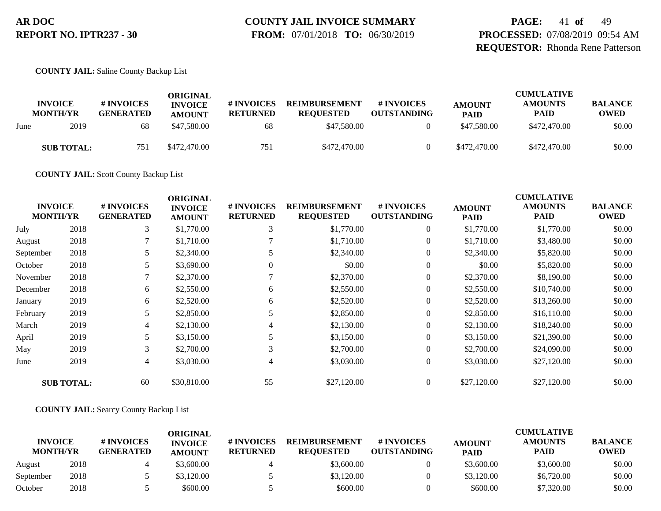# **COUNTY JAIL INVOICE SUMMARY**

 **FROM:** 07/01/2018 **TO:** 06/30/2019

**PAGE:** 41 **of** 49 **PROCESSED:** 07/08/2019 09:54 AM **REQUESTOR:** Rhonda Rene Patterson

**COUNTY JAIL:** Saline County Backup List

|      | <b>INVOICE</b><br><b>MONTH/YR</b> | # INVOICES<br><b>GENERATED</b> | ORIGINAL<br><b>INVOICE</b><br><b>AMOUNT</b> | # INVOICES<br><b>RETURNED</b> | <b>REIMBURSEMENT</b><br><b>REOUESTED</b> | # INVOICES<br><b>OUTSTANDING</b> | <b>AMOUNT</b><br><b>PAID</b> | <b>CUMULATIVE</b><br><b>AMOUNTS</b><br><b>PAID</b> | <b>BALANCE</b><br><b>OWED</b> |
|------|-----------------------------------|--------------------------------|---------------------------------------------|-------------------------------|------------------------------------------|----------------------------------|------------------------------|----------------------------------------------------|-------------------------------|
| June | 2019                              | 68                             | \$47,580.00                                 | 68                            | \$47,580.00                              |                                  | \$47,580.00                  | \$472,470.00                                       | \$0.00                        |
|      | <b>SUB TOTAL:</b>                 | 751                            | \$472,470.00                                | 751                           | \$472,470.00                             |                                  | \$472,470.00                 | \$472,470.00                                       | \$0.00                        |

**COUNTY JAIL:** Scott County Backup List

| <b>INVOICE</b><br><b>MONTH/YR</b> |                   | # INVOICES<br><b>GENERATED</b> | <b>ORIGINAL</b><br><b>INVOICE</b><br><b>AMOUNT</b> | # INVOICES<br><b>RETURNED</b> | <b>REIMBURSEMENT</b><br><b>REQUESTED</b> | # INVOICES<br><b>OUTSTANDING</b> | <b>AMOUNT</b><br><b>PAID</b> | <b>CUMULATIVE</b><br><b>AMOUNTS</b><br><b>PAID</b> | <b>BALANCE</b><br><b>OWED</b> |
|-----------------------------------|-------------------|--------------------------------|----------------------------------------------------|-------------------------------|------------------------------------------|----------------------------------|------------------------------|----------------------------------------------------|-------------------------------|
| July                              | 2018              | 3                              | \$1,770.00                                         | 3                             | \$1,770.00                               | $\boldsymbol{0}$                 | \$1,770.00                   | \$1,770.00                                         | \$0.00                        |
| August                            | 2018              |                                | \$1,710.00                                         |                               | \$1,710.00                               | $\overline{0}$                   | \$1,710.00                   | \$3,480.00                                         | \$0.00                        |
| September                         | 2018              |                                | \$2,340.00                                         |                               | \$2,340.00                               | $\overline{0}$                   | \$2,340.00                   | \$5,820.00                                         | \$0.00                        |
| October                           | 2018              |                                | \$3,690.00                                         | 0                             | \$0.00                                   | $\theta$                         | \$0.00                       | \$5,820.00                                         | \$0.00                        |
| November                          | 2018              |                                | \$2,370.00                                         |                               | \$2,370.00                               | $\overline{0}$                   | \$2,370.00                   | \$8,190.00                                         | \$0.00                        |
| December                          | 2018              | 6                              | \$2,550.00                                         | 6                             | \$2,550.00                               | $\overline{0}$                   | \$2,550.00                   | \$10,740.00                                        | \$0.00                        |
| January                           | 2019              | 6                              | \$2,520.00                                         | 6                             | \$2,520.00                               | $\boldsymbol{0}$                 | \$2,520.00                   | \$13,260.00                                        | \$0.00                        |
| February                          | 2019              | 5                              | \$2,850.00                                         | 5                             | \$2,850.00                               | $\overline{0}$                   | \$2,850.00                   | \$16,110.00                                        | \$0.00                        |
| March                             | 2019              | $\overline{4}$                 | \$2,130.00                                         |                               | \$2,130.00                               | $\overline{0}$                   | \$2,130.00                   | \$18,240.00                                        | \$0.00                        |
| April                             | 2019              | 5                              | \$3,150.00                                         |                               | \$3,150.00                               | $\overline{0}$                   | \$3,150.00                   | \$21,390.00                                        | \$0.00                        |
| May                               | 2019              | 3                              | \$2,700.00                                         | 3                             | \$2,700.00                               | $\overline{0}$                   | \$2,700.00                   | \$24,090.00                                        | \$0.00                        |
| June                              | 2019              | 4                              | \$3,030.00                                         | 4                             | \$3,030.00                               | $\overline{0}$                   | \$3,030.00                   | \$27,120.00                                        | \$0.00                        |
|                                   | <b>SUB TOTAL:</b> | 60                             | \$30,810.00                                        | 55                            | \$27,120.00                              | $\overline{0}$                   | \$27,120.00                  | \$27,120.00                                        | \$0.00                        |

#### **COUNTY JAIL:** Searcy County Backup List

|                                   |      |                                | ORIGINAL                        |                               |                                          |                                  |                              | <b>CUMULATIVE</b>             |                               |
|-----------------------------------|------|--------------------------------|---------------------------------|-------------------------------|------------------------------------------|----------------------------------|------------------------------|-------------------------------|-------------------------------|
| <b>INVOICE</b><br><b>MONTH/YR</b> |      | # INVOICES<br><b>GENERATED</b> | <b>INVOICE</b><br><b>AMOUNT</b> | # INVOICES<br><b>RETURNED</b> | <b>REIMBURSEMENT</b><br><b>REOUESTED</b> | # INVOICES<br><b>OUTSTANDING</b> | <b>AMOUNT</b><br><b>PAID</b> | <b>AMOUNTS</b><br><b>PAID</b> | <b>BALANCE</b><br><b>OWED</b> |
| August                            | 2018 |                                | \$3,600.00                      |                               | \$3,600.00                               |                                  | \$3,600.00                   | \$3,600.00                    | \$0.00                        |
| September                         | 2018 |                                | \$3,120.00                      |                               | \$3,120.00                               |                                  | \$3,120.00                   | \$6,720.00                    | \$0.00                        |
| October                           | 2018 |                                | \$600.00                        |                               | \$600.00                                 |                                  | \$600.00                     | \$7,320.00                    | \$0.00                        |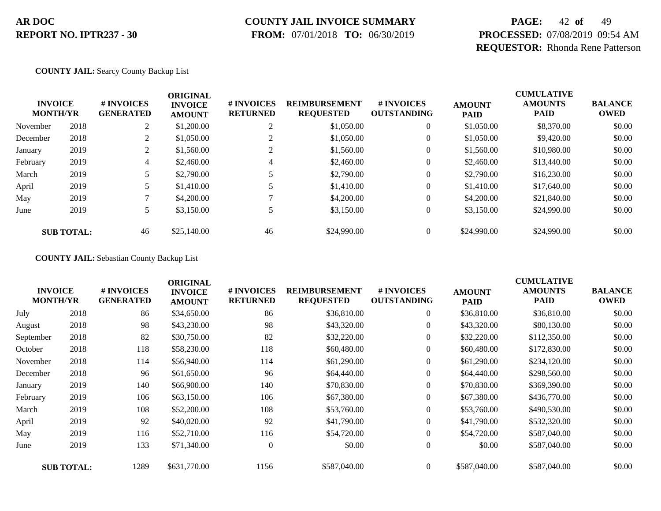### **COUNTY JAIL INVOICE SUMMARY**

 **FROM:** 07/01/2018 **TO:** 06/30/2019

# **PAGE:** 42 **of** 49 **PROCESSED:** 07/08/2019 09:54 AM **REQUESTOR:** Rhonda Rene Patterson

**COUNTY JAIL:** Searcy County Backup List

|          | <b>INVOICE</b><br><b>MONTH/YR</b> | # INVOICES<br><b>GENERATED</b> | <b>ORIGINAL</b><br><b>INVOICE</b><br><b>AMOUNT</b> | # INVOICES<br><b>RETURNED</b> | <b>REIMBURSEMENT</b><br><b>REQUESTED</b> | # INVOICES<br><b>OUTSTANDING</b> | <b>AMOUNT</b><br><b>PAID</b> | <b>CUMULATIVE</b><br><b>AMOUNTS</b><br><b>PAID</b> | <b>BALANCE</b><br><b>OWED</b> |
|----------|-----------------------------------|--------------------------------|----------------------------------------------------|-------------------------------|------------------------------------------|----------------------------------|------------------------------|----------------------------------------------------|-------------------------------|
| November | 2018                              | $\gamma$                       | \$1,200.00                                         | ◠<br>∠                        | \$1,050.00                               | $\theta$                         | \$1,050.00                   | \$8,370.00                                         | \$0.00                        |
| December | 2018                              | $\gamma$                       | \$1,050.00                                         |                               | \$1,050.00                               | $\theta$                         | \$1,050.00                   | \$9,420.00                                         | \$0.00                        |
| January  | 2019                              | $\overline{2}$                 | \$1,560.00                                         | ◠                             | \$1,560.00                               | 0                                | \$1,560.00                   | \$10,980.00                                        | \$0.00                        |
| February | 2019                              | 4                              | \$2,460.00                                         | 4                             | \$2,460.00                               | $\theta$                         | \$2,460.00                   | \$13,440.00                                        | \$0.00                        |
| March    | 2019                              |                                | \$2,790.00                                         |                               | \$2,790.00                               | $\theta$                         | \$2,790.00                   | \$16,230.00                                        | \$0.00                        |
| April    | 2019                              |                                | \$1,410.00                                         |                               | \$1,410.00                               | $\boldsymbol{0}$                 | \$1,410.00                   | \$17,640.00                                        | \$0.00                        |
| May      | 2019                              |                                | \$4,200.00                                         |                               | \$4,200.00                               | $\overline{0}$                   | \$4,200.00                   | \$21,840.00                                        | \$0.00                        |
| June     | 2019                              | 5                              | \$3,150.00                                         |                               | \$3,150.00                               | $\theta$                         | \$3,150.00                   | \$24,990.00                                        | \$0.00                        |
|          | <b>SUB TOTAL:</b>                 | 46                             | \$25,140.00                                        | 46                            | \$24,990.00                              |                                  | \$24,990.00                  | \$24,990.00                                        | \$0.00                        |

**COUNTY JAIL:** Sebastian County Backup List

| <b>INVOICE</b><br><b>MONTH/YR</b> |                   | # INVOICES<br><b>GENERATED</b> | <b>ORIGINAL</b><br><b>INVOICE</b><br><b>AMOUNT</b> | # INVOICES<br><b>RETURNED</b> | <b>REIMBURSEMENT</b><br><b>REQUESTED</b> | # INVOICES<br><b>OUTSTANDING</b> | <b>AMOUNT</b><br><b>PAID</b> | <b>CUMULATIVE</b><br><b>AMOUNTS</b><br><b>PAID</b> | <b>BALANCE</b><br><b>OWED</b> |
|-----------------------------------|-------------------|--------------------------------|----------------------------------------------------|-------------------------------|------------------------------------------|----------------------------------|------------------------------|----------------------------------------------------|-------------------------------|
| July                              | 2018              | 86                             | \$34,650.00                                        | 86                            | \$36,810.00                              | $\overline{0}$                   | \$36,810.00                  | \$36,810.00                                        | \$0.00                        |
| August                            | 2018              | 98                             | \$43,230.00                                        | 98                            | \$43,320.00                              | $\boldsymbol{0}$                 | \$43,320.00                  | \$80,130.00                                        | \$0.00                        |
| September                         | 2018              | 82                             | \$30,750.00                                        | 82                            | \$32,220.00                              | $\overline{0}$                   | \$32,220.00                  | \$112,350.00                                       | \$0.00                        |
| October                           | 2018              | 118                            | \$58,230.00                                        | 118                           | \$60,480.00                              | $\overline{0}$                   | \$60,480.00                  | \$172,830.00                                       | \$0.00                        |
| November                          | 2018              | 114                            | \$56,940.00                                        | 114                           | \$61,290.00                              | $\boldsymbol{0}$                 | \$61,290.00                  | \$234,120.00                                       | \$0.00                        |
| December                          | 2018              | 96                             | \$61,650.00                                        | 96                            | \$64,440.00                              | $\overline{0}$                   | \$64,440.00                  | \$298,560.00                                       | \$0.00                        |
| January                           | 2019              | 140                            | \$66,900.00                                        | 140                           | \$70,830.00                              | $\boldsymbol{0}$                 | \$70,830.00                  | \$369,390.00                                       | \$0.00                        |
| February                          | 2019              | 106                            | \$63,150.00                                        | 106                           | \$67,380.00                              | $\boldsymbol{0}$                 | \$67,380.00                  | \$436,770.00                                       | \$0.00                        |
| March                             | 2019              | 108                            | \$52,200.00                                        | 108                           | \$53,760.00                              | $\overline{0}$                   | \$53,760.00                  | \$490,530.00                                       | \$0.00                        |
| April                             | 2019              | 92                             | \$40,020.00                                        | 92                            | \$41,790.00                              | $\boldsymbol{0}$                 | \$41,790.00                  | \$532,320.00                                       | \$0.00                        |
| May                               | 2019              | 116                            | \$52,710.00                                        | 116                           | \$54,720.00                              | $\overline{0}$                   | \$54,720.00                  | \$587,040.00                                       | \$0.00                        |
| June                              | 2019              | 133                            | \$71,340.00                                        | $\overline{0}$                | \$0.00                                   | $\boldsymbol{0}$                 | \$0.00                       | \$587,040.00                                       | \$0.00                        |
|                                   | <b>SUB TOTAL:</b> | 1289                           | \$631,770.00                                       | 1156                          | \$587,040.00                             | $\overline{0}$                   | \$587,040.00                 | \$587,040.00                                       | \$0.00                        |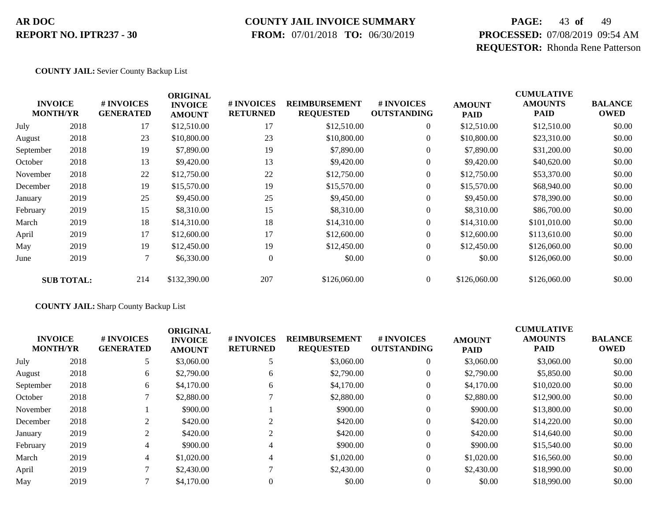### **COUNTY JAIL INVOICE SUMMARY**

 **FROM:** 07/01/2018 **TO:** 06/30/2019

# **PAGE:** 43 **of** 49 **PROCESSED:** 07/08/2019 09:54 AM **REQUESTOR:** Rhonda Rene Patterson

#### **COUNTY JAIL:** Sevier County Backup List

| <b>INVOICE</b><br><b>MONTH/YR</b> |                   | # INVOICES<br><b>GENERATED</b> | <b>ORIGINAL</b><br><b>INVOICE</b><br><b>AMOUNT</b> | # INVOICES<br><b>RETURNED</b> | <b>REIMBURSEMENT</b><br><b>REQUESTED</b> | # INVOICES<br><b>OUTSTANDING</b> | <b>AMOUNT</b><br><b>PAID</b> | <b>CUMULATIVE</b><br><b>AMOUNTS</b><br><b>PAID</b> | <b>BALANCE</b><br><b>OWED</b> |
|-----------------------------------|-------------------|--------------------------------|----------------------------------------------------|-------------------------------|------------------------------------------|----------------------------------|------------------------------|----------------------------------------------------|-------------------------------|
| July                              | 2018              | 17                             | \$12,510.00                                        | 17                            | \$12,510.00                              | $\boldsymbol{0}$                 | \$12,510.00                  | \$12,510.00                                        | \$0.00                        |
| August                            | 2018              | 23                             | \$10,800.00                                        | 23                            | \$10,800.00                              | $\boldsymbol{0}$                 | \$10,800.00                  | \$23,310.00                                        | \$0.00                        |
| September                         | 2018              | 19                             | \$7,890.00                                         | 19                            | \$7,890.00                               | $\overline{0}$                   | \$7,890.00                   | \$31,200.00                                        | \$0.00                        |
| October                           | 2018              | 13                             | \$9,420.00                                         | 13                            | \$9,420.00                               | $\boldsymbol{0}$                 | \$9,420.00                   | \$40,620.00                                        | \$0.00                        |
| November                          | 2018              | 22                             | \$12,750.00                                        | 22                            | \$12,750.00                              | $\overline{0}$                   | \$12,750.00                  | \$53,370.00                                        | \$0.00                        |
| December                          | 2018              | 19                             | \$15,570.00                                        | 19                            | \$15,570.00                              | $\boldsymbol{0}$                 | \$15,570.00                  | \$68,940.00                                        | \$0.00                        |
| January                           | 2019              | 25                             | \$9,450.00                                         | 25                            | \$9,450.00                               | $\overline{0}$                   | \$9,450.00                   | \$78,390.00                                        | \$0.00                        |
| February                          | 2019              | 15                             | \$8,310.00                                         | 15                            | \$8,310.00                               | $\boldsymbol{0}$                 | \$8,310.00                   | \$86,700.00                                        | \$0.00                        |
| March                             | 2019              | 18                             | \$14,310.00                                        | 18                            | \$14,310.00                              | $\overline{0}$                   | \$14,310.00                  | \$101,010.00                                       | \$0.00                        |
| April                             | 2019              | 17                             | \$12,600.00                                        | 17                            | \$12,600.00                              | $\overline{0}$                   | \$12,600.00                  | \$113,610.00                                       | \$0.00                        |
| May                               | 2019              | 19                             | \$12,450.00                                        | 19                            | \$12,450.00                              | $\overline{0}$                   | \$12,450.00                  | \$126,060.00                                       | \$0.00                        |
| June                              | 2019              | $\tau$                         | \$6,330.00                                         | $\mathbf{0}$                  | \$0.00                                   | $\overline{0}$                   | \$0.00                       | \$126,060.00                                       | \$0.00                        |
|                                   | <b>SUB TOTAL:</b> | 214                            | \$132,390.00                                       | 207                           | \$126,060.00                             | $\overline{0}$                   | \$126,060.00                 | \$126,060.00                                       | \$0.00                        |

#### **COUNTY JAIL:** Sharp County Backup List

|           | <b>INVOICE</b><br><b>MONTH/YR</b> | # INVOICES<br><b>GENERATED</b> | <b>ORIGINAL</b><br><b>INVOICE</b><br><b>AMOUNT</b> | <b># INVOICES</b><br><b>RETURNED</b> | <b>REIMBURSEMENT</b><br><b>REQUESTED</b> | # INVOICES<br><b>OUTSTANDING</b> | <b>AMOUNT</b><br><b>PAID</b> | <b>CUMULATIVE</b><br><b>AMOUNTS</b><br><b>PAID</b> | <b>BALANCE</b><br><b>OWED</b> |
|-----------|-----------------------------------|--------------------------------|----------------------------------------------------|--------------------------------------|------------------------------------------|----------------------------------|------------------------------|----------------------------------------------------|-------------------------------|
| July      | 2018                              | 5                              | \$3,060.00                                         |                                      | \$3,060.00                               | $\overline{0}$                   | \$3,060.00                   | \$3,060.00                                         | \$0.00                        |
| August    | 2018                              | 6                              | \$2,790.00                                         | 6                                    | \$2,790.00                               |                                  | \$2,790.00                   | \$5,850.00                                         | \$0.00                        |
| September | 2018                              | 6                              | \$4,170.00                                         | 6                                    | \$4,170.00                               |                                  | \$4,170.00                   | \$10,020.00                                        | \$0.00                        |
| October   | 2018                              |                                | \$2,880.00                                         |                                      | \$2,880.00                               |                                  | \$2,880.00                   | \$12,900.00                                        | \$0.00                        |
| November  | 2018                              |                                | \$900.00                                           |                                      | \$900.00                                 |                                  | \$900.00                     | \$13,800.00                                        | \$0.00                        |
| December  | 2018                              | 2                              | \$420.00                                           |                                      | \$420.00                                 |                                  | \$420.00                     | \$14,220.00                                        | \$0.00                        |
| January   | 2019                              | 2                              | \$420.00                                           |                                      | \$420.00                                 |                                  | \$420.00                     | \$14,640.00                                        | \$0.00                        |
| February  | 2019                              | 4                              | \$900.00                                           |                                      | \$900.00                                 |                                  | \$900.00                     | \$15,540.00                                        | \$0.00                        |
| March     | 2019                              | 4                              | \$1,020.00                                         | 4                                    | \$1,020.00                               |                                  | \$1,020.00                   | \$16,560.00                                        | \$0.00                        |
| April     | 2019                              |                                | \$2,430.00                                         |                                      | \$2,430.00                               |                                  | \$2,430.00                   | \$18,990.00                                        | \$0.00                        |
| May       | 2019                              |                                | \$4,170.00                                         |                                      | \$0.00                                   |                                  | \$0.00                       | \$18,990.00                                        | \$0.00                        |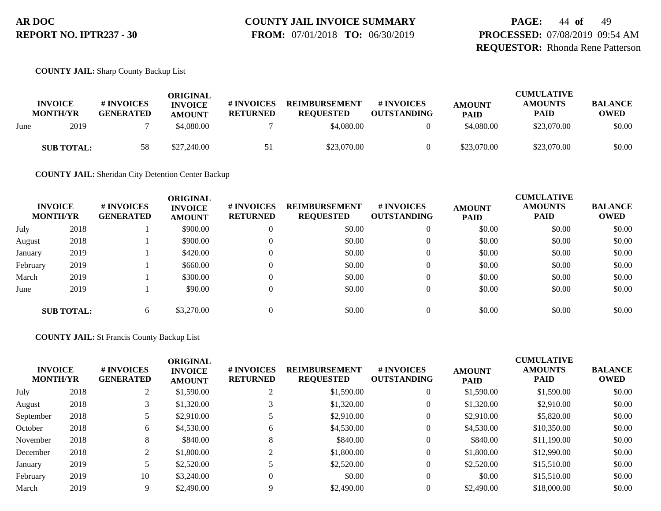# **COUNTY JAIL INVOICE SUMMARY**

 **FROM:** 07/01/2018 **TO:** 06/30/2019

**PAGE:** 44 **of** 49 **PROCESSED:** 07/08/2019 09:54 AM **REQUESTOR:** Rhonda Rene Patterson

**COUNTY JAIL:** Sharp County Backup List

|      | <b>INVOICE</b><br><b>MONTH/YR</b> | # INVOICES<br><b>GENERATED</b> | ORIGINAL<br><b>INVOICE</b><br><b>AMOUNT</b> | # INVOICES<br><b>RETURNED</b> | <b>REIMBURSEMENT</b><br><b>REOUESTED</b> | # INVOICES<br><b>OUTSTANDING</b> | <b>AMOUNT</b><br><b>PAID</b> | <b>CUMULATIVE</b><br><b>AMOUNTS</b><br><b>PAID</b> | <b>BALANCE</b><br><b>OWED</b> |
|------|-----------------------------------|--------------------------------|---------------------------------------------|-------------------------------|------------------------------------------|----------------------------------|------------------------------|----------------------------------------------------|-------------------------------|
| June | 2019                              |                                | \$4,080.00                                  |                               | \$4,080.00                               |                                  | \$4,080.00                   | \$23,070.00                                        | \$0.00                        |
|      | <b>SUB TOTAL:</b>                 | 58                             | \$27,240.00                                 | 51                            | \$23,070.00                              |                                  | \$23,070.00                  | \$23,070.00                                        | \$0.00                        |

**COUNTY JAIL:** Sheridan City Detention Center Backup

|          | <b>INVOICE</b><br><b>MONTH/YR</b> | # INVOICES<br><b>GENERATED</b> | <b>ORIGINAL</b><br><b>INVOICE</b><br><b>AMOUNT</b> | # INVOICES<br><b>RETURNED</b> | <b>REIMBURSEMENT</b><br><b>REQUESTED</b> | # INVOICES<br><b>OUTSTANDING</b> | <b>AMOUNT</b><br><b>PAID</b> | <b>CUMULATIVE</b><br><b>AMOUNTS</b><br><b>PAID</b> | <b>BALANCE</b><br><b>OWED</b> |
|----------|-----------------------------------|--------------------------------|----------------------------------------------------|-------------------------------|------------------------------------------|----------------------------------|------------------------------|----------------------------------------------------|-------------------------------|
| July     | 2018                              |                                | \$900.00                                           |                               | \$0.00                                   | 0                                | \$0.00                       | \$0.00                                             | \$0.00                        |
| August   | 2018                              |                                | \$900.00                                           |                               | \$0.00                                   |                                  | \$0.00                       | \$0.00                                             | \$0.00                        |
| January  | 2019                              |                                | \$420.00                                           |                               | \$0.00                                   | 0                                | \$0.00                       | \$0.00                                             | \$0.00                        |
| February | 2019                              |                                | \$660.00                                           |                               | \$0.00                                   |                                  | \$0.00                       | \$0.00                                             | \$0.00                        |
| March    | 2019                              |                                | \$300.00                                           |                               | \$0.00                                   |                                  | \$0.00                       | \$0.00                                             | \$0.00                        |
| June     | 2019                              |                                | \$90.00                                            |                               | \$0.00                                   | 0                                | \$0.00                       | \$0.00                                             | \$0.00                        |
|          | <b>SUB TOTAL:</b>                 | 6                              | \$3,270.00                                         |                               | \$0.00                                   |                                  | \$0.00                       | \$0.00                                             | \$0.00                        |

#### **COUNTY JAIL:** St Francis County Backup List

| <b>INVOICE</b><br><b>MONTH/YR</b> |      | # INVOICES<br><b>GENERATED</b> | <b>ORIGINAL</b><br><b>INVOICE</b><br><b>AMOUNT</b> | # INVOICES<br><b>RETURNED</b> | <b>REIMBURSEMENT</b><br><b>REQUESTED</b> | # INVOICES<br><b>OUTSTANDING</b> | <b>AMOUNT</b><br><b>PAID</b> | <b>CUMULATIVE</b><br><b>AMOUNTS</b><br><b>PAID</b> | <b>BALANCE</b><br><b>OWED</b> |
|-----------------------------------|------|--------------------------------|----------------------------------------------------|-------------------------------|------------------------------------------|----------------------------------|------------------------------|----------------------------------------------------|-------------------------------|
| July                              | 2018 | $\sim$                         | \$1,590.00                                         |                               | \$1,590.00                               | $\theta$                         | \$1,590.00                   | \$1,590.00                                         | \$0.00                        |
| August                            | 2018 | 3                              | \$1,320.00                                         |                               | \$1,320.00                               | 0                                | \$1,320.00                   | \$2,910.00                                         | \$0.00                        |
| September                         | 2018 |                                | \$2,910.00                                         |                               | \$2,910.00                               | $\theta$                         | \$2,910.00                   | \$5,820.00                                         | \$0.00                        |
| October                           | 2018 | 6                              | \$4,530.00                                         | 6                             | \$4,530.00                               | 0                                | \$4,530.00                   | \$10,350.00                                        | \$0.00                        |
| November                          | 2018 | 8                              | \$840.00                                           | $\circ$                       | \$840.00                                 | $\overline{0}$                   | \$840.00                     | \$11,190.00                                        | \$0.00                        |
| December                          | 2018 | ◠                              | \$1,800.00                                         |                               | \$1,800.00                               | $\overline{0}$                   | \$1,800.00                   | \$12,990.00                                        | \$0.00                        |
| January                           | 2019 |                                | \$2,520.00                                         |                               | \$2,520.00                               | $\theta$                         | \$2,520.00                   | \$15,510.00                                        | \$0.00                        |
| February                          | 2019 | 10                             | \$3,240.00                                         | 0                             | \$0.00                                   | $\theta$                         | \$0.00                       | \$15,510.00                                        | \$0.00                        |
| March                             | 2019 |                                | \$2,490.00                                         | Q                             | \$2,490.00                               | $\Omega$                         | \$2,490.00                   | \$18,000.00                                        | \$0.00                        |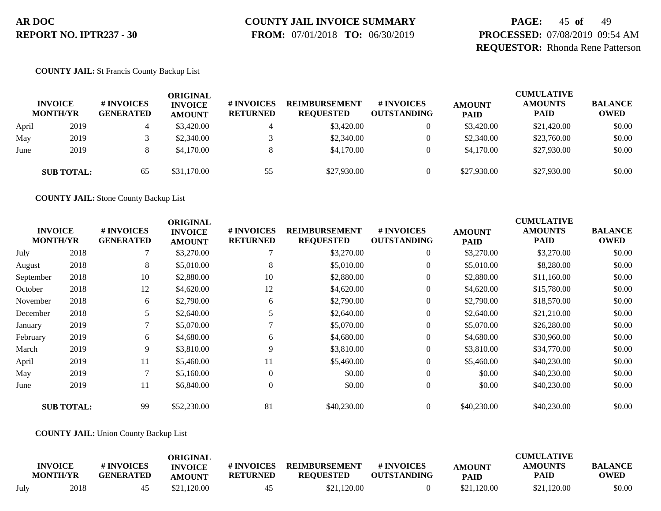# **COUNTY JAIL INVOICE SUMMARY**

 **FROM:** 07/01/2018 **TO:** 06/30/2019

### **PAGE:** 45 **of** 49 **PROCESSED:** 07/08/2019 09:54 AM **REQUESTOR:** Rhonda Rene Patterson

#### **COUNTY JAIL:** St Francis County Backup List

|       | <b>INVOICE</b><br><b>MONTH/YR</b> | # INVOICES<br><b>GENERATED</b> | ORIGINAL<br><b>INVOICE</b><br><b>AMOUNT</b> | # INVOICES<br><b>RETURNED</b> | <b>REIMBURSEMENT</b><br><b>REOUESTED</b> | <b>#INVOICES</b><br><b>OUTSTANDING</b> | <b>AMOUNT</b><br><b>PAID</b> | <b>CUMULATIVE</b><br><b>AMOUNTS</b><br><b>PAID</b> | <b>BALANCE</b><br><b>OWED</b> |
|-------|-----------------------------------|--------------------------------|---------------------------------------------|-------------------------------|------------------------------------------|----------------------------------------|------------------------------|----------------------------------------------------|-------------------------------|
| April | 2019                              |                                | \$3,420.00                                  | 4                             | \$3,420.00                               | 0                                      | \$3,420.00                   | \$21,420.00                                        | \$0.00                        |
| May   | 2019                              |                                | \$2,340.00                                  |                               | \$2,340.00                               | 0                                      | \$2,340.00                   | \$23,760.00                                        | \$0.00                        |
| June  | 2019                              |                                | \$4,170.00                                  | 8                             | \$4,170.00                               | $\Omega$                               | \$4,170.00                   | \$27,930.00                                        | \$0.00                        |
|       | <b>SUB TOTAL:</b>                 | 65                             | \$31,170.00                                 | 55                            | \$27,930.00                              | $\Omega$                               | \$27,930.00                  | \$27,930.00                                        | \$0.00                        |

**COUNTY JAIL:** Stone County Backup List

| <b>INVOICE</b><br><b>MONTH/YR</b> |                   | # INVOICES<br><b>GENERATED</b> | <b>ORIGINAL</b><br><b>INVOICE</b><br><b>AMOUNT</b> | # INVOICES<br><b>RETURNED</b> | <b>REIMBURSEMENT</b><br><b>REQUESTED</b> | # INVOICES<br><b>OUTSTANDING</b> | <b>AMOUNT</b><br><b>PAID</b> | <b>CUMULATIVE</b><br><b>AMOUNTS</b><br><b>PAID</b> | <b>BALANCE</b><br><b>OWED</b> |
|-----------------------------------|-------------------|--------------------------------|----------------------------------------------------|-------------------------------|------------------------------------------|----------------------------------|------------------------------|----------------------------------------------------|-------------------------------|
| July                              | 2018              |                                | \$3,270.00                                         |                               | \$3,270.00                               | $\overline{0}$                   | \$3,270.00                   | \$3,270.00                                         | \$0.00                        |
| August                            | 2018              | 8                              | \$5,010.00                                         | 8                             | \$5,010.00                               | $\boldsymbol{0}$                 | \$5,010.00                   | \$8,280.00                                         | \$0.00                        |
| September                         | 2018              | 10                             | \$2,880.00                                         | 10                            | \$2,880.00                               | $\overline{0}$                   | \$2,880.00                   | \$11,160.00                                        | \$0.00                        |
| October                           | 2018              | 12                             | \$4,620.00                                         | 12                            | \$4,620.00                               | $\boldsymbol{0}$                 | \$4,620.00                   | \$15,780.00                                        | \$0.00                        |
| November                          | 2018              | 6                              | \$2,790.00                                         | 6                             | \$2,790.00                               | $\overline{0}$                   | \$2,790.00                   | \$18,570.00                                        | \$0.00                        |
| December                          | 2018              |                                | \$2,640.00                                         |                               | \$2,640.00                               | $\overline{0}$                   | \$2,640.00                   | \$21,210.00                                        | \$0.00                        |
| January                           | 2019              |                                | \$5,070.00                                         |                               | \$5,070.00                               | $\boldsymbol{0}$                 | \$5,070.00                   | \$26,280.00                                        | \$0.00                        |
| February                          | 2019              | 6                              | \$4,680.00                                         | 6                             | \$4,680.00                               | $\overline{0}$                   | \$4,680.00                   | \$30,960.00                                        | \$0.00                        |
| March                             | 2019              | 9                              | \$3,810.00                                         | 9                             | \$3,810.00                               | $\boldsymbol{0}$                 | \$3,810.00                   | \$34,770.00                                        | \$0.00                        |
| April                             | 2019              | 11                             | \$5,460.00                                         | 11                            | \$5,460.00                               | $\overline{0}$                   | \$5,460.00                   | \$40,230.00                                        | \$0.00                        |
| May                               | 2019              |                                | \$5,160.00                                         | $\Omega$                      | \$0.00                                   | $\overline{0}$                   | \$0.00                       | \$40,230.00                                        | \$0.00                        |
| June                              | 2019              | 11                             | \$6,840.00                                         | $\Omega$                      | \$0.00                                   | $\overline{0}$                   | \$0.00                       | \$40,230.00                                        | \$0.00                        |
|                                   | <b>SUB TOTAL:</b> | 99                             | \$52,230.00                                        | 81                            | \$40,230.00                              | $\theta$                         | \$40,230.00                  | \$40,230.00                                        | \$0.00                        |

#### **COUNTY JAIL:** Union County Backup List

|      | <b>INVOICE</b><br><b>MONTH/YR</b> | # INVOICES<br><b>GENERATED</b> | ORIGINAL<br><b>INVOICE</b><br><b>AMOUNT</b> | # INVOICES<br><b>RETURNED</b> | <b>REIMBURSEMENT</b><br><b>REQUESTED</b> | # INVOICES<br><b>OUTSTANDING</b> | <b>AMOUNT</b><br><b>PAID</b> | <b>CUMULATIVE</b><br><b>AMOUNTS</b><br>PAID | <b>BALANCE</b><br><b>OWED</b> |
|------|-----------------------------------|--------------------------------|---------------------------------------------|-------------------------------|------------------------------------------|----------------------------------|------------------------------|---------------------------------------------|-------------------------------|
| July | 2018                              |                                | \$21,120.00                                 | 45                            | \$21,120.00                              |                                  | \$21,120.00                  | \$21,120.00                                 | \$0.00                        |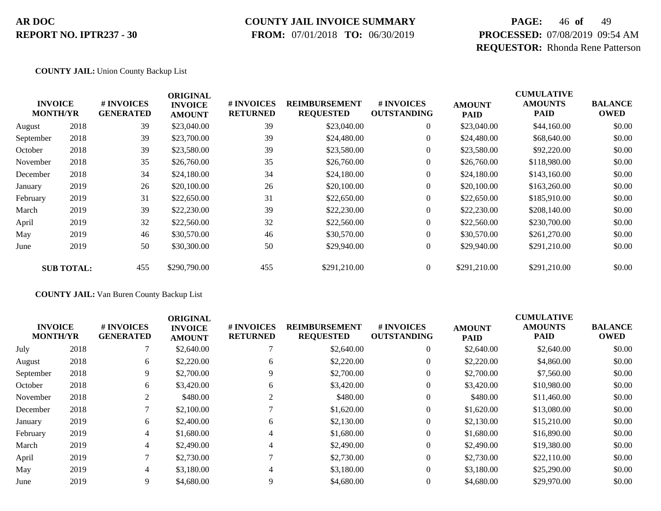### **COUNTY JAIL INVOICE SUMMARY**

 **FROM:** 07/01/2018 **TO:** 06/30/2019

# **PAGE:** 46 **of** 49 **PROCESSED:** 07/08/2019 09:54 AM **REQUESTOR:** Rhonda Rene Patterson

#### **COUNTY JAIL:** Union County Backup List

|           |                                   |                                | <b>ORIGINAL</b>                 |                               |                                          |                                  |                              | <b>CUMULATIVE</b>      |                               |
|-----------|-----------------------------------|--------------------------------|---------------------------------|-------------------------------|------------------------------------------|----------------------------------|------------------------------|------------------------|-------------------------------|
|           | <b>INVOICE</b><br><b>MONTH/YR</b> | # INVOICES<br><b>GENERATED</b> | <b>INVOICE</b><br><b>AMOUNT</b> | # INVOICES<br><b>RETURNED</b> | <b>REIMBURSEMENT</b><br><b>REQUESTED</b> | # INVOICES<br><b>OUTSTANDING</b> | <b>AMOUNT</b><br><b>PAID</b> | <b>AMOUNTS</b><br>PAID | <b>BALANCE</b><br><b>OWED</b> |
| August    | 2018                              | 39                             | \$23,040.00                     | 39                            | \$23,040.00                              | $\overline{0}$                   | \$23,040.00                  | \$44,160.00            | \$0.00                        |
| September | 2018                              | 39                             | \$23,700.00                     | 39                            | \$24,480.00                              | $\overline{0}$                   | \$24,480.00                  | \$68,640.00            | \$0.00                        |
| October   | 2018                              | 39                             | \$23,580.00                     | 39                            | \$23,580.00                              | $\overline{0}$                   | \$23,580.00                  | \$92,220.00            | \$0.00                        |
| November  | 2018                              | 35                             | \$26,760.00                     | 35                            | \$26,760.00                              | $\boldsymbol{0}$                 | \$26,760.00                  | \$118,980.00           | \$0.00                        |
| December  | 2018                              | 34                             | \$24,180.00                     | 34                            | \$24,180.00                              | $\overline{0}$                   | \$24,180.00                  | \$143,160.00           | \$0.00                        |
| January   | 2019                              | 26                             | \$20,100.00                     | 26                            | \$20,100.00                              | $\boldsymbol{0}$                 | \$20,100.00                  | \$163,260.00           | \$0.00                        |
| February  | 2019                              | 31                             | \$22,650.00                     | 31                            | \$22,650.00                              | $\overline{0}$                   | \$22,650.00                  | \$185,910.00           | \$0.00                        |
| March     | 2019                              | 39                             | \$22,230.00                     | 39                            | \$22,230.00                              | $\overline{0}$                   | \$22,230.00                  | \$208,140.00           | \$0.00                        |
| April     | 2019                              | 32                             | \$22,560.00                     | 32                            | \$22,560.00                              | $\overline{0}$                   | \$22,560.00                  | \$230,700.00           | \$0.00                        |
| May       | 2019                              | 46                             | \$30,570.00                     | 46                            | \$30,570.00                              | $\overline{0}$                   | \$30,570.00                  | \$261,270.00           | \$0.00                        |
| June      | 2019                              | 50                             | \$30,300.00                     | 50                            | \$29,940.00                              | $\overline{0}$                   | \$29,940.00                  | \$291,210.00           | \$0.00                        |
|           | <b>SUB TOTAL:</b>                 | 455                            | \$290,790.00                    | 455                           | \$291,210.00                             | $\theta$                         | \$291,210.00                 | \$291,210.00           | \$0.00                        |

#### **COUNTY JAIL:** Van Buren County Backup List

|           | <b>INVOICE</b><br><b>MONTH/YR</b> | # INVOICES<br><b>GENERATED</b> | <b>ORIGINAL</b><br><b>INVOICE</b><br><b>AMOUNT</b> | <b># INVOICES</b><br><b>RETURNED</b> | <b>REIMBURSEMENT</b><br><b>REQUESTED</b> | # INVOICES<br><b>OUTSTANDING</b> | <b>AMOUNT</b><br><b>PAID</b> | <b>CUMULATIVE</b><br><b>AMOUNTS</b><br><b>PAID</b> | <b>BALANCE</b><br><b>OWED</b> |
|-----------|-----------------------------------|--------------------------------|----------------------------------------------------|--------------------------------------|------------------------------------------|----------------------------------|------------------------------|----------------------------------------------------|-------------------------------|
| July      | 2018                              |                                | \$2,640.00                                         |                                      | \$2,640.00                               | $\theta$                         | \$2,640.00                   | \$2,640.00                                         | \$0.00                        |
| August    | 2018                              | 6                              | \$2,220.00                                         | 6                                    | \$2,220.00                               | $\theta$                         | \$2,220,00                   | \$4,860.00                                         | \$0.00                        |
| September | 2018                              | 9                              | \$2,700.00                                         |                                      | \$2,700.00                               | $\theta$                         | \$2,700.00                   | \$7,560.00                                         | \$0.00                        |
| October   | 2018                              | 6                              | \$3,420.00                                         | 6                                    | \$3,420.00                               | $\mathbf{0}$                     | \$3,420.00                   | \$10,980.00                                        | \$0.00                        |
| November  | 2018                              | 2                              | \$480.00                                           | 2                                    | \$480.00                                 | $\theta$                         | \$480.00                     | \$11,460.00                                        | \$0.00                        |
| December  | 2018                              |                                | \$2,100.00                                         |                                      | \$1,620.00                               | $\mathbf{0}$                     | \$1,620.00                   | \$13,080.00                                        | \$0.00                        |
| January   | 2019                              | 6                              | \$2,400.00                                         | 6                                    | \$2,130.00                               | $\theta$                         | \$2,130.00                   | \$15,210.00                                        | \$0.00                        |
| February  | 2019                              | 4                              | \$1,680.00                                         | 4                                    | \$1,680.00                               | $\mathbf{0}$                     | \$1,680.00                   | \$16,890.00                                        | \$0.00                        |
| March     | 2019                              | 4                              | \$2,490.00                                         | 4                                    | \$2,490.00                               | $\Omega$                         | \$2,490.00                   | \$19,380.00                                        | \$0.00                        |
| April     | 2019                              |                                | \$2,730.00                                         |                                      | \$2,730.00                               | $\theta$                         | \$2,730.00                   | \$22,110.00                                        | \$0.00                        |
| May       | 2019                              |                                | \$3,180.00                                         | 4                                    | \$3,180.00                               | $\mathbf{0}$                     | \$3,180.00                   | \$25,290.00                                        | \$0.00                        |
| June      | 2019                              | 9                              | \$4,680.00                                         | 9                                    | \$4,680.00                               | $\theta$                         | \$4,680.00                   | \$29,970.00                                        | \$0.00                        |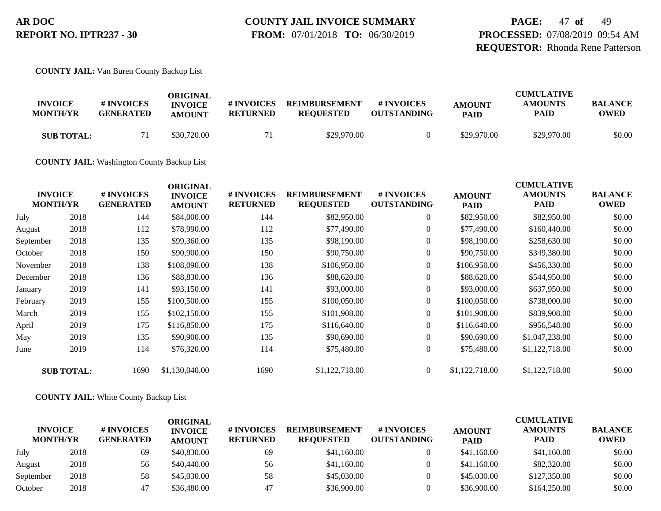**PAGE:** 47 **of** 49 **PROCESSED:** 07/08/2019 09:54 AM **REQUESTOR:** Rhonda Rene Patterson

**COUNTY JAIL:** Van Buren County Backup List

| <b>INVOICE</b><br><b>MONTH/YR</b> | # INVOICES<br><b>GENERATED</b> | ORIGINAL<br><b>INVOICE</b><br><b>AMOUNT</b> | # INVOICES<br><b>RETURNED</b> | <b>REIMBURSEMENT</b><br><b>REQUESTED</b> | <b>#INVOICES</b><br><b>OUTSTANDING</b> | <b>AMOUNT</b><br><b>PAID</b> | <b>CUMULATIVE</b><br><b>AMOUNTS</b><br>PAID | <b>BALANCE</b><br>OWED |
|-----------------------------------|--------------------------------|---------------------------------------------|-------------------------------|------------------------------------------|----------------------------------------|------------------------------|---------------------------------------------|------------------------|
| <b>SUB TOTAL:</b>                 |                                | \$30,720.00                                 |                               | \$29,970.00                              |                                        | \$29,970.00                  | \$29,970.00                                 | \$0.00                 |

**COUNTY JAIL:** Washington County Backup List

| <b>INVOICE</b><br><b>MONTH/YR</b> |                   | # INVOICES<br><b>GENERATED</b> | <b>ORIGINAL</b><br><b>INVOICE</b><br><b>AMOUNT</b> | # INVOICES<br><b>RETURNED</b> | <b>REIMBURSEMENT</b><br><b>REQUESTED</b> | # INVOICES<br><b>OUTSTANDING</b> | <b>AMOUNT</b><br><b>PAID</b> | <b>CUMULATIVE</b><br><b>AMOUNTS</b><br><b>PAID</b> | <b>BALANCE</b><br><b>OWED</b> |
|-----------------------------------|-------------------|--------------------------------|----------------------------------------------------|-------------------------------|------------------------------------------|----------------------------------|------------------------------|----------------------------------------------------|-------------------------------|
| July                              | 2018              | 144                            | \$84,000.00                                        | 144                           | \$82,950.00                              | $\overline{0}$                   | \$82,950.00                  | \$82,950.00                                        | \$0.00                        |
| August                            | 2018              | 112                            | \$78,990.00                                        | 112                           | \$77,490.00                              | $\overline{0}$                   | \$77,490.00                  | \$160,440.00                                       | \$0.00                        |
| September                         | 2018              | 135                            | \$99,360.00                                        | 135                           | \$98,190.00                              | $\overline{0}$                   | \$98,190.00                  | \$258,630.00                                       | \$0.00                        |
| October                           | 2018              | 150                            | \$90,900.00                                        | 150                           | \$90,750.00                              | $\boldsymbol{0}$                 | \$90,750.00                  | \$349,380.00                                       | \$0.00                        |
| November                          | 2018              | 138                            | \$108,090.00                                       | 138                           | \$106,950.00                             | $\overline{0}$                   | \$106,950.00                 | \$456,330.00                                       | \$0.00                        |
| December                          | 2018              | 136                            | \$88,830.00                                        | 136                           | \$88,620.00                              | $\overline{0}$                   | \$88,620.00                  | \$544,950.00                                       | \$0.00                        |
| January                           | 2019              | 141                            | \$93,150.00                                        | 141                           | \$93,000.00                              | $\boldsymbol{0}$                 | \$93,000.00                  | \$637,950.00                                       | \$0.00                        |
| February                          | 2019              | 155                            | \$100,500.00                                       | 155                           | \$100,050.00                             | $\overline{0}$                   | \$100,050.00                 | \$738,000.00                                       | \$0.00                        |
| March                             | 2019              | 155                            | \$102,150.00                                       | 155                           | \$101,908.00                             | $\overline{0}$                   | \$101,908.00                 | \$839,908.00                                       | \$0.00                        |
| April                             | 2019              | 175                            | \$116,850.00                                       | 175                           | \$116,640.00                             | $\overline{0}$                   | \$116,640.00                 | \$956,548.00                                       | \$0.00                        |
| May                               | 2019              | 135                            | \$90,900.00                                        | 135                           | \$90,690.00                              | $\overline{0}$                   | \$90,690.00                  | \$1,047,238.00                                     | \$0.00                        |
| June                              | 2019              | 114                            | \$76,320.00                                        | 114                           | \$75,480.00                              | $\overline{0}$                   | \$75,480.00                  | \$1,122,718.00                                     | \$0.00                        |
|                                   | <b>SUB TOTAL:</b> | 1690                           | \$1,130,040.00                                     | 1690                          | \$1,122,718.00                           | $\overline{0}$                   | \$1,122,718.00               | \$1,122,718.00                                     | \$0.00                        |

#### **COUNTY JAIL:** White County Backup List

| <b>INVOICE</b><br><b>MONTH/YR</b> |      | # INVOICES<br><b>GENERATED</b> | ORIGINAL<br><b>INVOICE</b><br><b>AMOUNT</b> | # INVOICES<br><b>RETURNED</b> | <b>REIMBURSEMENT</b><br><b>REOUESTED</b> | <b>#INVOICES</b><br><b>OUTSTANDING</b> | <b>AMOUNT</b><br><b>PAID</b> | <b>CUMULATIVE</b><br><b>AMOUNTS</b><br><b>PAID</b> | <b>BALANCE</b><br><b>OWED</b> |
|-----------------------------------|------|--------------------------------|---------------------------------------------|-------------------------------|------------------------------------------|----------------------------------------|------------------------------|----------------------------------------------------|-------------------------------|
| July                              | 2018 | 69                             | \$40,830.00                                 | 69                            | \$41,160.00                              |                                        | \$41,160.00                  | \$41,160.00                                        | \$0.00                        |
| August                            | 2018 | 56                             | \$40,440.00                                 | 56                            | \$41,160.00                              |                                        | \$41,160.00                  | \$82,320.00                                        | \$0.00                        |
| September                         | 2018 | 58                             | \$45,030.00                                 | 58                            | \$45,030.00                              |                                        | \$45,030.00                  | \$127,350.00                                       | \$0.00                        |
| October                           | 2018 | 47                             | \$36,480.00                                 | 47                            | \$36,900.00                              |                                        | \$36,900.00                  | \$164,250.00                                       | \$0.00                        |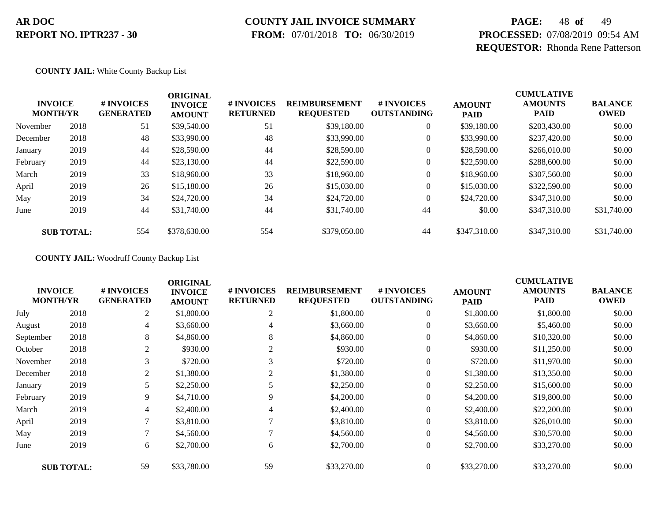# **COUNTY JAIL INVOICE SUMMARY**

 **FROM:** 07/01/2018 **TO:** 06/30/2019

# **PAGE:** 48 **of** 49 **PROCESSED:** 07/08/2019 09:54 AM **REQUESTOR:** Rhonda Rene Patterson

#### **COUNTY JAIL:** White County Backup List

|          | <b>INVOICE</b><br><b>MONTH/YR</b> | # INVOICES<br><b>GENERATED</b> | <b>ORIGINAL</b><br><b>INVOICE</b><br><b>AMOUNT</b> | # INVOICES<br><b>RETURNED</b> | <b>REIMBURSEMENT</b><br><b>REQUESTED</b> | <b>#INVOICES</b><br><b>OUTSTANDING</b> | <b>AMOUNT</b><br><b>PAID</b> | <b>CUMULATIVE</b><br><b>AMOUNTS</b><br><b>PAID</b> | <b>BALANCE</b><br><b>OWED</b> |
|----------|-----------------------------------|--------------------------------|----------------------------------------------------|-------------------------------|------------------------------------------|----------------------------------------|------------------------------|----------------------------------------------------|-------------------------------|
| November | 2018                              | 51                             | \$39,540.00                                        | 51                            | \$39,180.00                              | $\overline{0}$                         | \$39,180.00                  | \$203,430.00                                       | \$0.00                        |
| December | 2018                              | 48                             | \$33,990.00                                        | 48                            | \$33,990.00                              |                                        | \$33,990.00                  | \$237,420.00                                       | \$0.00                        |
| January  | 2019                              | 44                             | \$28,590.00                                        | 44                            | \$28,590.00                              |                                        | \$28,590.00                  | \$266,010.00                                       | \$0.00                        |
| February | 2019                              | 44                             | \$23,130.00                                        | 44                            | \$22,590.00                              |                                        | \$22,590.00                  | \$288,600.00                                       | \$0.00                        |
| March    | 2019                              | 33                             | \$18,960.00                                        | 33                            | \$18,960.00                              | $\boldsymbol{0}$                       | \$18,960.00                  | \$307,560.00                                       | \$0.00                        |
| April    | 2019                              | 26                             | \$15,180.00                                        | 26                            | \$15,030.00                              | $\boldsymbol{0}$                       | \$15,030.00                  | \$322,590.00                                       | \$0.00                        |
| May      | 2019                              | 34                             | \$24,720.00                                        | 34                            | \$24,720.00                              | $\overline{0}$                         | \$24,720.00                  | \$347,310.00                                       | \$0.00                        |
| June     | 2019                              | 44                             | \$31,740.00                                        | 44                            | \$31,740.00                              | 44                                     | \$0.00                       | \$347,310.00                                       | \$31,740.00                   |
|          | <b>SUB TOTAL:</b>                 | 554                            | \$378,630.00                                       | 554                           | \$379,050.00                             | 44                                     | \$347,310.00                 | \$347,310.00                                       | \$31,740.00                   |

#### **COUNTY JAIL:** Woodruff County Backup List

| <b>INVOICE</b><br><b>MONTH/YR</b> |                   | # INVOICES<br><b>GENERATED</b> | <b>ORIGINAL</b><br><b>INVOICE</b><br><b>AMOUNT</b> | # INVOICES<br><b>RETURNED</b> | <b>REIMBURSEMENT</b><br><b>REQUESTED</b> | # INVOICES<br><b>OUTSTANDING</b> | <b>AMOUNT</b><br><b>PAID</b> | <b>CUMULATIVE</b><br><b>AMOUNTS</b><br><b>PAID</b> | <b>BALANCE</b><br><b>OWED</b> |
|-----------------------------------|-------------------|--------------------------------|----------------------------------------------------|-------------------------------|------------------------------------------|----------------------------------|------------------------------|----------------------------------------------------|-------------------------------|
| July                              | 2018              | 2                              | \$1,800.00                                         | $\overline{2}$                | \$1,800.00                               | $\overline{0}$                   | \$1,800.00                   | \$1,800.00                                         | \$0.00                        |
| August                            | 2018              | 4                              | \$3,660.00                                         | 4                             | \$3,660.00                               | 0                                | \$3,660.00                   | \$5,460.00                                         | \$0.00                        |
| September                         | 2018              | 8                              | \$4,860.00                                         | 8                             | \$4,860.00                               | $\overline{0}$                   | \$4,860.00                   | \$10,320.00                                        | \$0.00                        |
| October                           | 2018              | 2                              | \$930.00                                           | 2                             | \$930.00                                 | $\theta$                         | \$930.00                     | \$11,250.00                                        | \$0.00                        |
| November                          | 2018              | 3                              | \$720.00                                           | 3                             | \$720.00                                 | $\overline{0}$                   | \$720.00                     | \$11,970.00                                        | \$0.00                        |
| December                          | 2018              | 2                              | \$1,380.00                                         | 2                             | \$1,380.00                               | $\overline{0}$                   | \$1,380.00                   | \$13,350.00                                        | \$0.00                        |
| January                           | 2019              | 5                              | \$2,250.00                                         |                               | \$2,250.00                               | 0                                | \$2,250.00                   | \$15,600.00                                        | \$0.00                        |
| February                          | 2019              | 9                              | \$4,710.00                                         | 9                             | \$4,200.00                               | $\overline{0}$                   | \$4,200.00                   | \$19,800.00                                        | \$0.00                        |
| March                             | 2019              | 4                              | \$2,400.00                                         | 4                             | \$2,400.00                               | $\overline{0}$                   | \$2,400.00                   | \$22,200.00                                        | \$0.00                        |
| April                             | 2019              | 7                              | \$3,810.00                                         |                               | \$3,810.00                               | $\overline{0}$                   | \$3,810.00                   | \$26,010.00                                        | \$0.00                        |
| May                               | 2019              | 7                              | \$4,560.00                                         |                               | \$4,560.00                               | $\overline{0}$                   | \$4,560.00                   | \$30,570.00                                        | \$0.00                        |
| June                              | 2019              | 6                              | \$2,700.00                                         | 6                             | \$2,700.00                               | $\overline{0}$                   | \$2,700.00                   | \$33,270.00                                        | \$0.00                        |
|                                   | <b>SUB TOTAL:</b> | 59                             | \$33,780.00                                        | 59                            | \$33,270.00                              | $\overline{0}$                   | \$33,270.00                  | \$33,270.00                                        | \$0.00                        |